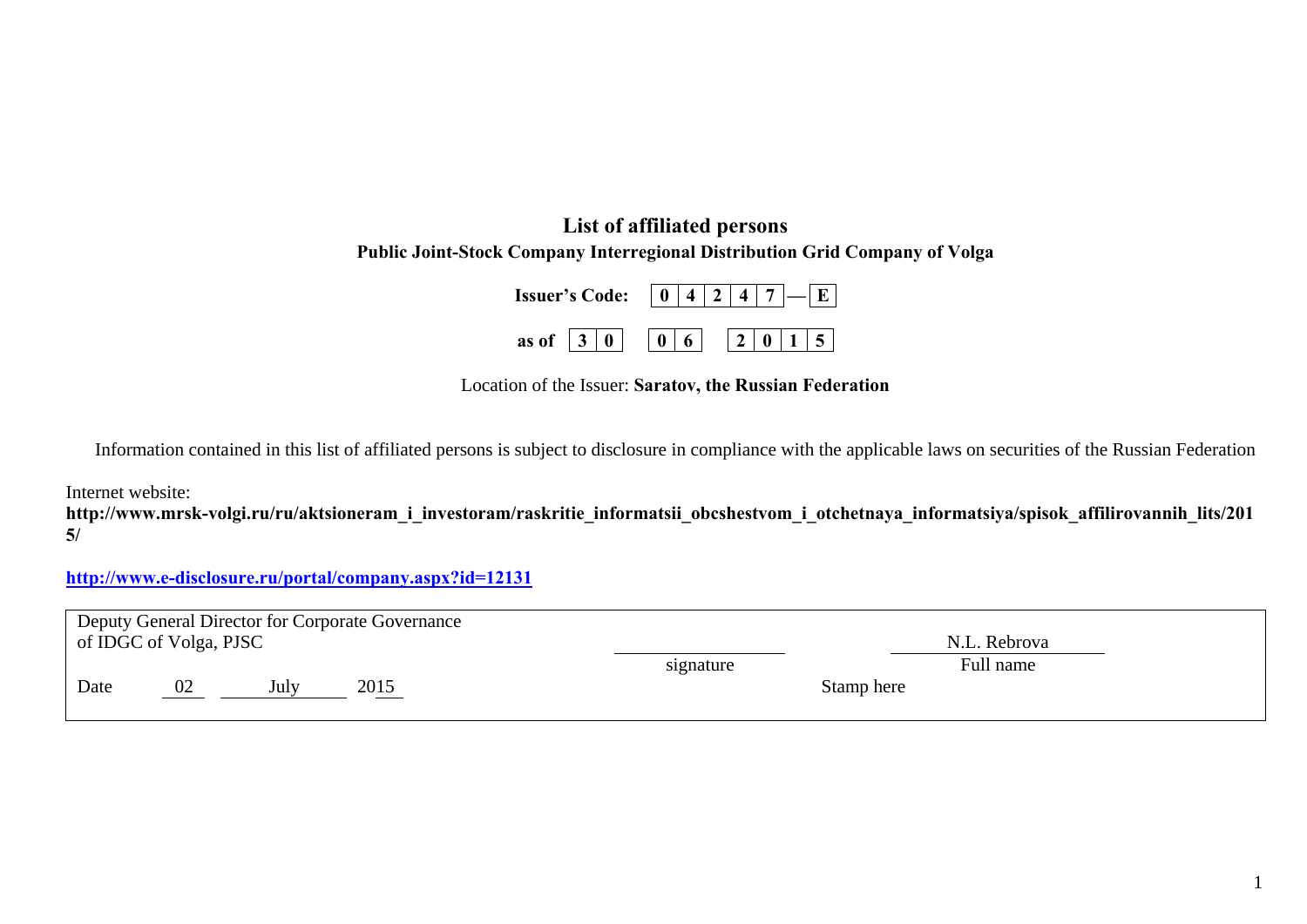## **List of affiliated persons Public Joint-Stock Company Interregional Distribution Grid Company of Volga**

| <b>Issuer's Code:</b> $\boxed{0 4 2 4 7}$ $\boxed{- E }$      |  |  |  |  |
|---------------------------------------------------------------|--|--|--|--|
| as of $\boxed{3}$ 0 $\boxed{0}$ 6 $\boxed{2}$ 0 1 $\boxed{5}$ |  |  |  |  |

Location of the Issuer: **Saratov, the Russian Federation** 

Information contained in this list of affiliated persons is subject to disclosure in compliance with the applicable laws on securities of the Russian Federation

Internet website:

**http://www.mrsk-volgi.ru/ru/aktsioneram\_i\_investoram/raskritie\_informatsii\_obcshestvom\_i\_otchetnaya\_informatsiya/spisok\_affilirovannih\_lits/201 5/** 

**http://www.e-disclosure.ru/portal/company.aspx?id=12131**

| Deputy General Director for Corporate Governance |                        |      |      |           |              |  |  |  |  |
|--------------------------------------------------|------------------------|------|------|-----------|--------------|--|--|--|--|
|                                                  | of IDGC of Volga, PJSC |      |      |           | N.L. Rebrova |  |  |  |  |
|                                                  |                        |      |      | signature | Full name    |  |  |  |  |
| Date                                             | 02                     | July | 2015 |           | Stamp here   |  |  |  |  |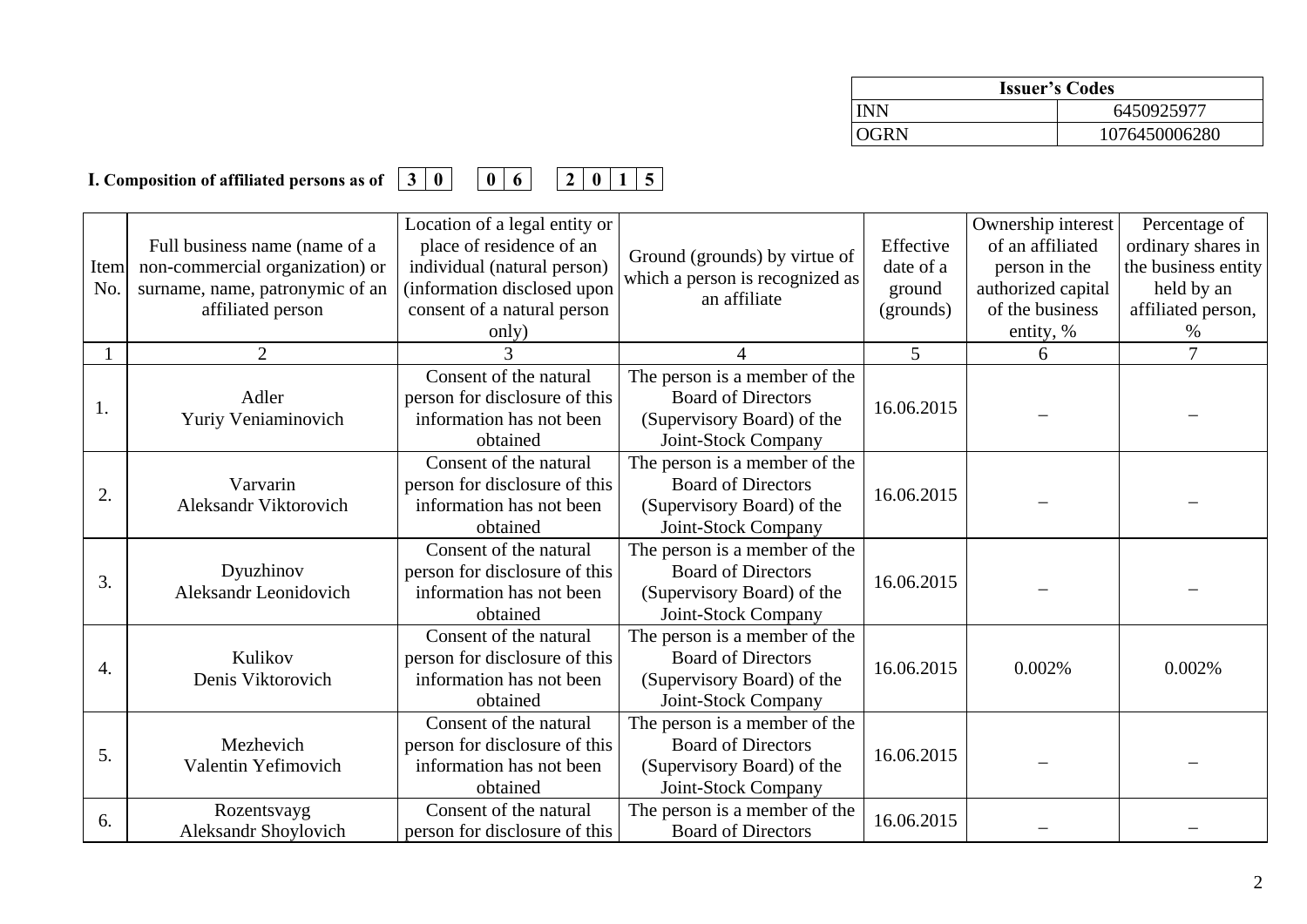| <b>Issuer's Codes</b> |               |  |  |  |
|-----------------------|---------------|--|--|--|
| INN                   | 6450925977    |  |  |  |
| OGRN                  | 1076450006280 |  |  |  |

## **I. Composition of affiliated persons as of 30 06 2015**

| <b>Item</b><br>No. | Full business name (name of a<br>non-commercial organization) or<br>surname, name, patronymic of an<br>affiliated person | Location of a legal entity or<br>place of residence of an<br>individual (natural person)<br>information disclosed upon<br>consent of a natural person | Ground (grounds) by virtue of<br>which a person is recognized as<br>an affiliate                                | Effective<br>date of a<br>ground<br>(grounds) | Ownership interest<br>of an affiliated<br>person in the<br>authorized capital<br>of the business | Percentage of<br>ordinary shares in<br>the business entity<br>held by an<br>affiliated person, |
|--------------------|--------------------------------------------------------------------------------------------------------------------------|-------------------------------------------------------------------------------------------------------------------------------------------------------|-----------------------------------------------------------------------------------------------------------------|-----------------------------------------------|--------------------------------------------------------------------------------------------------|------------------------------------------------------------------------------------------------|
|                    | $\overline{2}$                                                                                                           | only)<br>3                                                                                                                                            | 4                                                                                                               | 5 <sup>5</sup>                                | entity, %<br>6                                                                                   | $\%$<br>7                                                                                      |
| 1.                 | Adler<br>Yuriy Veniaminovich                                                                                             | Consent of the natural<br>person for disclosure of this<br>information has not been<br>obtained                                                       | The person is a member of the<br><b>Board of Directors</b><br>(Supervisory Board) of the<br>Joint-Stock Company | 16.06.2015                                    |                                                                                                  |                                                                                                |
| 2.                 | Varvarin<br>Aleksandr Viktorovich                                                                                        | Consent of the natural<br>person for disclosure of this<br>information has not been<br>obtained                                                       | The person is a member of the<br><b>Board of Directors</b><br>(Supervisory Board) of the<br>Joint-Stock Company | 16.06.2015                                    |                                                                                                  |                                                                                                |
| 3.                 | Dyuzhinov<br><b>Aleksandr Leonidovich</b>                                                                                | Consent of the natural<br>person for disclosure of this<br>information has not been<br>obtained                                                       | The person is a member of the<br><b>Board of Directors</b><br>(Supervisory Board) of the<br>Joint-Stock Company | 16.06.2015                                    |                                                                                                  |                                                                                                |
| 4.                 | Kulikov<br>Denis Viktorovich                                                                                             | Consent of the natural<br>person for disclosure of this<br>information has not been<br>obtained                                                       | The person is a member of the<br><b>Board of Directors</b><br>(Supervisory Board) of the<br>Joint-Stock Company | 16.06.2015                                    | 0.002%                                                                                           | 0.002%                                                                                         |
| 5.                 | Mezhevich<br>Valentin Yefimovich                                                                                         | Consent of the natural<br>person for disclosure of this<br>information has not been<br>obtained                                                       | The person is a member of the<br><b>Board of Directors</b><br>(Supervisory Board) of the<br>Joint-Stock Company | 16.06.2015                                    |                                                                                                  |                                                                                                |
| 6.                 | Rozentsvayg<br><b>Aleksandr Shoylovich</b>                                                                               | Consent of the natural<br>person for disclosure of this                                                                                               | The person is a member of the<br><b>Board of Directors</b>                                                      | 16.06.2015                                    |                                                                                                  |                                                                                                |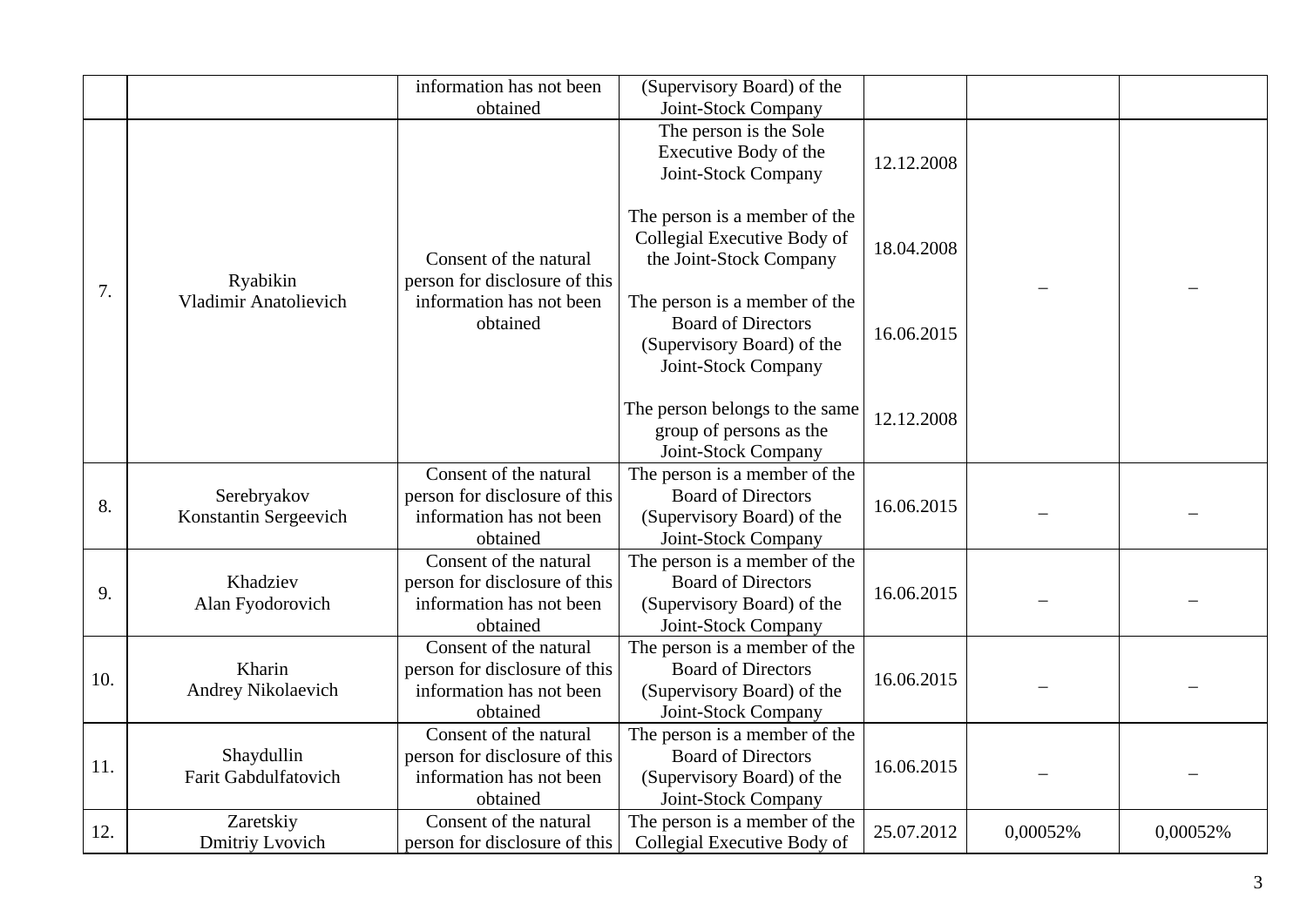|     |                                          | information has not been                                                                        | (Supervisory Board) of the                                                                                      |            |          |          |
|-----|------------------------------------------|-------------------------------------------------------------------------------------------------|-----------------------------------------------------------------------------------------------------------------|------------|----------|----------|
|     |                                          | obtained                                                                                        | Joint-Stock Company                                                                                             |            |          |          |
|     |                                          |                                                                                                 | The person is the Sole<br>Executive Body of the<br>Joint-Stock Company                                          | 12.12.2008 |          |          |
|     | Ryabikin<br><b>Vladimir Anatolievich</b> | Consent of the natural<br>person for disclosure of this                                         | The person is a member of the<br>Collegial Executive Body of<br>the Joint-Stock Company                         | 18.04.2008 |          |          |
| 7.  |                                          | information has not been<br>obtained                                                            | The person is a member of the<br><b>Board of Directors</b><br>(Supervisory Board) of the<br>Joint-Stock Company | 16.06.2015 |          |          |
|     |                                          |                                                                                                 | The person belongs to the same<br>group of persons as the<br>Joint-Stock Company                                | 12.12.2008 |          |          |
| 8.  | Serebryakov<br>Konstantin Sergeevich     | Consent of the natural<br>person for disclosure of this<br>information has not been<br>obtained | The person is a member of the<br><b>Board of Directors</b><br>(Supervisory Board) of the<br>Joint-Stock Company | 16.06.2015 |          |          |
| 9.  | Khadziev<br>Alan Fyodorovich             | Consent of the natural<br>person for disclosure of this<br>information has not been<br>obtained | The person is a member of the<br><b>Board of Directors</b><br>(Supervisory Board) of the<br>Joint-Stock Company | 16.06.2015 |          |          |
| 10. | Kharin<br>Andrey Nikolaevich             | Consent of the natural<br>person for disclosure of this<br>information has not been<br>obtained | The person is a member of the<br><b>Board of Directors</b><br>(Supervisory Board) of the<br>Joint-Stock Company | 16.06.2015 |          |          |
| 11. | Shaydullin<br>Farit Gabdulfatovich       | Consent of the natural<br>person for disclosure of this<br>information has not been<br>obtained | The person is a member of the<br><b>Board of Directors</b><br>(Supervisory Board) of the<br>Joint-Stock Company | 16.06.2015 |          |          |
| 12. | Zaretskiy<br>Dmitriy Lvovich             | Consent of the natural<br>person for disclosure of this                                         | The person is a member of the<br>Collegial Executive Body of                                                    | 25.07.2012 | 0,00052% | 0,00052% |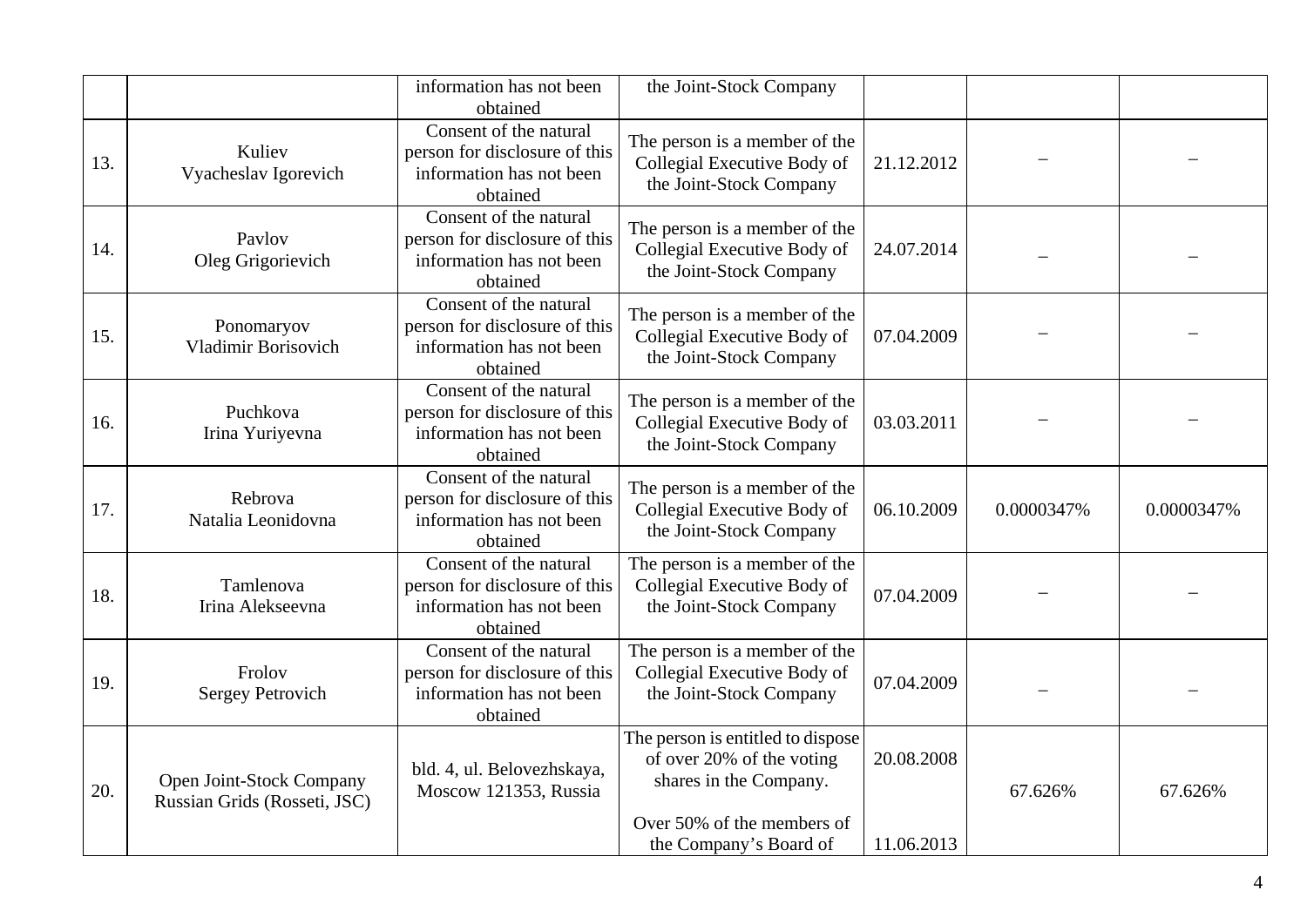|     |                                                          | information has not been<br>obtained                                                            | the Joint-Stock Company                                                                  |            |            |            |
|-----|----------------------------------------------------------|-------------------------------------------------------------------------------------------------|------------------------------------------------------------------------------------------|------------|------------|------------|
| 13. | Kuliev<br>Vyacheslav Igorevich                           | Consent of the natural<br>person for disclosure of this<br>information has not been<br>obtained | The person is a member of the<br>Collegial Executive Body of<br>the Joint-Stock Company  | 21.12.2012 |            |            |
| 14. | Paylov<br>Oleg Grigorievich                              | Consent of the natural<br>person for disclosure of this<br>information has not been<br>obtained | The person is a member of the<br>Collegial Executive Body of<br>the Joint-Stock Company  | 24.07.2014 |            |            |
| 15. | Ponomaryov<br><b>Vladimir Borisovich</b>                 | Consent of the natural<br>person for disclosure of this<br>information has not been<br>obtained | The person is a member of the<br>Collegial Executive Body of<br>the Joint-Stock Company  | 07.04.2009 |            |            |
| 16. | Puchkova<br>Irina Yuriyevna                              | Consent of the natural<br>person for disclosure of this<br>information has not been<br>obtained | The person is a member of the<br>Collegial Executive Body of<br>the Joint-Stock Company  | 03.03.2011 |            |            |
| 17. | Rebrova<br>Natalia Leonidovna                            | Consent of the natural<br>person for disclosure of this<br>information has not been<br>obtained | The person is a member of the<br>Collegial Executive Body of<br>the Joint-Stock Company  | 06.10.2009 | 0.0000347% | 0.0000347% |
| 18. | Tamlenova<br>Irina Alekseevna                            | Consent of the natural<br>person for disclosure of this<br>information has not been<br>obtained | The person is a member of the<br>Collegial Executive Body of<br>the Joint-Stock Company  | 07.04.2009 |            |            |
| 19. | Frolov<br><b>Sergey Petrovich</b>                        | Consent of the natural<br>person for disclosure of this<br>information has not been<br>obtained | The person is a member of the<br>Collegial Executive Body of<br>the Joint-Stock Company  | 07.04.2009 |            |            |
| 20. | Open Joint-Stock Company<br>Russian Grids (Rosseti, JSC) | bld. 4, ul. Belovezhskaya,<br>Moscow 121353, Russia                                             | The person is entitled to dispose<br>of over 20% of the voting<br>shares in the Company. | 20.08.2008 | 67.626%    | 67.626%    |
|     |                                                          |                                                                                                 | Over 50% of the members of<br>the Company's Board of                                     | 11.06.2013 |            |            |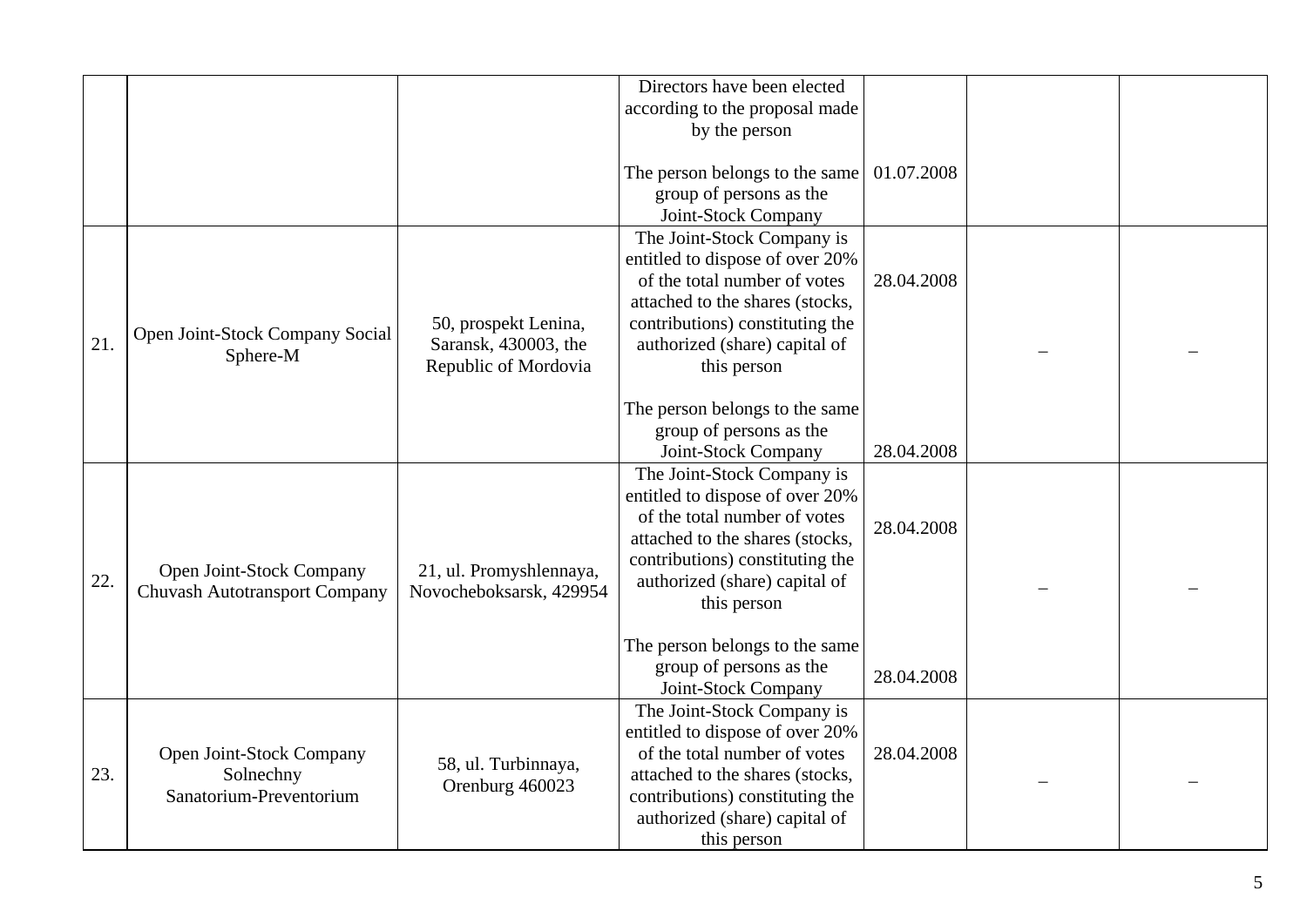|     |                                                                  |                                                                      | Directors have been elected<br>according to the proposal made<br>by the person<br>The person belongs to the same<br>group of persons as the<br>Joint-Stock Company                                                  | 01.07.2008 |  |
|-----|------------------------------------------------------------------|----------------------------------------------------------------------|---------------------------------------------------------------------------------------------------------------------------------------------------------------------------------------------------------------------|------------|--|
| 21. | Open Joint-Stock Company Social<br>Sphere-M                      | 50, prospekt Lenina,<br>Saransk, 430003, the<br>Republic of Mordovia | The Joint-Stock Company is<br>entitled to dispose of over 20%<br>of the total number of votes<br>attached to the shares (stocks,<br>contributions) constituting the<br>authorized (share) capital of<br>this person | 28.04.2008 |  |
|     |                                                                  |                                                                      | The person belongs to the same<br>group of persons as the<br>Joint-Stock Company                                                                                                                                    | 28.04.2008 |  |
| 22. | Open Joint-Stock Company<br><b>Chuvash Autotransport Company</b> | 21, ul. Promyshlennaya,<br>Novocheboksarsk, 429954                   | The Joint-Stock Company is<br>entitled to dispose of over 20%<br>of the total number of votes<br>attached to the shares (stocks,<br>contributions) constituting the<br>authorized (share) capital of<br>this person | 28.04.2008 |  |
|     |                                                                  |                                                                      | The person belongs to the same<br>group of persons as the<br>Joint-Stock Company                                                                                                                                    | 28.04.2008 |  |
| 23. | Open Joint-Stock Company<br>Solnechny<br>Sanatorium-Preventorium | 58, ul. Turbinnaya,<br>Orenburg 460023                               | The Joint-Stock Company is<br>entitled to dispose of over 20%<br>of the total number of votes<br>attached to the shares (stocks,<br>contributions) constituting the<br>authorized (share) capital of<br>this person | 28.04.2008 |  |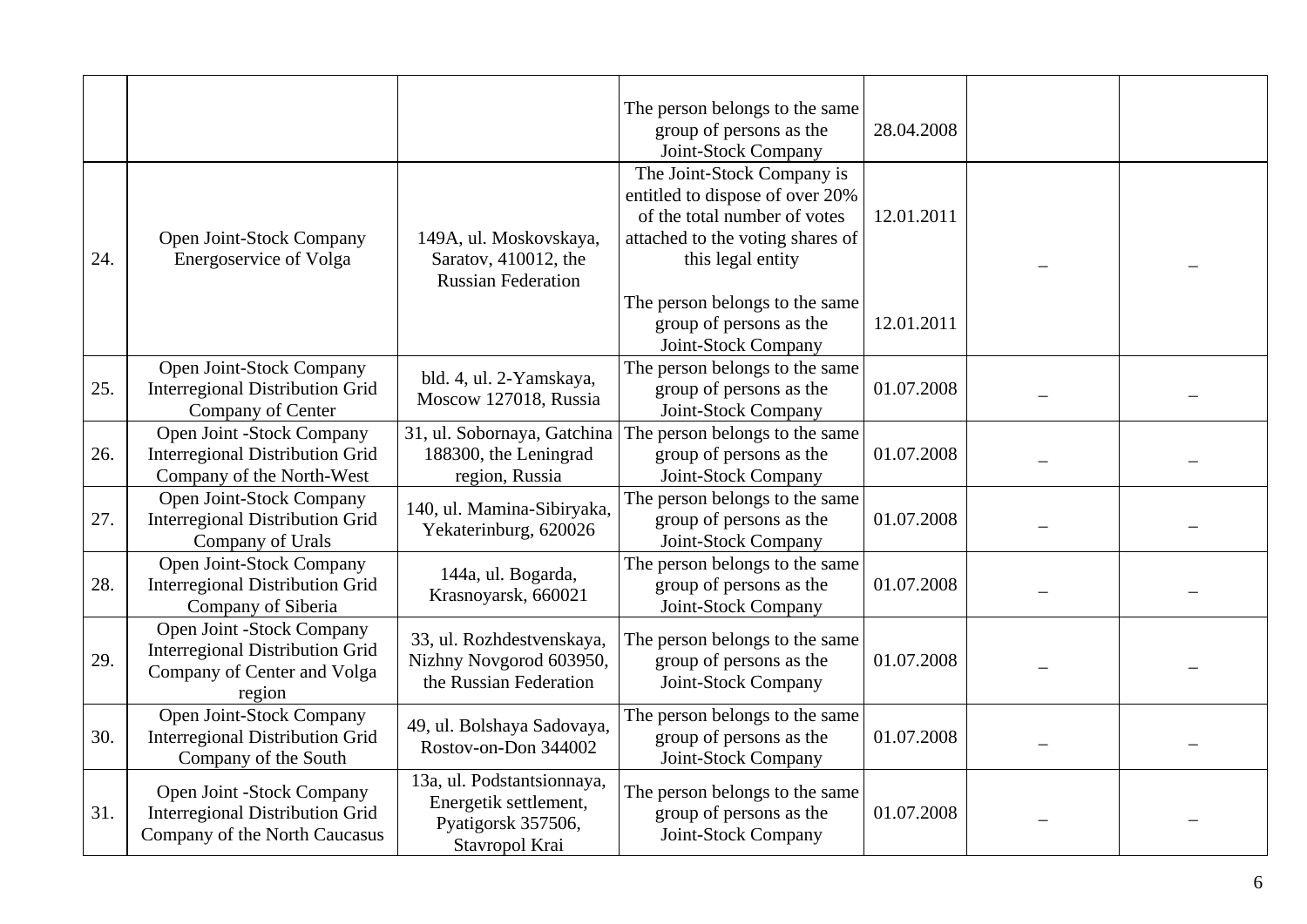|     |                                                                                                              |                                                                                             | The person belongs to the same<br>group of persons as the<br>Joint-Stock Company                                                                       | 28.04.2008 |  |
|-----|--------------------------------------------------------------------------------------------------------------|---------------------------------------------------------------------------------------------|--------------------------------------------------------------------------------------------------------------------------------------------------------|------------|--|
| 24. | Open Joint-Stock Company<br>Energoservice of Volga                                                           | 149A, ul. Moskovskaya,<br>Saratov, 410012, the<br><b>Russian Federation</b>                 | The Joint-Stock Company is<br>entitled to dispose of over 20%<br>of the total number of votes<br>attached to the voting shares of<br>this legal entity | 12.01.2011 |  |
|     |                                                                                                              |                                                                                             | The person belongs to the same<br>group of persons as the<br>Joint-Stock Company                                                                       | 12.01.2011 |  |
| 25. | Open Joint-Stock Company<br><b>Interregional Distribution Grid</b><br>Company of Center                      | bld. 4, ul. 2-Yamskaya,<br>Moscow 127018, Russia                                            | The person belongs to the same<br>group of persons as the<br>Joint-Stock Company                                                                       | 01.07.2008 |  |
| 26. | <b>Open Joint -Stock Company</b><br><b>Interregional Distribution Grid</b><br>Company of the North-West      | 31, ul. Sobornaya, Gatchina<br>188300, the Leningrad<br>region, Russia                      | The person belongs to the same<br>group of persons as the<br>Joint-Stock Company                                                                       | 01.07.2008 |  |
| 27. | Open Joint-Stock Company<br><b>Interregional Distribution Grid</b><br>Company of Urals                       | 140, ul. Mamina-Sibiryaka,<br>Yekaterinburg, 620026                                         | The person belongs to the same<br>group of persons as the<br>Joint-Stock Company                                                                       | 01.07.2008 |  |
| 28. | Open Joint-Stock Company<br><b>Interregional Distribution Grid</b><br>Company of Siberia                     | 144a, ul. Bogarda,<br>Krasnoyarsk, 660021                                                   | The person belongs to the same<br>group of persons as the<br>Joint-Stock Company                                                                       | 01.07.2008 |  |
| 29. | Open Joint -Stock Company<br><b>Interregional Distribution Grid</b><br>Company of Center and Volga<br>region | 33, ul. Rozhdestvenskaya,<br>Nizhny Novgorod 603950,<br>the Russian Federation              | The person belongs to the same<br>group of persons as the<br>Joint-Stock Company                                                                       | 01.07.2008 |  |
| 30. | Open Joint-Stock Company<br><b>Interregional Distribution Grid</b><br>Company of the South                   | 49, ul. Bolshaya Sadovaya,<br>Rostov-on-Don 344002                                          | The person belongs to the same<br>group of persons as the<br>Joint-Stock Company                                                                       | 01.07.2008 |  |
| 31. | Open Joint -Stock Company<br><b>Interregional Distribution Grid</b><br>Company of the North Caucasus         | 13a, ul. Podstantsionnaya,<br>Energetik settlement,<br>Pyatigorsk 357506,<br>Stavropol Krai | The person belongs to the same<br>group of persons as the<br>Joint-Stock Company                                                                       | 01.07.2008 |  |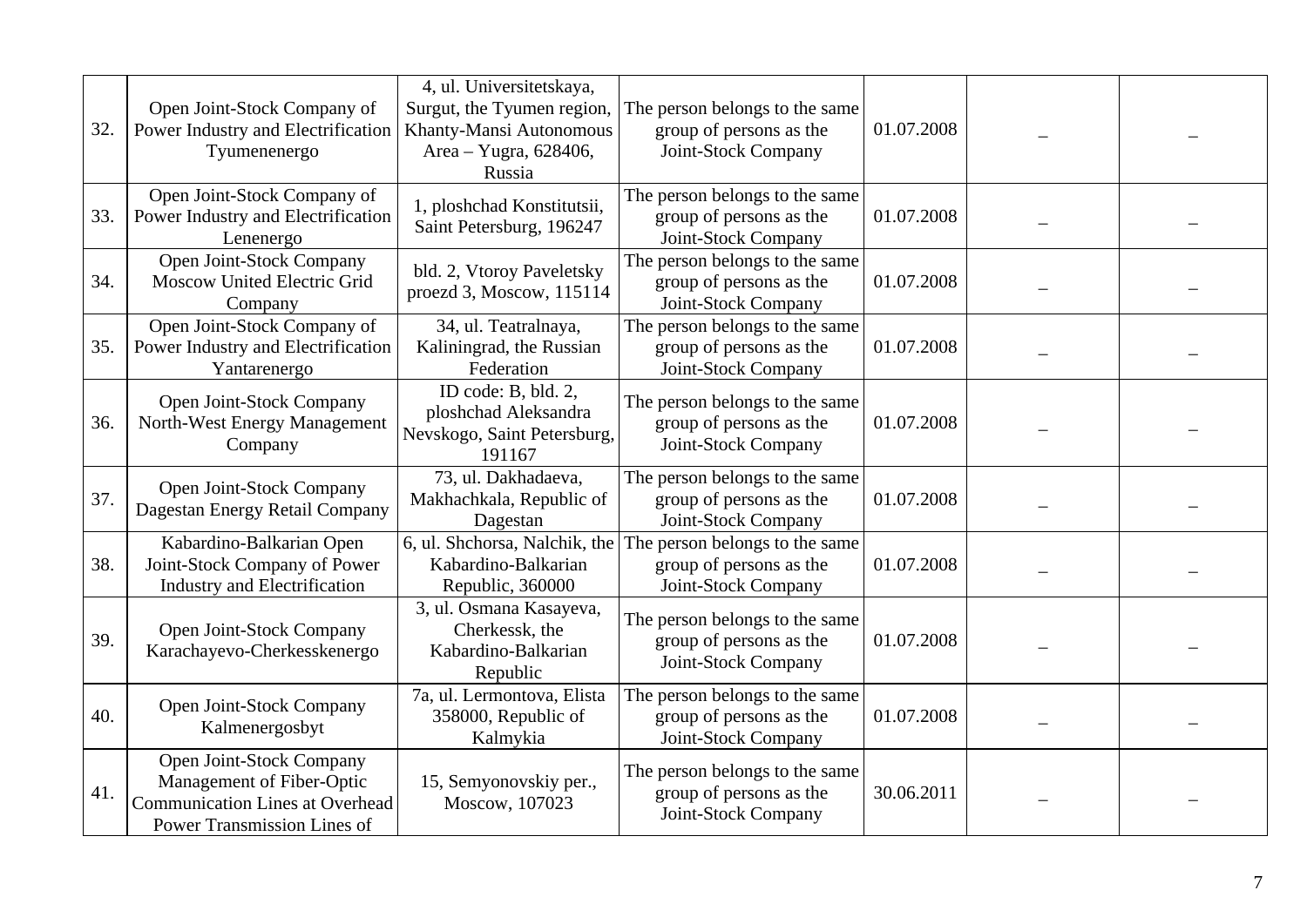| 32. | Open Joint-Stock Company of<br>Power Industry and Electrification<br>Tyumenenergo                                              | 4, ul. Universitetskaya,<br>Surgut, the Tyumen region,<br>Khanty-Mansi Autonomous<br>Area - Yugra, 628406,<br>Russia | The person belongs to the same<br>group of persons as the<br>Joint-Stock Company | 01.07.2008 |  |
|-----|--------------------------------------------------------------------------------------------------------------------------------|----------------------------------------------------------------------------------------------------------------------|----------------------------------------------------------------------------------|------------|--|
| 33. | Open Joint-Stock Company of<br>Power Industry and Electrification<br>Lenenergo                                                 | 1, ploshchad Konstitutsii,<br>Saint Petersburg, 196247                                                               | The person belongs to the same<br>group of persons as the<br>Joint-Stock Company | 01.07.2008 |  |
| 34. | Open Joint-Stock Company<br>Moscow United Electric Grid<br>Company                                                             | bld. 2, Vtoroy Paveletsky<br>proezd 3, Moscow, 115114                                                                | The person belongs to the same<br>group of persons as the<br>Joint-Stock Company | 01.07.2008 |  |
| 35. | Open Joint-Stock Company of<br>Power Industry and Electrification<br>Yantarenergo                                              | 34, ul. Teatralnaya,<br>Kaliningrad, the Russian<br>Federation                                                       | The person belongs to the same<br>group of persons as the<br>Joint-Stock Company | 01.07.2008 |  |
| 36. | Open Joint-Stock Company<br>North-West Energy Management<br>Company                                                            | ID code: B, bld. 2,<br>ploshchad Aleksandra<br>Nevskogo, Saint Petersburg,<br>191167                                 | The person belongs to the same<br>group of persons as the<br>Joint-Stock Company | 01.07.2008 |  |
| 37. | Open Joint-Stock Company<br>Dagestan Energy Retail Company                                                                     | 73, ul. Dakhadaeva,<br>Makhachkala, Republic of<br>Dagestan                                                          | The person belongs to the same<br>group of persons as the<br>Joint-Stock Company | 01.07.2008 |  |
| 38. | Kabardino-Balkarian Open<br>Joint-Stock Company of Power<br>Industry and Electrification                                       | 6, ul. Shchorsa, Nalchik, the<br>Kabardino-Balkarian<br>Republic, 360000                                             | The person belongs to the same<br>group of persons as the<br>Joint-Stock Company | 01.07.2008 |  |
| 39. | Open Joint-Stock Company<br>Karachayevo-Cherkesskenergo                                                                        | 3, ul. Osmana Kasayeva,<br>Cherkessk, the<br>Kabardino-Balkarian<br>Republic                                         | The person belongs to the same<br>group of persons as the<br>Joint-Stock Company | 01.07.2008 |  |
| 40. | Open Joint-Stock Company<br>Kalmenergosbyt                                                                                     | 7a, ul. Lermontova, Elista<br>358000, Republic of<br>Kalmykia                                                        | The person belongs to the same<br>group of persons as the<br>Joint-Stock Company | 01.07.2008 |  |
| 41. | Open Joint-Stock Company<br>Management of Fiber-Optic<br><b>Communication Lines at Overhead</b><br>Power Transmission Lines of | 15, Semyonovskiy per.,<br>Moscow, 107023                                                                             | The person belongs to the same<br>group of persons as the<br>Joint-Stock Company | 30.06.2011 |  |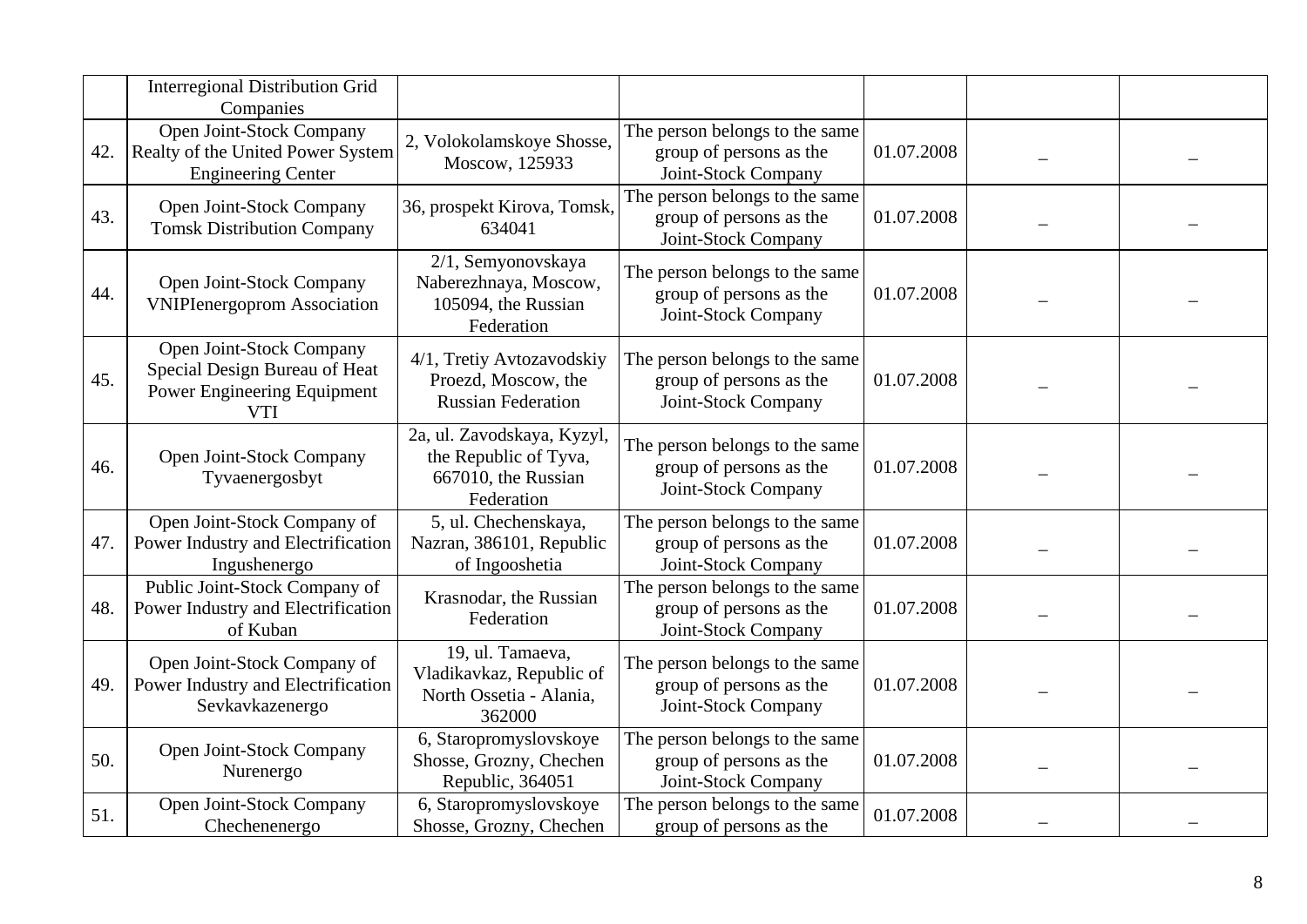|     | <b>Interregional Distribution Grid</b><br>Companies                                                    |                                                                                          |                                                                                  |            |  |
|-----|--------------------------------------------------------------------------------------------------------|------------------------------------------------------------------------------------------|----------------------------------------------------------------------------------|------------|--|
| 42. | Open Joint-Stock Company<br>Realty of the United Power System<br><b>Engineering Center</b>             | 2, Volokolamskoye Shosse,<br>Moscow, 125933                                              | The person belongs to the same<br>group of persons as the<br>Joint-Stock Company | 01.07.2008 |  |
| 43. | Open Joint-Stock Company<br><b>Tomsk Distribution Company</b>                                          | 36, prospekt Kirova, Tomsk,<br>634041                                                    | The person belongs to the same<br>group of persons as the<br>Joint-Stock Company | 01.07.2008 |  |
| 44. | Open Joint-Stock Company<br><b>VNIPIenergoprom Association</b>                                         | 2/1, Semyonovskaya<br>Naberezhnaya, Moscow,<br>105094, the Russian<br>Federation         | The person belongs to the same<br>group of persons as the<br>Joint-Stock Company | 01.07.2008 |  |
| 45. | Open Joint-Stock Company<br>Special Design Bureau of Heat<br>Power Engineering Equipment<br><b>VTI</b> | 4/1, Tretiy Avtozavodskiy<br>Proezd, Moscow, the<br><b>Russian Federation</b>            | The person belongs to the same<br>group of persons as the<br>Joint-Stock Company | 01.07.2008 |  |
| 46. | Open Joint-Stock Company<br>Tyvaenergosbyt                                                             | 2a, ul. Zavodskaya, Kyzyl,<br>the Republic of Tyva,<br>667010, the Russian<br>Federation | The person belongs to the same<br>group of persons as the<br>Joint-Stock Company | 01.07.2008 |  |
| 47. | Open Joint-Stock Company of<br>Power Industry and Electrification<br>Ingushenergo                      | 5, ul. Chechenskaya,<br>Nazran, 386101, Republic<br>of Ingooshetia                       | The person belongs to the same<br>group of persons as the<br>Joint-Stock Company | 01.07.2008 |  |
| 48. | Public Joint-Stock Company of<br>Power Industry and Electrification<br>of Kuban                        | Krasnodar, the Russian<br>Federation                                                     | The person belongs to the same<br>group of persons as the<br>Joint-Stock Company | 01.07.2008 |  |
| 49. | Open Joint-Stock Company of<br>Power Industry and Electrification<br>Sevkavkazenergo                   | 19, ul. Tamaeva,<br>Vladikavkaz, Republic of<br>North Ossetia - Alania,<br>362000        | The person belongs to the same<br>group of persons as the<br>Joint-Stock Company | 01.07.2008 |  |
| 50. | Open Joint-Stock Company<br>Nurenergo                                                                  | 6, Staropromyslovskoye<br>Shosse, Grozny, Chechen<br>Republic, 364051                    | The person belongs to the same<br>group of persons as the<br>Joint-Stock Company | 01.07.2008 |  |
| 51. | Open Joint-Stock Company<br>Chechenenergo                                                              | 6, Staropromyslovskoye<br>Shosse, Grozny, Chechen                                        | The person belongs to the same<br>group of persons as the                        | 01.07.2008 |  |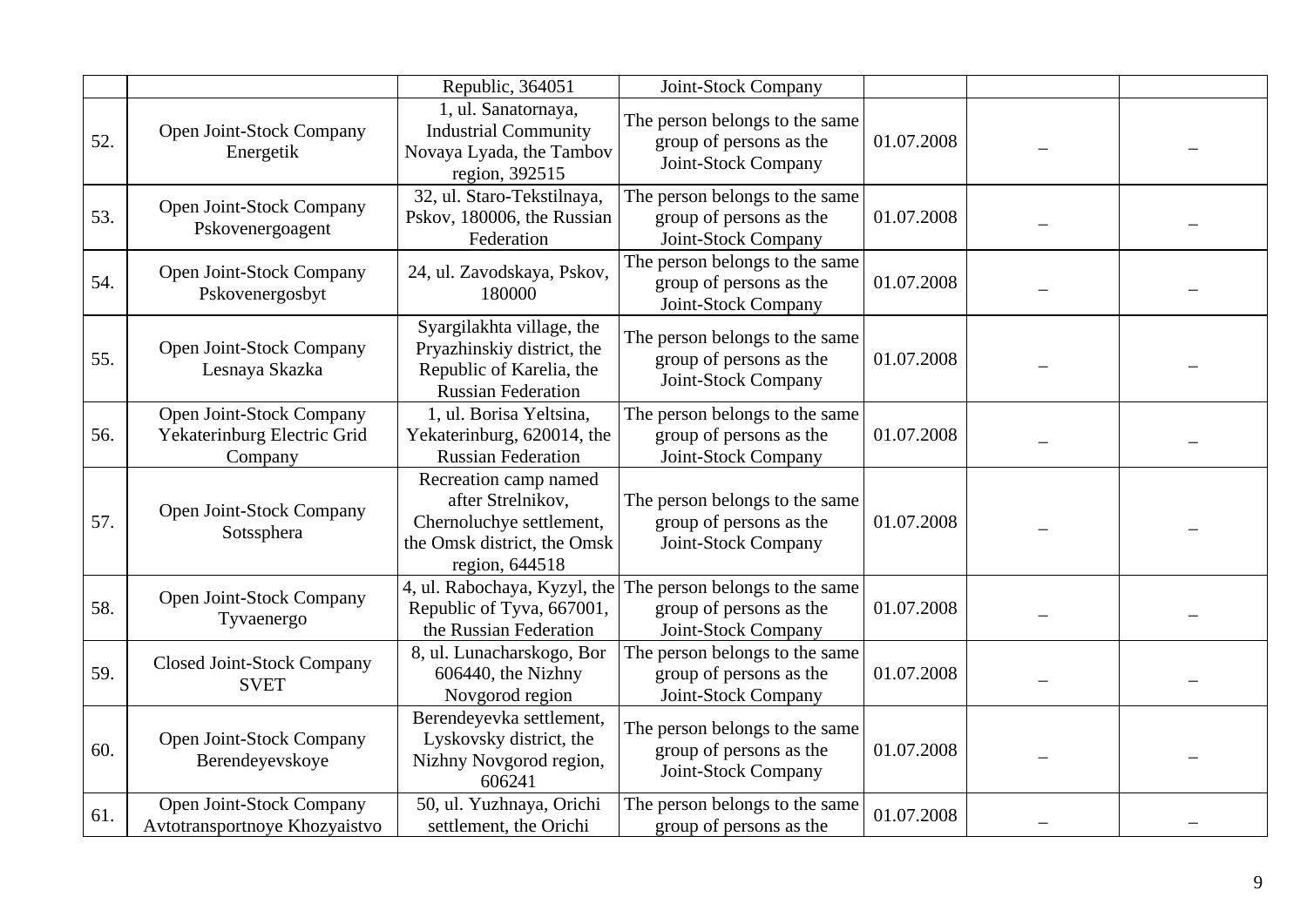|     |                                                                    | Republic, 364051                                                                                                        | Joint-Stock Company                                                              |            |  |
|-----|--------------------------------------------------------------------|-------------------------------------------------------------------------------------------------------------------------|----------------------------------------------------------------------------------|------------|--|
| 52. | Open Joint-Stock Company<br>Energetik                              | 1, ul. Sanatornaya,<br><b>Industrial Community</b><br>Novaya Lyada, the Tambov<br>region, 392515                        | The person belongs to the same<br>group of persons as the<br>Joint-Stock Company | 01.07.2008 |  |
| 53. | Open Joint-Stock Company<br>Pskovenergoagent                       | 32, ul. Staro-Tekstilnaya,<br>Pskov, 180006, the Russian<br>Federation                                                  | The person belongs to the same<br>group of persons as the<br>Joint-Stock Company | 01.07.2008 |  |
| 54. | Open Joint-Stock Company<br>Pskovenergosbyt                        | 24, ul. Zavodskaya, Pskov,<br>180000                                                                                    | The person belongs to the same<br>group of persons as the<br>Joint-Stock Company | 01.07.2008 |  |
| 55. | Open Joint-Stock Company<br>Lesnaya Skazka                         | Syargilakhta village, the<br>Pryazhinskiy district, the<br>Republic of Karelia, the<br><b>Russian Federation</b>        | The person belongs to the same<br>group of persons as the<br>Joint-Stock Company | 01.07.2008 |  |
| 56. | Open Joint-Stock Company<br>Yekaterinburg Electric Grid<br>Company | 1, ul. Borisa Yeltsina,<br>Yekaterinburg, 620014, the<br><b>Russian Federation</b>                                      | The person belongs to the same<br>group of persons as the<br>Joint-Stock Company | 01.07.2008 |  |
| 57. | Open Joint-Stock Company<br>Sotssphera                             | Recreation camp named<br>after Strelnikov,<br>Chernoluchye settlement,<br>the Omsk district, the Omsk<br>region, 644518 | The person belongs to the same<br>group of persons as the<br>Joint-Stock Company | 01.07.2008 |  |
| 58. | Open Joint-Stock Company<br>Tyvaenergo                             | 4, ul. Rabochaya, Kyzyl, the<br>Republic of Tyva, 667001,<br>the Russian Federation                                     | The person belongs to the same<br>group of persons as the<br>Joint-Stock Company | 01.07.2008 |  |
| 59. | <b>Closed Joint-Stock Company</b><br><b>SVET</b>                   | 8, ul. Lunacharskogo, Bor<br>606440, the Nizhny<br>Novgorod region                                                      | The person belongs to the same<br>group of persons as the<br>Joint-Stock Company | 01.07.2008 |  |
| 60. | Open Joint-Stock Company<br>Berendeyevskoye                        | Berendeyevka settlement,<br>Lyskovsky district, the<br>Nizhny Novgorod region,<br>606241                                | The person belongs to the same<br>group of persons as the<br>Joint-Stock Company | 01.07.2008 |  |
| 61. | Open Joint-Stock Company<br>Avtotransportnoye Khozyaistvo          | 50, ul. Yuzhnaya, Orichi<br>settlement, the Orichi                                                                      | The person belongs to the same<br>group of persons as the                        | 01.07.2008 |  |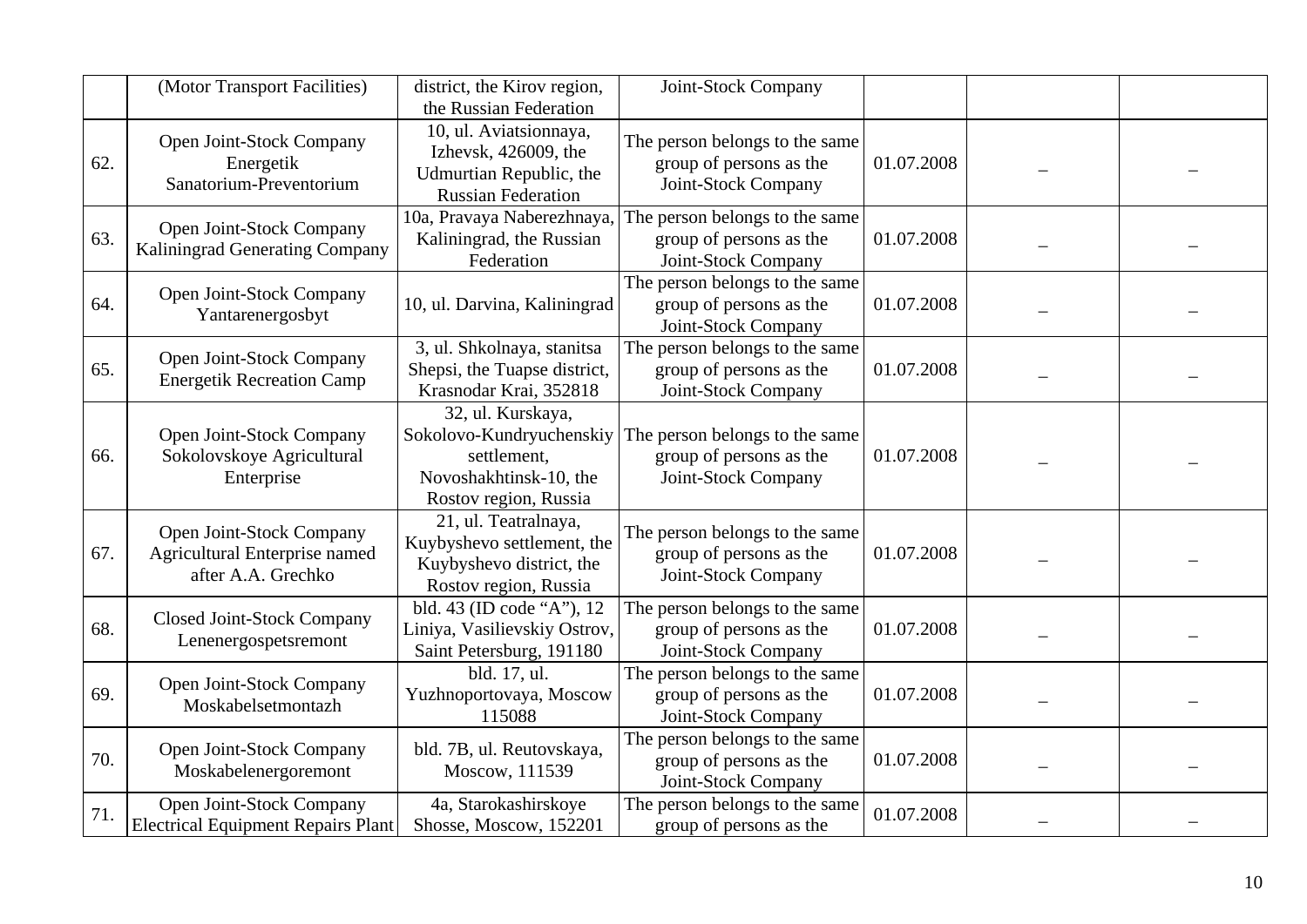|     | (Motor Transport Facilities)                                                    | district, the Kirov region,<br>the Russian Federation                                                           | Joint-Stock Company                                                              |            |  |
|-----|---------------------------------------------------------------------------------|-----------------------------------------------------------------------------------------------------------------|----------------------------------------------------------------------------------|------------|--|
| 62. | Open Joint-Stock Company<br>Energetik<br>Sanatorium-Preventorium                | 10, ul. Aviatsionnaya,<br>Izhevsk, 426009, the<br>Udmurtian Republic, the<br><b>Russian Federation</b>          | The person belongs to the same<br>group of persons as the<br>Joint-Stock Company | 01.07.2008 |  |
| 63. | Open Joint-Stock Company<br>Kaliningrad Generating Company                      | 10a, Pravaya Naberezhnaya,<br>Kaliningrad, the Russian<br>Federation                                            | The person belongs to the same<br>group of persons as the<br>Joint-Stock Company | 01.07.2008 |  |
| 64. | Open Joint-Stock Company<br>Yantarenergosbyt                                    | 10, ul. Darvina, Kaliningrad                                                                                    | The person belongs to the same<br>group of persons as the<br>Joint-Stock Company | 01.07.2008 |  |
| 65. | Open Joint-Stock Company<br><b>Energetik Recreation Camp</b>                    | 3, ul. Shkolnaya, stanitsa<br>Shepsi, the Tuapse district,<br>Krasnodar Krai, 352818                            | The person belongs to the same<br>group of persons as the<br>Joint-Stock Company | 01.07.2008 |  |
| 66. | Open Joint-Stock Company<br>Sokolovskoye Agricultural<br>Enterprise             | 32, ul. Kurskaya,<br>Sokolovo-Kundryuchenskiy<br>settlement,<br>Novoshakhtinsk-10, the<br>Rostov region, Russia | The person belongs to the same<br>group of persons as the<br>Joint-Stock Company | 01.07.2008 |  |
| 67. | Open Joint-Stock Company<br>Agricultural Enterprise named<br>after A.A. Grechko | 21, ul. Teatralnaya,<br>Kuybyshevo settlement, the<br>Kuybyshevo district, the<br>Rostov region, Russia         | The person belongs to the same<br>group of persons as the<br>Joint-Stock Company | 01.07.2008 |  |
| 68. | Closed Joint-Stock Company<br>Lenenergospetsremont                              | bld. 43 (ID code "A"), 12<br>Liniya, Vasilievskiy Ostrov,<br>Saint Petersburg, 191180                           | The person belongs to the same<br>group of persons as the<br>Joint-Stock Company | 01.07.2008 |  |
| 69. | Open Joint-Stock Company<br>Moskabelsetmontazh                                  | bld. 17, ul.<br>Yuzhnoportovaya, Moscow<br>115088                                                               | The person belongs to the same<br>group of persons as the<br>Joint-Stock Company | 01.07.2008 |  |
| 70. | Open Joint-Stock Company<br>Moskabelenergoremont                                | bld. 7B, ul. Reutovskaya,<br>Moscow, 111539                                                                     | The person belongs to the same<br>group of persons as the<br>Joint-Stock Company | 01.07.2008 |  |
| 71. | Open Joint-Stock Company<br><b>Electrical Equipment Repairs Plant</b>           | 4a, Starokashirskoye<br>Shosse, Moscow, 152201                                                                  | The person belongs to the same<br>group of persons as the                        | 01.07.2008 |  |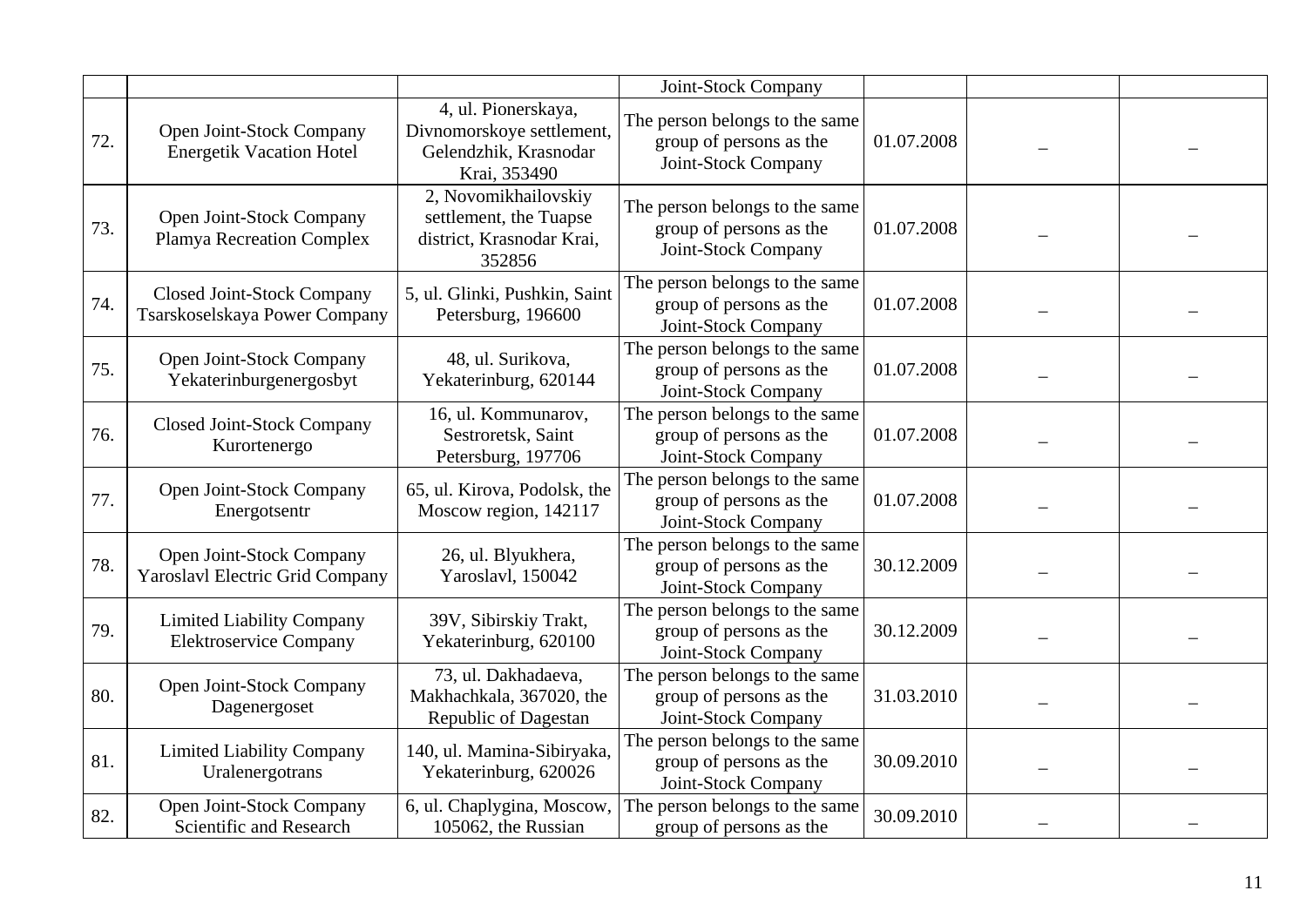|     |                                                                    |                                                                                           | Joint-Stock Company                                                              |            |  |
|-----|--------------------------------------------------------------------|-------------------------------------------------------------------------------------------|----------------------------------------------------------------------------------|------------|--|
| 72. | Open Joint-Stock Company<br><b>Energetik Vacation Hotel</b>        | 4, ul. Pionerskaya,<br>Divnomorskoye settlement,<br>Gelendzhik, Krasnodar<br>Krai, 353490 | The person belongs to the same<br>group of persons as the<br>Joint-Stock Company | 01.07.2008 |  |
| 73. | Open Joint-Stock Company<br><b>Plamya Recreation Complex</b>       | 2, Novomikhailovskiy<br>settlement, the Tuapse<br>district, Krasnodar Krai,<br>352856     | The person belongs to the same<br>group of persons as the<br>Joint-Stock Company | 01.07.2008 |  |
| 74. | <b>Closed Joint-Stock Company</b><br>Tsarskoselskaya Power Company | 5, ul. Glinki, Pushkin, Saint<br>Petersburg, 196600                                       | The person belongs to the same<br>group of persons as the<br>Joint-Stock Company | 01.07.2008 |  |
| 75. | Open Joint-Stock Company<br>Yekaterinburgenergosbyt                | 48, ul. Surikova,<br>Yekaterinburg, 620144                                                | The person belongs to the same<br>group of persons as the<br>Joint-Stock Company | 01.07.2008 |  |
| 76. | <b>Closed Joint-Stock Company</b><br>Kurortenergo                  | 16, ul. Kommunarov,<br>Sestroretsk, Saint<br>Petersburg, 197706                           | The person belongs to the same<br>group of persons as the<br>Joint-Stock Company | 01.07.2008 |  |
| 77. | Open Joint-Stock Company<br>Energotsentr                           | 65, ul. Kirova, Podolsk, the<br>Moscow region, 142117                                     | The person belongs to the same<br>group of persons as the<br>Joint-Stock Company | 01.07.2008 |  |
| 78. | Open Joint-Stock Company<br>Yaroslavl Electric Grid Company        | 26, ul. Blyukhera,<br>Yaroslavl, 150042                                                   | The person belongs to the same<br>group of persons as the<br>Joint-Stock Company | 30.12.2009 |  |
| 79. | <b>Limited Liability Company</b><br><b>Elektroservice Company</b>  | 39V, Sibirskiy Trakt,<br>Yekaterinburg, 620100                                            | The person belongs to the same<br>group of persons as the<br>Joint-Stock Company | 30.12.2009 |  |
| 80. | Open Joint-Stock Company<br>Dagenergoset                           | 73, ul. Dakhadaeva,<br>Makhachkala, 367020, the<br>Republic of Dagestan                   | The person belongs to the same<br>group of persons as the<br>Joint-Stock Company | 31.03.2010 |  |
| 81. | <b>Limited Liability Company</b><br>Uralenergotrans                | 140, ul. Mamina-Sibiryaka,<br>Yekaterinburg, 620026                                       | The person belongs to the same<br>group of persons as the<br>Joint-Stock Company | 30.09.2010 |  |
| 82. | Open Joint-Stock Company<br><b>Scientific and Research</b>         | 6, ul. Chaplygina, Moscow,<br>105062, the Russian                                         | The person belongs to the same<br>group of persons as the                        | 30.09.2010 |  |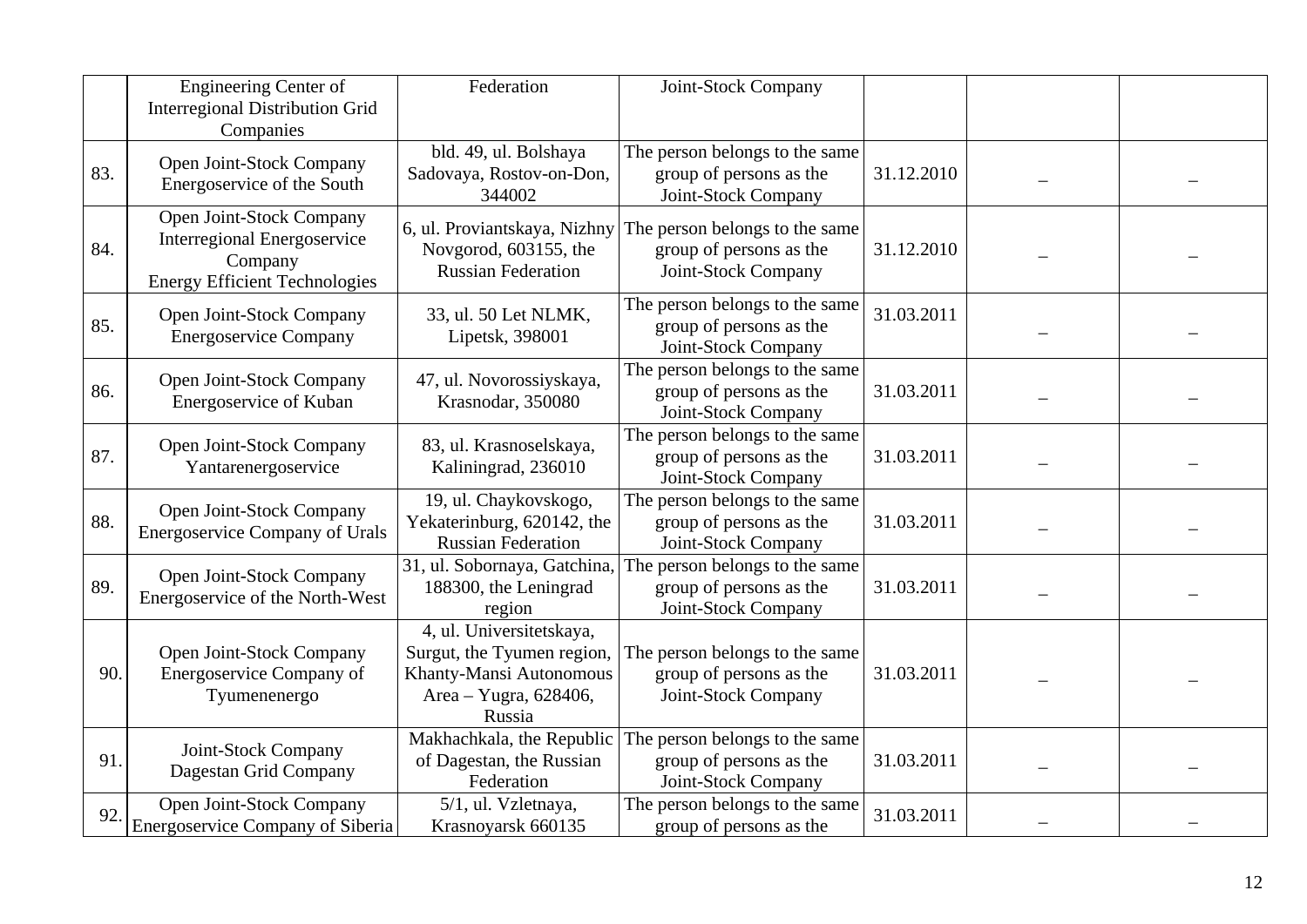|     | <b>Engineering Center of</b><br><b>Interregional Distribution Grid</b><br>Companies                               | Federation                                                                                                           | Joint-Stock Company                                                              |            |  |
|-----|-------------------------------------------------------------------------------------------------------------------|----------------------------------------------------------------------------------------------------------------------|----------------------------------------------------------------------------------|------------|--|
| 83. | Open Joint-Stock Company<br>Energoservice of the South                                                            | bld. 49, ul. Bolshaya<br>Sadovaya, Rostov-on-Don,<br>344002                                                          | The person belongs to the same<br>group of persons as the<br>Joint-Stock Company | 31.12.2010 |  |
| 84. | Open Joint-Stock Company<br><b>Interregional Energoservice</b><br>Company<br><b>Energy Efficient Technologies</b> | 6, ul. Proviantskaya, Nizhny<br>Novgorod, 603155, the<br><b>Russian Federation</b>                                   | The person belongs to the same<br>group of persons as the<br>Joint-Stock Company | 31.12.2010 |  |
| 85. | Open Joint-Stock Company<br><b>Energoservice Company</b>                                                          | 33, ul. 50 Let NLMK,<br>Lipetsk, 398001                                                                              | The person belongs to the same<br>group of persons as the<br>Joint-Stock Company | 31.03.2011 |  |
| 86. | Open Joint-Stock Company<br>Energoservice of Kuban                                                                | 47, ul. Novorossiyskaya,<br>Krasnodar, 350080                                                                        | The person belongs to the same<br>group of persons as the<br>Joint-Stock Company | 31.03.2011 |  |
| 87. | Open Joint-Stock Company<br>Yantarenergoservice                                                                   | 83, ul. Krasnoselskaya,<br>Kaliningrad, 236010                                                                       | The person belongs to the same<br>group of persons as the<br>Joint-Stock Company | 31.03.2011 |  |
| 88. | Open Joint-Stock Company<br><b>Energoservice Company of Urals</b>                                                 | 19, ul. Chaykovskogo,<br>Yekaterinburg, 620142, the<br><b>Russian Federation</b>                                     | The person belongs to the same<br>group of persons as the<br>Joint-Stock Company | 31.03.2011 |  |
| 89. | Open Joint-Stock Company<br>Energoservice of the North-West                                                       | 31, ul. Sobornaya, Gatchina,<br>188300, the Leningrad<br>region                                                      | The person belongs to the same<br>group of persons as the<br>Joint-Stock Company | 31.03.2011 |  |
| 90. | Open Joint-Stock Company<br>Energoservice Company of<br>Tyumenenergo                                              | 4, ul. Universitetskaya,<br>Surgut, the Tyumen region,<br>Khanty-Mansi Autonomous<br>Area - Yugra, 628406,<br>Russia | The person belongs to the same<br>group of persons as the<br>Joint-Stock Company | 31.03.2011 |  |
| 91. | Joint-Stock Company<br>Dagestan Grid Company                                                                      | Makhachkala, the Republic<br>of Dagestan, the Russian<br>Federation                                                  | The person belongs to the same<br>group of persons as the<br>Joint-Stock Company | 31.03.2011 |  |
| 92  | <b>Open Joint-Stock Company</b><br><b>Energoservice Company of Siberia</b>                                        | 5/1, ul. Vzletnaya,<br>Krasnoyarsk 660135                                                                            | The person belongs to the same<br>group of persons as the                        | 31.03.2011 |  |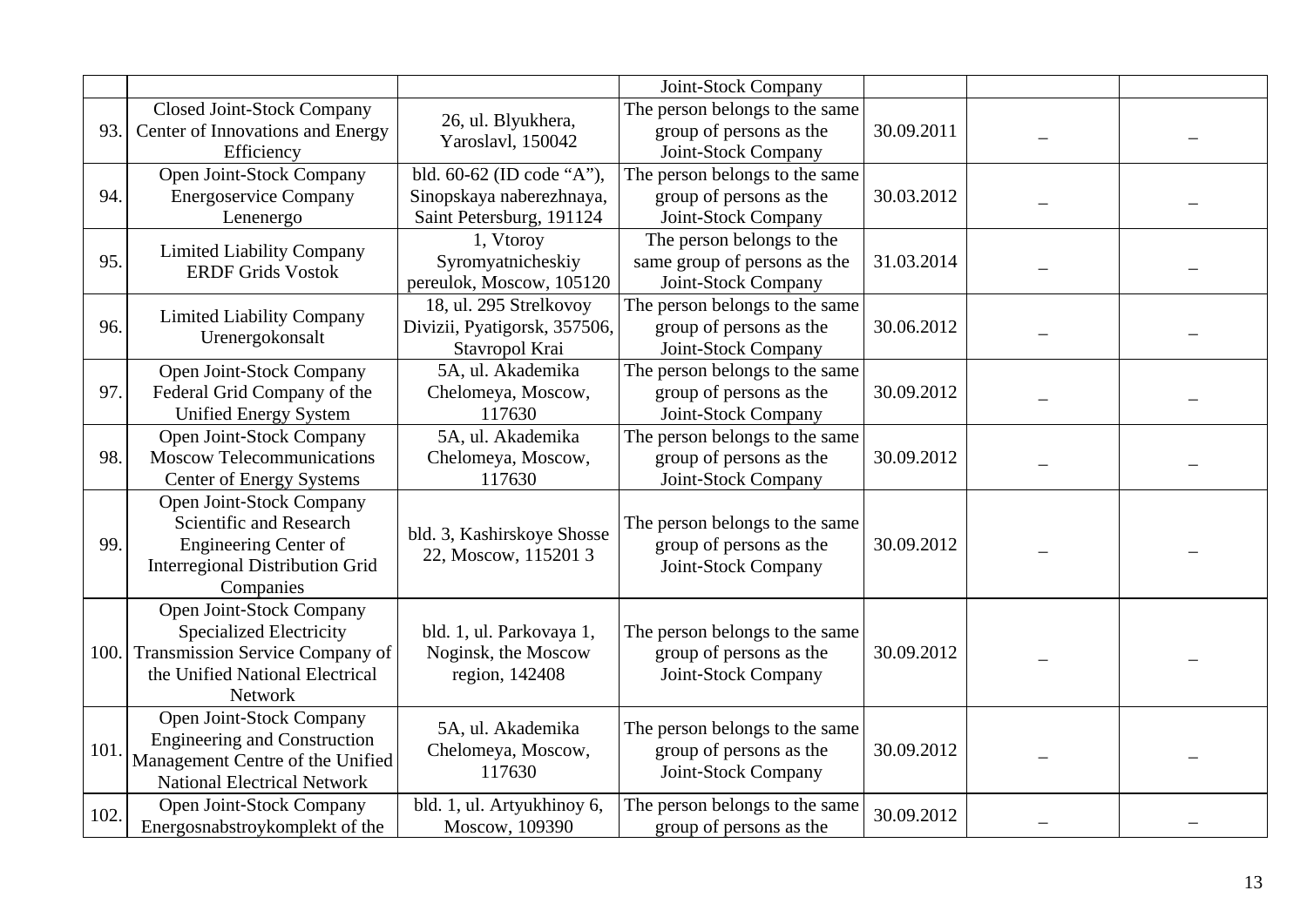|      |                                                                                                                                             |                                                                                   | Joint-Stock Company                                                              |            |  |
|------|---------------------------------------------------------------------------------------------------------------------------------------------|-----------------------------------------------------------------------------------|----------------------------------------------------------------------------------|------------|--|
| 93.  | <b>Closed Joint-Stock Company</b><br>Center of Innovations and Energy<br>Efficiency                                                         | 26, ul. Blyukhera,<br>Yaroslavl, 150042                                           | The person belongs to the same<br>group of persons as the<br>Joint-Stock Company | 30.09.2011 |  |
| 94.  | Open Joint-Stock Company<br><b>Energoservice Company</b><br>Lenenergo                                                                       | bld. 60-62 (ID code "A"),<br>Sinopskaya naberezhnaya,<br>Saint Petersburg, 191124 | The person belongs to the same<br>group of persons as the<br>Joint-Stock Company | 30.03.2012 |  |
| 95.  | <b>Limited Liability Company</b><br><b>ERDF Grids Vostok</b>                                                                                | 1, Vtoroy<br>Syromyatnicheskiy<br>pereulok, Moscow, 105120                        | The person belongs to the<br>same group of persons as the<br>Joint-Stock Company | 31.03.2014 |  |
| 96.  | <b>Limited Liability Company</b><br>Urenergokonsalt                                                                                         | 18, ul. 295 Strelkovoy<br>Divizii, Pyatigorsk, 357506,<br>Stavropol Krai          | The person belongs to the same<br>group of persons as the<br>Joint-Stock Company | 30.06.2012 |  |
| 97.  | Open Joint-Stock Company<br>Federal Grid Company of the<br><b>Unified Energy System</b>                                                     | 5A, ul. Akademika<br>Chelomeya, Moscow,<br>117630                                 | The person belongs to the same<br>group of persons as the<br>Joint-Stock Company | 30.09.2012 |  |
| 98.  | Open Joint-Stock Company<br><b>Moscow Telecommunications</b><br><b>Center of Energy Systems</b>                                             | 5A, ul. Akademika<br>Chelomeya, Moscow,<br>117630                                 | The person belongs to the same<br>group of persons as the<br>Joint-Stock Company | 30.09.2012 |  |
| 99.  | Open Joint-Stock Company<br>Scientific and Research<br><b>Engineering Center of</b><br><b>Interregional Distribution Grid</b><br>Companies  | bld. 3, Kashirskoye Shosse<br>22, Moscow, 115201 3                                | The person belongs to the same<br>group of persons as the<br>Joint-Stock Company | 30.09.2012 |  |
| 100. | Open Joint-Stock Company<br><b>Specialized Electricity</b><br>Transmission Service Company of<br>the Unified National Electrical<br>Network | bld. 1, ul. Parkovaya 1,<br>Noginsk, the Moscow<br>region, 142408                 | The person belongs to the same<br>group of persons as the<br>Joint-Stock Company | 30.09.2012 |  |
| 101  | Open Joint-Stock Company<br><b>Engineering and Construction</b><br>Management Centre of the Unified<br><b>National Electrical Network</b>   | 5A, ul. Akademika<br>Chelomeya, Moscow,<br>117630                                 | The person belongs to the same<br>group of persons as the<br>Joint-Stock Company | 30.09.2012 |  |
| 102. | Open Joint-Stock Company<br>Energosnabstroykomplekt of the                                                                                  | bld. 1, ul. Artyukhinoy 6,<br>Moscow, 109390                                      | The person belongs to the same<br>group of persons as the                        | 30.09.2012 |  |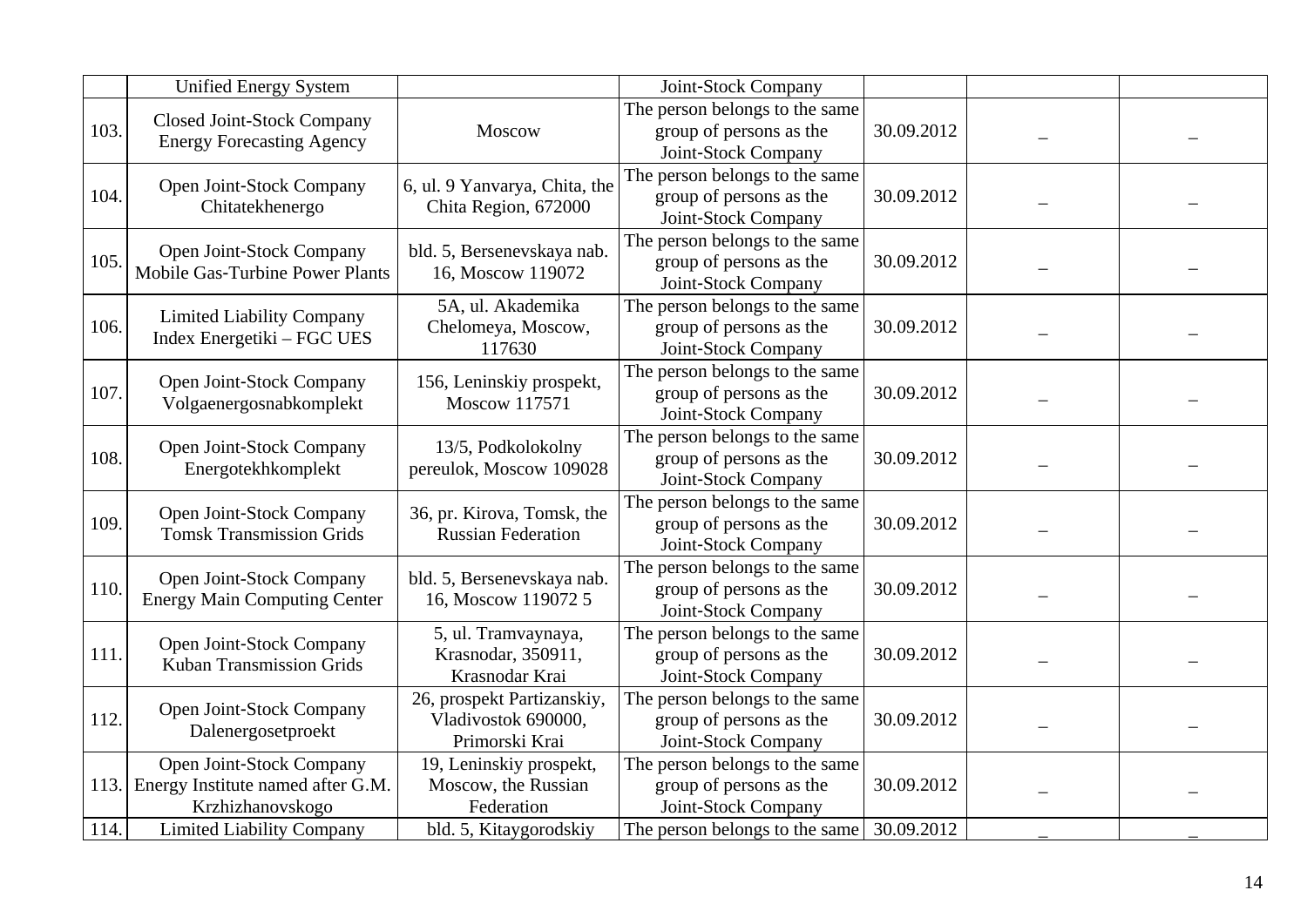|      | <b>Unified Energy System</b>                                                      |                                                                     | Joint-Stock Company                                                              |            |  |
|------|-----------------------------------------------------------------------------------|---------------------------------------------------------------------|----------------------------------------------------------------------------------|------------|--|
| 103. | <b>Closed Joint-Stock Company</b><br><b>Energy Forecasting Agency</b>             | Moscow                                                              | The person belongs to the same<br>group of persons as the<br>Joint-Stock Company | 30.09.2012 |  |
| 104. | Open Joint-Stock Company<br>Chitatekhenergo                                       | 6, ul. 9 Yanvarya, Chita, the<br>Chita Region, 672000               | The person belongs to the same<br>group of persons as the<br>Joint-Stock Company | 30.09.2012 |  |
| 105. | Open Joint-Stock Company<br><b>Mobile Gas-Turbine Power Plants</b>                | bld. 5, Bersenevskaya nab.<br>16, Moscow 119072                     | The person belongs to the same<br>group of persons as the<br>Joint-Stock Company | 30.09.2012 |  |
| 106. | <b>Limited Liability Company</b><br>Index Energetiki – FGC UES                    | 5A, ul. Akademika<br>Chelomeya, Moscow,<br>117630                   | The person belongs to the same<br>group of persons as the<br>Joint-Stock Company | 30.09.2012 |  |
| 107. | Open Joint-Stock Company<br>Volgaenergosnabkomplekt                               | 156, Leninskiy prospekt,<br>Moscow 117571                           | The person belongs to the same<br>group of persons as the<br>Joint-Stock Company | 30.09.2012 |  |
| 108. | Open Joint-Stock Company<br>Energotekhkomplekt                                    | 13/5, Podkolokolny<br>pereulok, Moscow 109028                       | The person belongs to the same<br>group of persons as the<br>Joint-Stock Company | 30.09.2012 |  |
| 109. | Open Joint-Stock Company<br><b>Tomsk Transmission Grids</b>                       | 36, pr. Kirova, Tomsk, the<br><b>Russian Federation</b>             | The person belongs to the same<br>group of persons as the<br>Joint-Stock Company | 30.09.2012 |  |
| 110. | Open Joint-Stock Company<br><b>Energy Main Computing Center</b>                   | bld. 5, Bersenevskaya nab.<br>16, Moscow 119072 5                   | The person belongs to the same<br>group of persons as the<br>Joint-Stock Company | 30.09.2012 |  |
| 111. | Open Joint-Stock Company<br><b>Kuban Transmission Grids</b>                       | 5, ul. Tramvaynaya,<br>Krasnodar, 350911,<br>Krasnodar Krai         | The person belongs to the same<br>group of persons as the<br>Joint-Stock Company | 30.09.2012 |  |
| 112. | Open Joint-Stock Company<br>Dalenergosetproekt                                    | 26, prospekt Partizanskiy,<br>Vladivostok 690000,<br>Primorski Krai | The person belongs to the same<br>group of persons as the<br>Joint-Stock Company | 30.09.2012 |  |
| 113. | Open Joint-Stock Company<br>Energy Institute named after G.M.<br>Krzhizhanovskogo | 19, Leninskiy prospekt,<br>Moscow, the Russian<br>Federation        | The person belongs to the same<br>group of persons as the<br>Joint-Stock Company | 30.09.2012 |  |
| 114. | <b>Limited Liability Company</b>                                                  | bld. 5, Kitaygorodskiy                                              | The person belongs to the same                                                   | 30.09.2012 |  |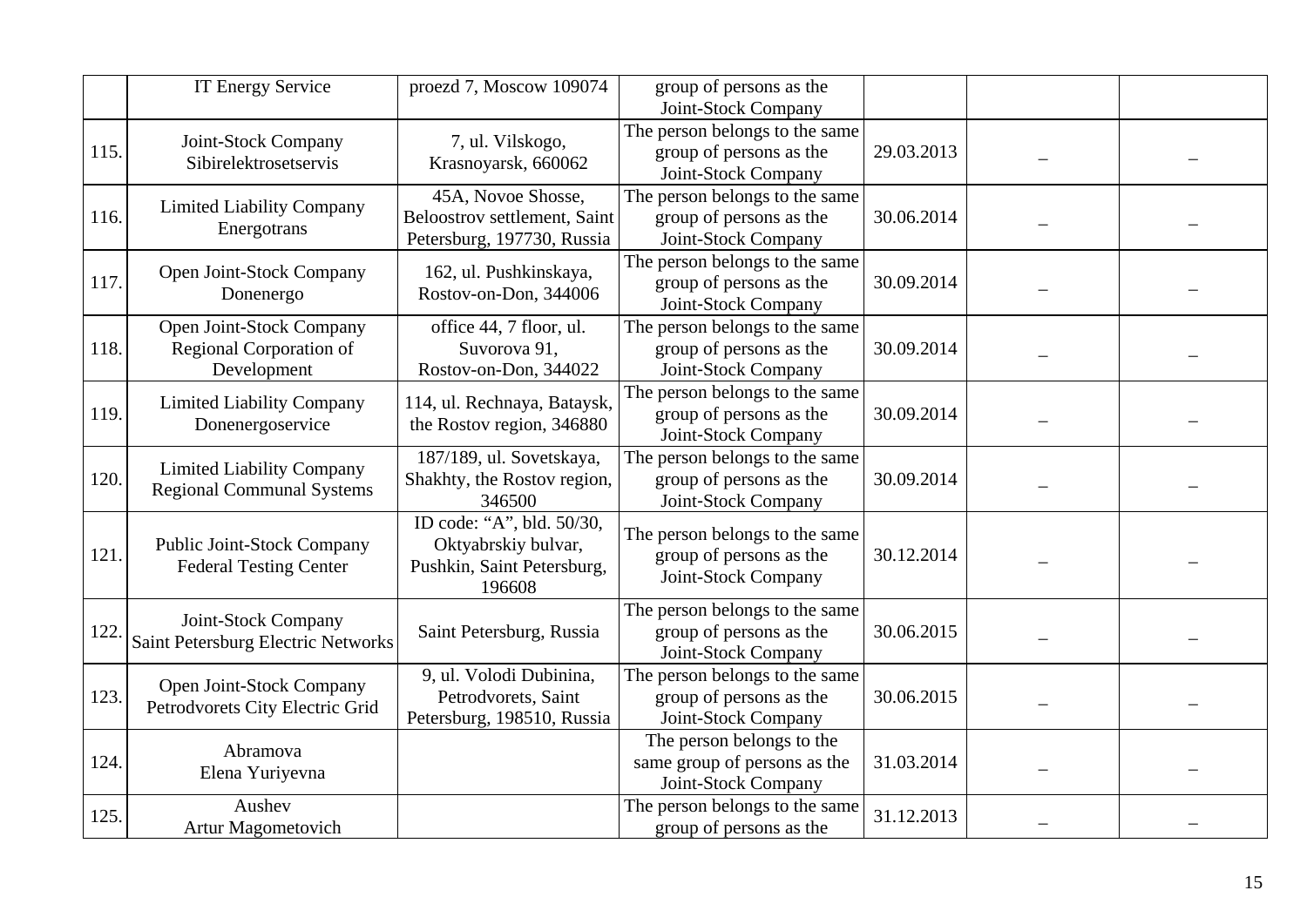|      | <b>IT Energy Service</b>                                             | proezd 7, Moscow 109074                                                                  | group of persons as the<br>Joint-Stock Company                                   |            |  |
|------|----------------------------------------------------------------------|------------------------------------------------------------------------------------------|----------------------------------------------------------------------------------|------------|--|
| 115. | Joint-Stock Company<br>Sibirelektrosetservis                         | 7, ul. Vilskogo,<br>Krasnoyarsk, 660062                                                  | The person belongs to the same<br>group of persons as the<br>Joint-Stock Company | 29.03.2013 |  |
| 116. | <b>Limited Liability Company</b><br>Energotrans                      | 45A, Novoe Shosse,<br>Beloostrov settlement, Saint<br>Petersburg, 197730, Russia         | The person belongs to the same<br>group of persons as the<br>Joint-Stock Company | 30.06.2014 |  |
| 117. | Open Joint-Stock Company<br>Donenergo                                | 162, ul. Pushkinskaya,<br>Rostov-on-Don, 344006                                          | The person belongs to the same<br>group of persons as the<br>Joint-Stock Company | 30.09.2014 |  |
| 118. | Open Joint-Stock Company<br>Regional Corporation of<br>Development   | office 44, 7 floor, ul.<br>Suvorova 91,<br>Rostov-on-Don, 344022                         | The person belongs to the same<br>group of persons as the<br>Joint-Stock Company | 30.09.2014 |  |
| 119. | <b>Limited Liability Company</b><br>Donenergoservice                 | 114, ul. Rechnaya, Bataysk,<br>the Rostov region, 346880                                 | The person belongs to the same<br>group of persons as the<br>Joint-Stock Company | 30.09.2014 |  |
| 120. | <b>Limited Liability Company</b><br><b>Regional Communal Systems</b> | 187/189, ul. Sovetskaya,<br>Shakhty, the Rostov region,<br>346500                        | The person belongs to the same<br>group of persons as the<br>Joint-Stock Company | 30.09.2014 |  |
| 121. | <b>Public Joint-Stock Company</b><br><b>Federal Testing Center</b>   | ID code: "A", bld. 50/30,<br>Oktyabrskiy bulvar,<br>Pushkin, Saint Petersburg,<br>196608 | The person belongs to the same<br>group of persons as the<br>Joint-Stock Company | 30.12.2014 |  |
| 122  | Joint-Stock Company<br>Saint Petersburg Electric Networks            | Saint Petersburg, Russia                                                                 | The person belongs to the same<br>group of persons as the<br>Joint-Stock Company | 30.06.2015 |  |
| 123. | Open Joint-Stock Company<br>Petrodvorets City Electric Grid          | 9, ul. Volodi Dubinina,<br>Petrodvorets, Saint<br>Petersburg, 198510, Russia             | The person belongs to the same<br>group of persons as the<br>Joint-Stock Company | 30.06.2015 |  |
| 124. | Abramova<br>Elena Yuriyevna                                          |                                                                                          | The person belongs to the<br>same group of persons as the<br>Joint-Stock Company | 31.03.2014 |  |
| 125. | Aushev<br>Artur Magometovich                                         |                                                                                          | The person belongs to the same<br>group of persons as the                        | 31.12.2013 |  |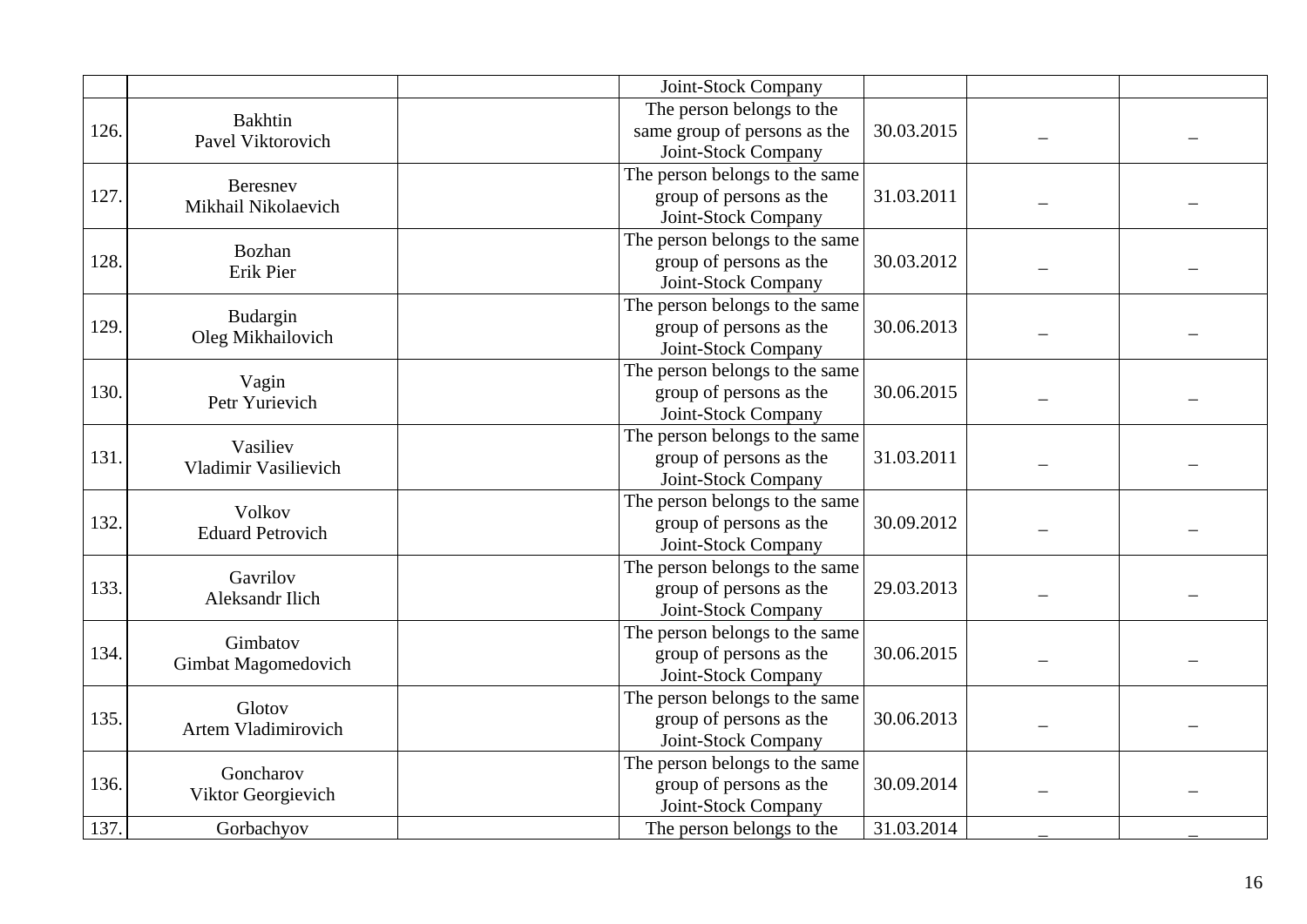|      |                                  | Joint-Stock Company            |            |  |
|------|----------------------------------|--------------------------------|------------|--|
|      | <b>Bakhtin</b>                   | The person belongs to the      |            |  |
| 126. | Pavel Viktorovich                | same group of persons as the   | 30.03.2015 |  |
|      |                                  | Joint-Stock Company            |            |  |
|      | Beresnev                         | The person belongs to the same |            |  |
| 127. | Mikhail Nikolaevich              | group of persons as the        | 31.03.2011 |  |
|      |                                  | Joint-Stock Company            |            |  |
|      | Bozhan                           | The person belongs to the same |            |  |
| 128. | Erik Pier                        | group of persons as the        | 30.03.2012 |  |
|      |                                  | Joint-Stock Company            |            |  |
|      | Budargin                         | The person belongs to the same |            |  |
| 129. | Oleg Mikhailovich                | group of persons as the        | 30.06.2013 |  |
|      |                                  | Joint-Stock Company            |            |  |
|      | Vagin                            | The person belongs to the same |            |  |
| 130. | Petr Yurievich                   | group of persons as the        | 30.06.2015 |  |
|      |                                  | Joint-Stock Company            |            |  |
|      | Vasiliev<br>Vladimir Vasilievich | The person belongs to the same |            |  |
| 131. |                                  | group of persons as the        | 31.03.2011 |  |
|      |                                  | Joint-Stock Company            |            |  |
|      | Volkov                           | The person belongs to the same |            |  |
| 132. | <b>Eduard Petrovich</b>          | group of persons as the        | 30.09.2012 |  |
|      |                                  | Joint-Stock Company            |            |  |
|      | Gavrilov                         | The person belongs to the same |            |  |
| 133. | <b>Aleksandr Ilich</b>           | group of persons as the        | 29.03.2013 |  |
|      |                                  | Joint-Stock Company            |            |  |
|      | Gimbatov                         | The person belongs to the same |            |  |
| 134. | Gimbat Magomedovich              | group of persons as the        | 30.06.2015 |  |
|      |                                  | Joint-Stock Company            |            |  |
|      | Glotov                           | The person belongs to the same |            |  |
| 135. | Artem Vladimirovich              | group of persons as the        | 30.06.2013 |  |
|      |                                  | Joint-Stock Company            |            |  |
|      | Goncharov                        | The person belongs to the same |            |  |
| 136. | Viktor Georgievich               | group of persons as the        | 30.09.2014 |  |
|      |                                  | Joint-Stock Company            |            |  |
| 137. | Gorbachyov                       | The person belongs to the      | 31.03.2014 |  |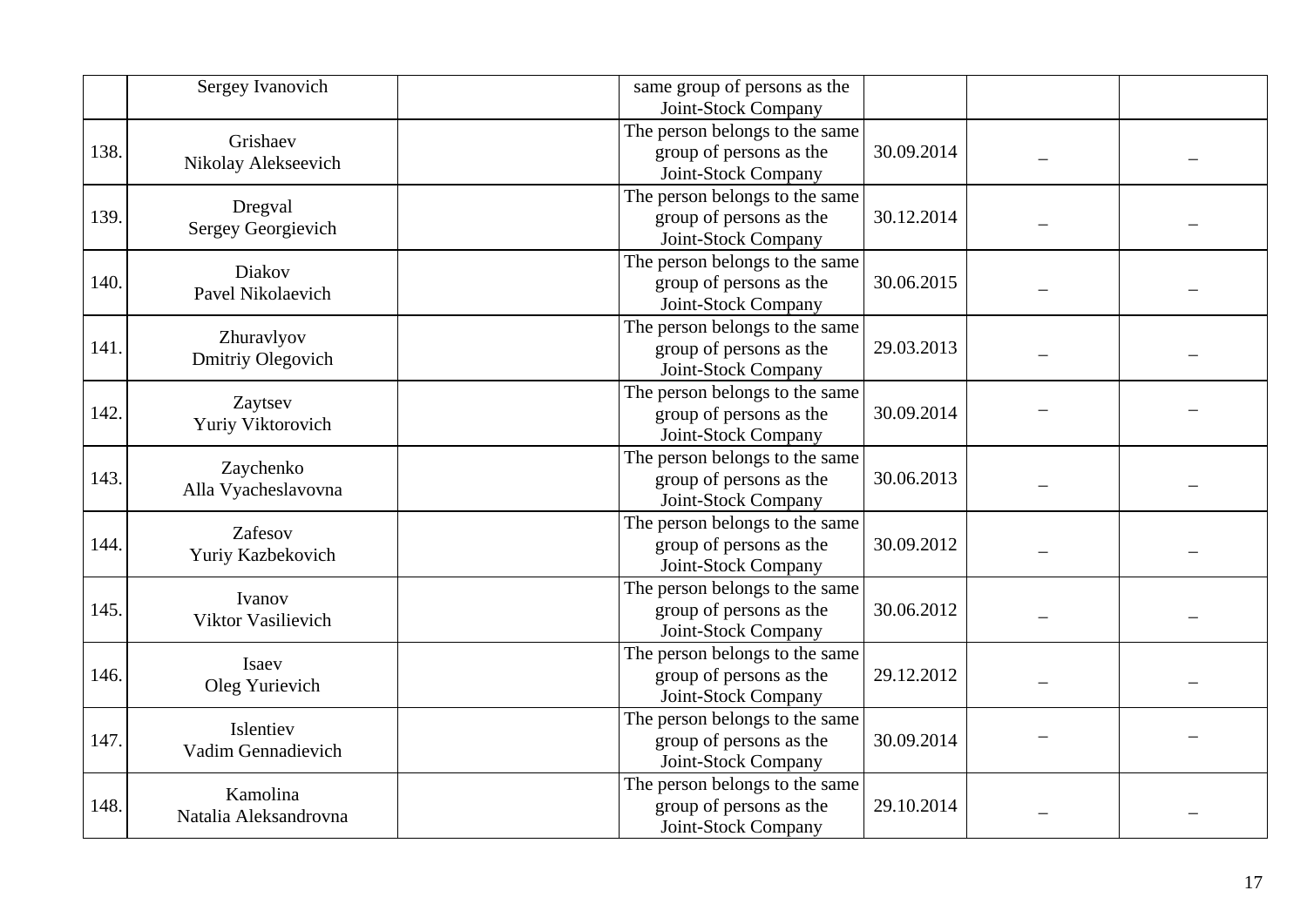|      | Sergey Ivanovich                  | same group of persons as the<br>Joint-Stock Company                              |            |  |
|------|-----------------------------------|----------------------------------------------------------------------------------|------------|--|
| 138. | Grishaev<br>Nikolay Alekseevich   | The person belongs to the same<br>group of persons as the<br>Joint-Stock Company | 30.09.2014 |  |
| 139. | Dregval<br>Sergey Georgievich     | The person belongs to the same<br>group of persons as the<br>Joint-Stock Company | 30.12.2014 |  |
| 140. | Diakov<br>Pavel Nikolaevich       | The person belongs to the same<br>group of persons as the<br>Joint-Stock Company | 30.06.2015 |  |
| 141. | Zhuravlyov<br>Dmitriy Olegovich   | The person belongs to the same<br>group of persons as the<br>Joint-Stock Company | 29.03.2013 |  |
| 142. | Zaytsev<br>Yuriy Viktorovich      | The person belongs to the same<br>group of persons as the<br>Joint-Stock Company | 30.09.2014 |  |
| 143. | Zaychenko<br>Alla Vyacheslavovna  | The person belongs to the same<br>group of persons as the<br>Joint-Stock Company | 30.06.2013 |  |
| 144. | Zafesov<br>Yuriy Kazbekovich      | The person belongs to the same<br>group of persons as the<br>Joint-Stock Company | 30.09.2012 |  |
| 145. | Ivanov<br>Viktor Vasilievich      | The person belongs to the same<br>group of persons as the<br>Joint-Stock Company | 30.06.2012 |  |
| 146. | Isaev<br>Oleg Yurievich           | The person belongs to the same<br>group of persons as the<br>Joint-Stock Company | 29.12.2012 |  |
| 147. | Islentiev<br>Vadim Gennadievich   | The person belongs to the same<br>group of persons as the<br>Joint-Stock Company | 30.09.2014 |  |
| 148. | Kamolina<br>Natalia Aleksandrovna | The person belongs to the same<br>group of persons as the<br>Joint-Stock Company | 29.10.2014 |  |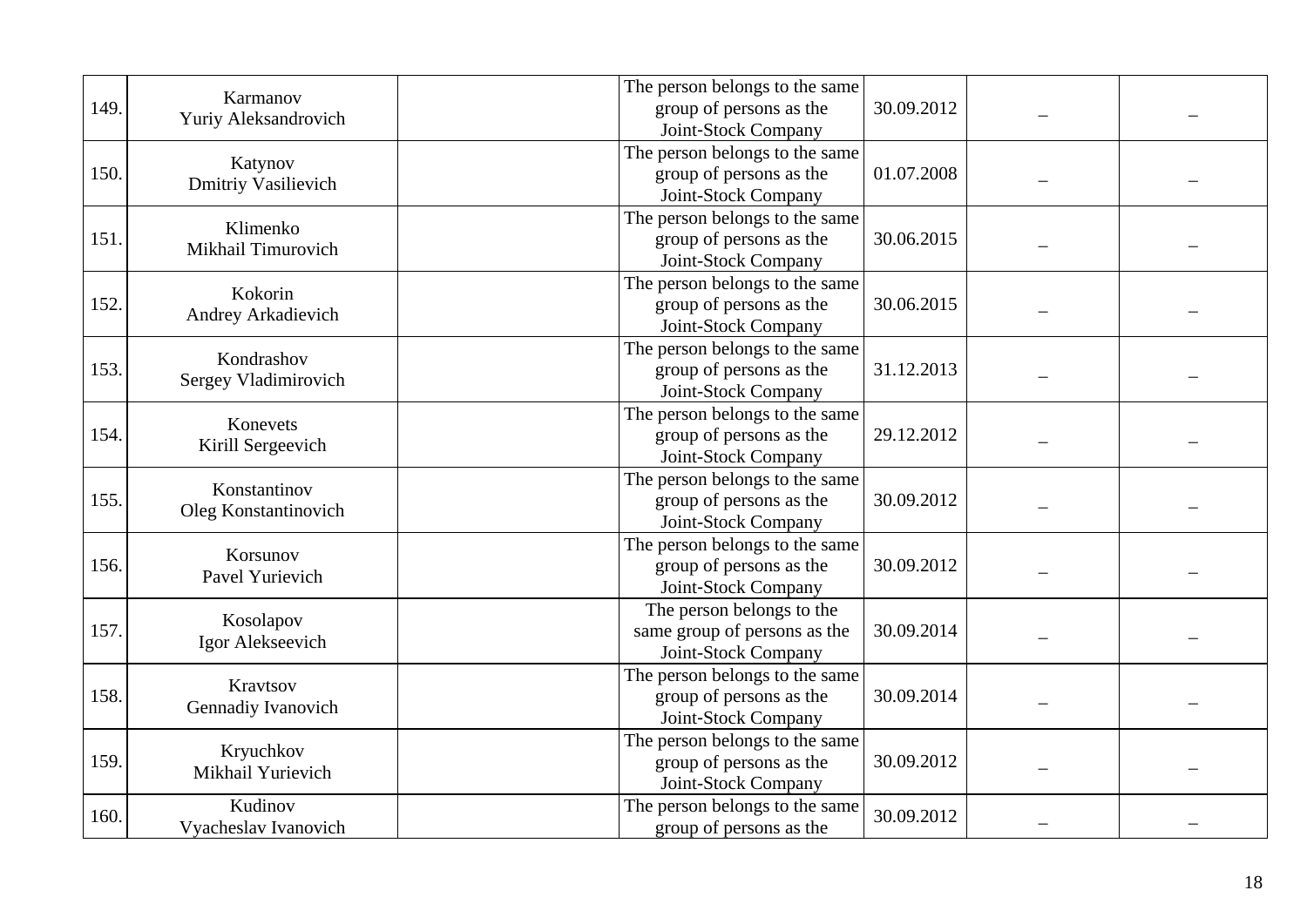| 149. | Karmanov<br>Yuriy Aleksandrovich      | The person belongs to the same<br>group of persons as the<br>Joint-Stock Company | 30.09.2012 |  |
|------|---------------------------------------|----------------------------------------------------------------------------------|------------|--|
| 150. | Katynov<br><b>Dmitriy Vasilievich</b> | The person belongs to the same<br>group of persons as the<br>Joint-Stock Company | 01.07.2008 |  |
| 151  | Klimenko<br>Mikhail Timurovich        | The person belongs to the same<br>group of persons as the<br>Joint-Stock Company | 30.06.2015 |  |
| 152. | Kokorin<br>Andrey Arkadievich         | The person belongs to the same<br>group of persons as the<br>Joint-Stock Company | 30.06.2015 |  |
| 153. | Kondrashov<br>Sergey Vladimirovich    | The person belongs to the same<br>group of persons as the<br>Joint-Stock Company | 31.12.2013 |  |
| 154. | Konevets<br>Kirill Sergeevich         | The person belongs to the same<br>group of persons as the<br>Joint-Stock Company | 29.12.2012 |  |
| 155. | Konstantinov<br>Oleg Konstantinovich  | The person belongs to the same<br>group of persons as the<br>Joint-Stock Company | 30.09.2012 |  |
| 156. | Korsunov<br>Pavel Yurievich           | The person belongs to the same<br>group of persons as the<br>Joint-Stock Company | 30.09.2012 |  |
| 157. | Kosolapov<br>Igor Alekseevich         | The person belongs to the<br>same group of persons as the<br>Joint-Stock Company | 30.09.2014 |  |
| 158. | Kravtsov<br>Gennadiy Ivanovich        | The person belongs to the same<br>group of persons as the<br>Joint-Stock Company | 30.09.2014 |  |
| 159. | Kryuchkov<br>Mikhail Yurievich        | The person belongs to the same<br>group of persons as the<br>Joint-Stock Company | 30.09.2012 |  |
| 160. | Kudinov<br>Vyacheslav Ivanovich       | The person belongs to the same<br>group of persons as the                        | 30.09.2012 |  |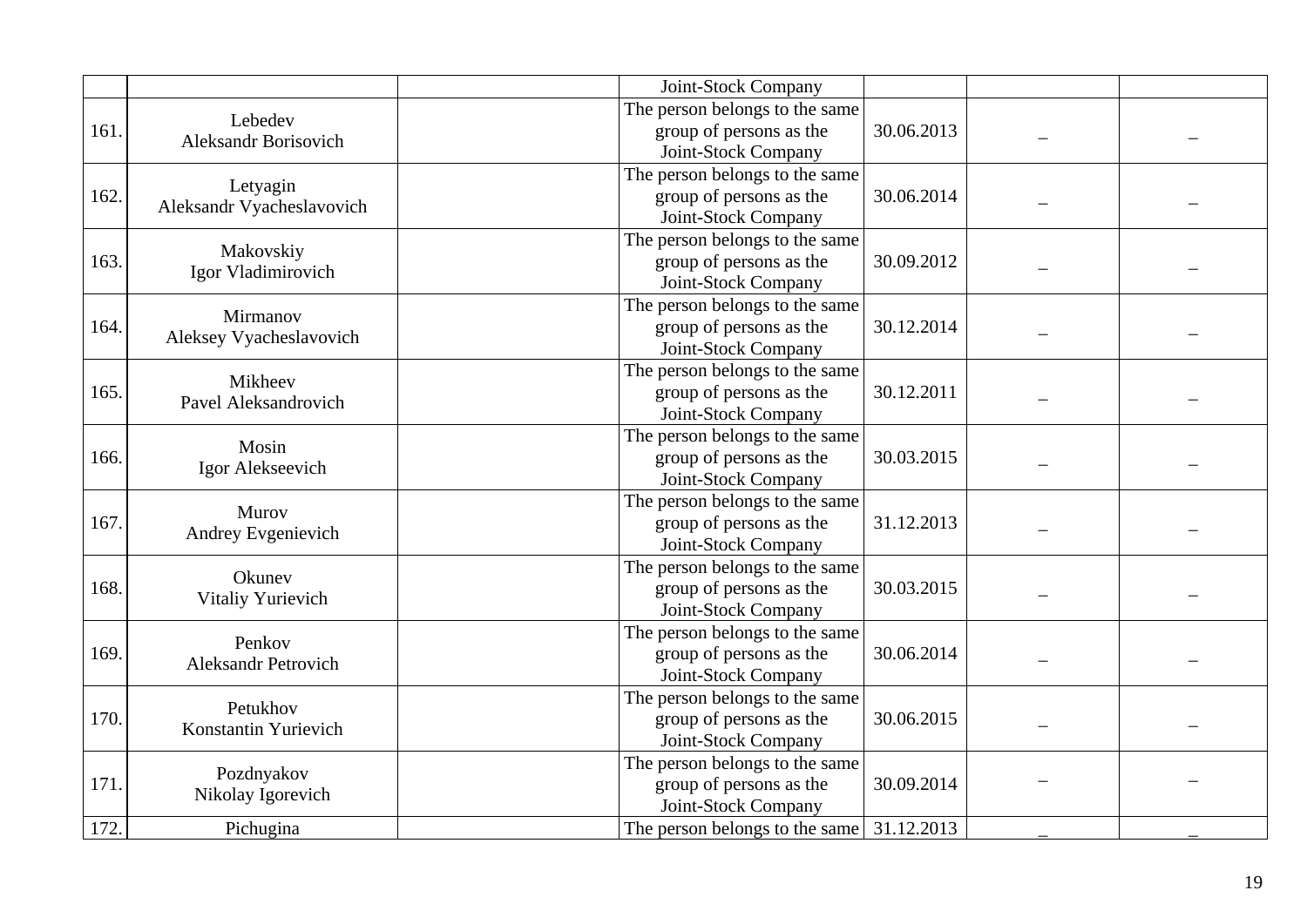|      |                             | Joint-Stock Company            |            |  |
|------|-----------------------------|--------------------------------|------------|--|
|      | Lebedev                     | The person belongs to the same |            |  |
| 161. | <b>Aleksandr Borisovich</b> | group of persons as the        | 30.06.2013 |  |
|      |                             | Joint-Stock Company            |            |  |
|      | Letyagin                    | The person belongs to the same |            |  |
| 162. | Aleksandr Vyacheslavovich   | group of persons as the        | 30.06.2014 |  |
|      |                             | Joint-Stock Company            |            |  |
|      | Makovskiy                   | The person belongs to the same |            |  |
| 163. | Igor Vladimirovich          | group of persons as the        | 30.09.2012 |  |
|      |                             | Joint-Stock Company            |            |  |
|      | Mirmanov                    | The person belongs to the same |            |  |
| 164. | Aleksey Vyacheslavovich     | group of persons as the        | 30.12.2014 |  |
|      |                             | Joint-Stock Company            |            |  |
|      | Mikheev                     | The person belongs to the same |            |  |
| 165. | Pavel Aleksandrovich        | group of persons as the        | 30.12.2011 |  |
|      |                             | Joint-Stock Company            |            |  |
|      | Mosin<br>Igor Alekseevich   | The person belongs to the same |            |  |
| 166. |                             | group of persons as the        | 30.03.2015 |  |
|      |                             | Joint-Stock Company            |            |  |
|      | Murov                       | The person belongs to the same |            |  |
| 167. | Andrey Evgenievich          | group of persons as the        | 31.12.2013 |  |
|      |                             | Joint-Stock Company            |            |  |
|      | Okunev                      | The person belongs to the same |            |  |
| 168. | Vitaliy Yurievich           | group of persons as the        | 30.03.2015 |  |
|      |                             | Joint-Stock Company            |            |  |
|      | Penkov                      | The person belongs to the same |            |  |
| 169. | <b>Aleksandr Petrovich</b>  | group of persons as the        | 30.06.2014 |  |
|      |                             | Joint-Stock Company            |            |  |
|      | Petukhov                    | The person belongs to the same |            |  |
| 170. | Konstantin Yurievich        | group of persons as the        | 30.06.2015 |  |
|      |                             | Joint-Stock Company            |            |  |
|      | Pozdnyakov                  | The person belongs to the same |            |  |
| 171. | Nikolay Igorevich           | group of persons as the        | 30.09.2014 |  |
|      |                             | Joint-Stock Company            |            |  |
| 172. | Pichugina                   | The person belongs to the same | 31.12.2013 |  |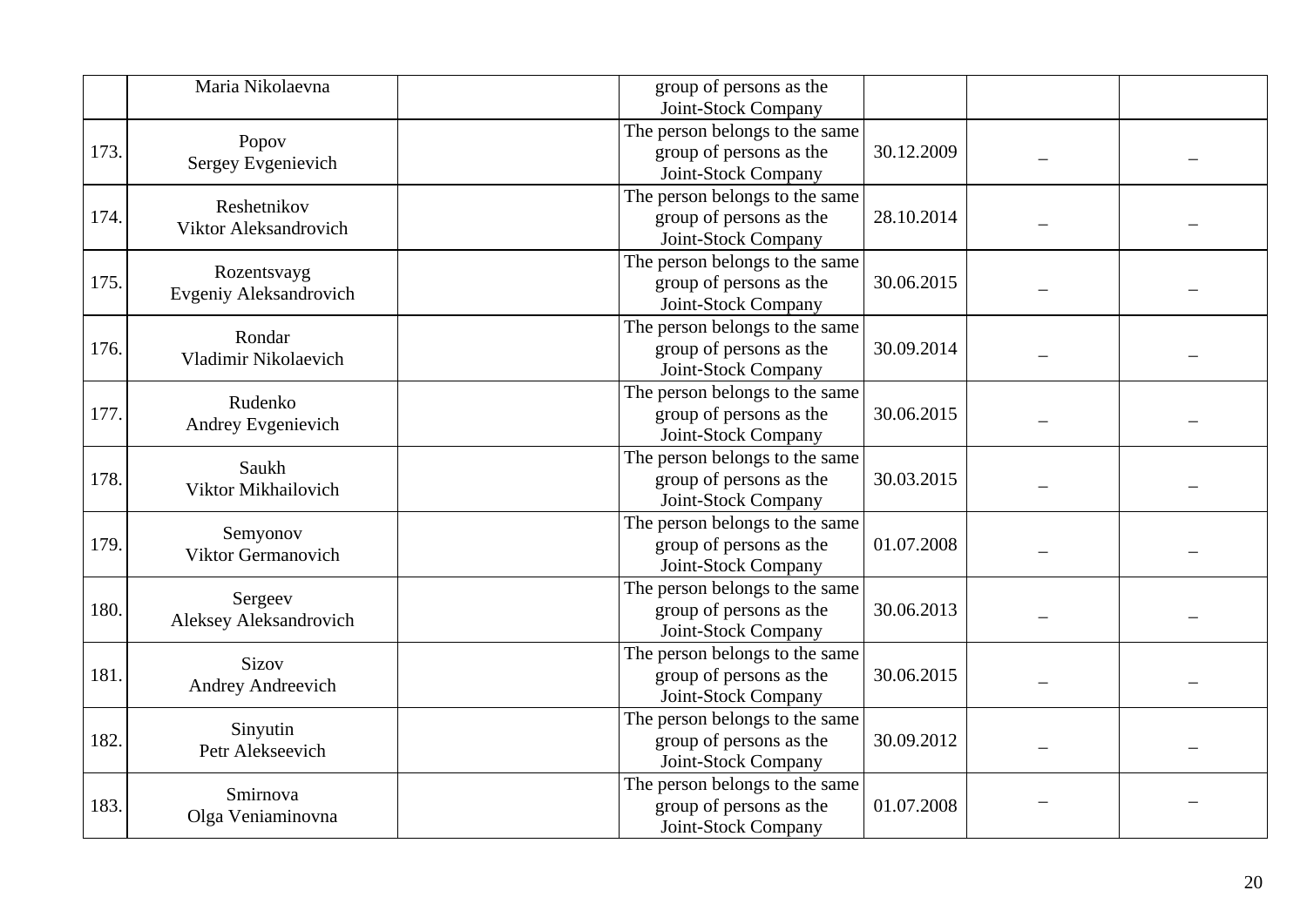|      | Maria Nikolaevna             | group of persons as the<br>Joint-Stock Company |  |
|------|------------------------------|------------------------------------------------|--|
|      |                              | The person belongs to the same                 |  |
| 173. | Popov                        | 30.12.2009<br>group of persons as the          |  |
|      | Sergey Evgenievich           | Joint-Stock Company                            |  |
|      |                              | The person belongs to the same                 |  |
| 174. | Reshetnikov                  | 28.10.2014<br>group of persons as the          |  |
|      | Viktor Aleksandrovich        | Joint-Stock Company                            |  |
|      |                              | The person belongs to the same                 |  |
| 175. | Rozentsvayg                  | group of persons as the<br>30.06.2015          |  |
|      | Evgeniy Aleksandrovich       | Joint-Stock Company                            |  |
|      |                              | The person belongs to the same                 |  |
| 176. | Rondar                       | group of persons as the<br>30.09.2014          |  |
|      | Vladimir Nikolaevich         | Joint-Stock Company                            |  |
|      |                              | The person belongs to the same                 |  |
| 177. | Rudenko                      | group of persons as the<br>30.06.2015          |  |
|      | Andrey Evgenievich           | Joint-Stock Company                            |  |
|      |                              | The person belongs to the same                 |  |
| 178. | Saukh<br>Viktor Mikhailovich | group of persons as the<br>30.03.2015          |  |
|      |                              | Joint-Stock Company                            |  |
|      | Semyonov                     | The person belongs to the same                 |  |
| 179. | Viktor Germanovich           | group of persons as the<br>01.07.2008          |  |
|      |                              | Joint-Stock Company                            |  |
|      | Sergeev                      | The person belongs to the same                 |  |
| 180. | Aleksey Aleksandrovich       | group of persons as the<br>30.06.2013          |  |
|      |                              | Joint-Stock Company                            |  |
|      | <b>Sizov</b>                 | The person belongs to the same                 |  |
| 181. | Andrey Andreevich            | group of persons as the<br>30.06.2015          |  |
|      |                              | Joint-Stock Company                            |  |
|      | Sinyutin                     | The person belongs to the same                 |  |
| 182. | Petr Alekseevich             | group of persons as the<br>30.09.2012          |  |
|      |                              | Joint-Stock Company                            |  |
|      | Smirnova                     | The person belongs to the same                 |  |
| 183. | Olga Veniaminovna            | group of persons as the<br>01.07.2008          |  |
|      |                              | Joint-Stock Company                            |  |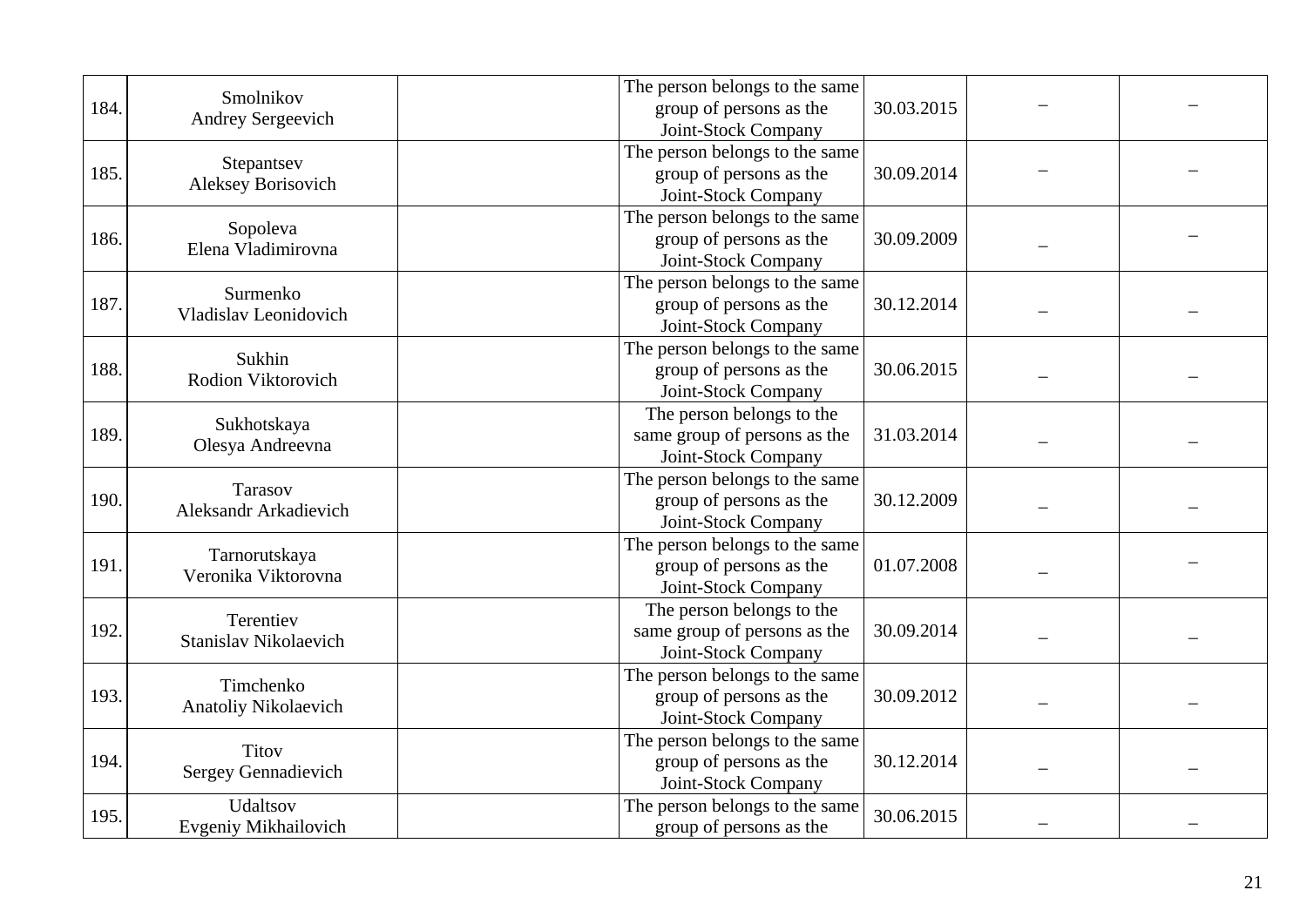| 184. | Smolnikov<br>Andrey Sergeevich                 | The person belongs to the same<br>group of persons as the<br>Joint-Stock Company | 30.03.2015 |  |
|------|------------------------------------------------|----------------------------------------------------------------------------------|------------|--|
| 185. | Stepantsev<br><b>Aleksey Borisovich</b>        | The person belongs to the same<br>group of persons as the<br>Joint-Stock Company | 30.09.2014 |  |
| 186. | Sopoleva<br>Elena Vladimirovna                 | The person belongs to the same<br>group of persons as the<br>Joint-Stock Company | 30.09.2009 |  |
| 187. | Surmenko<br>Vladislav Leonidovich              | The person belongs to the same<br>group of persons as the<br>Joint-Stock Company | 30.12.2014 |  |
| 188. | Sukhin<br>Rodion Viktorovich                   | The person belongs to the same<br>group of persons as the<br>Joint-Stock Company | 30.06.2015 |  |
| 189. | Sukhotskaya<br>Olesya Andreevna                | The person belongs to the<br>same group of persons as the<br>Joint-Stock Company | 31.03.2014 |  |
| 190. | <b>Tarasov</b><br><b>Aleksandr Arkadievich</b> | The person belongs to the same<br>group of persons as the<br>Joint-Stock Company | 30.12.2009 |  |
| 191  | Tarnorutskaya<br>Veronika Viktorovna           | The person belongs to the same<br>group of persons as the<br>Joint-Stock Company | 01.07.2008 |  |
| 192. | Terentiev<br>Stanislav Nikolaevich             | The person belongs to the<br>same group of persons as the<br>Joint-Stock Company | 30.09.2014 |  |
| 193. | Timchenko<br>Anatoliy Nikolaevich              | The person belongs to the same<br>group of persons as the<br>Joint-Stock Company | 30.09.2012 |  |
| 194. | <b>Titov</b><br>Sergey Gennadievich            | The person belongs to the same<br>group of persons as the<br>Joint-Stock Company | 30.12.2014 |  |
| 195. | Udaltsov<br>Evgeniy Mikhailovich               | The person belongs to the same<br>group of persons as the                        | 30.06.2015 |  |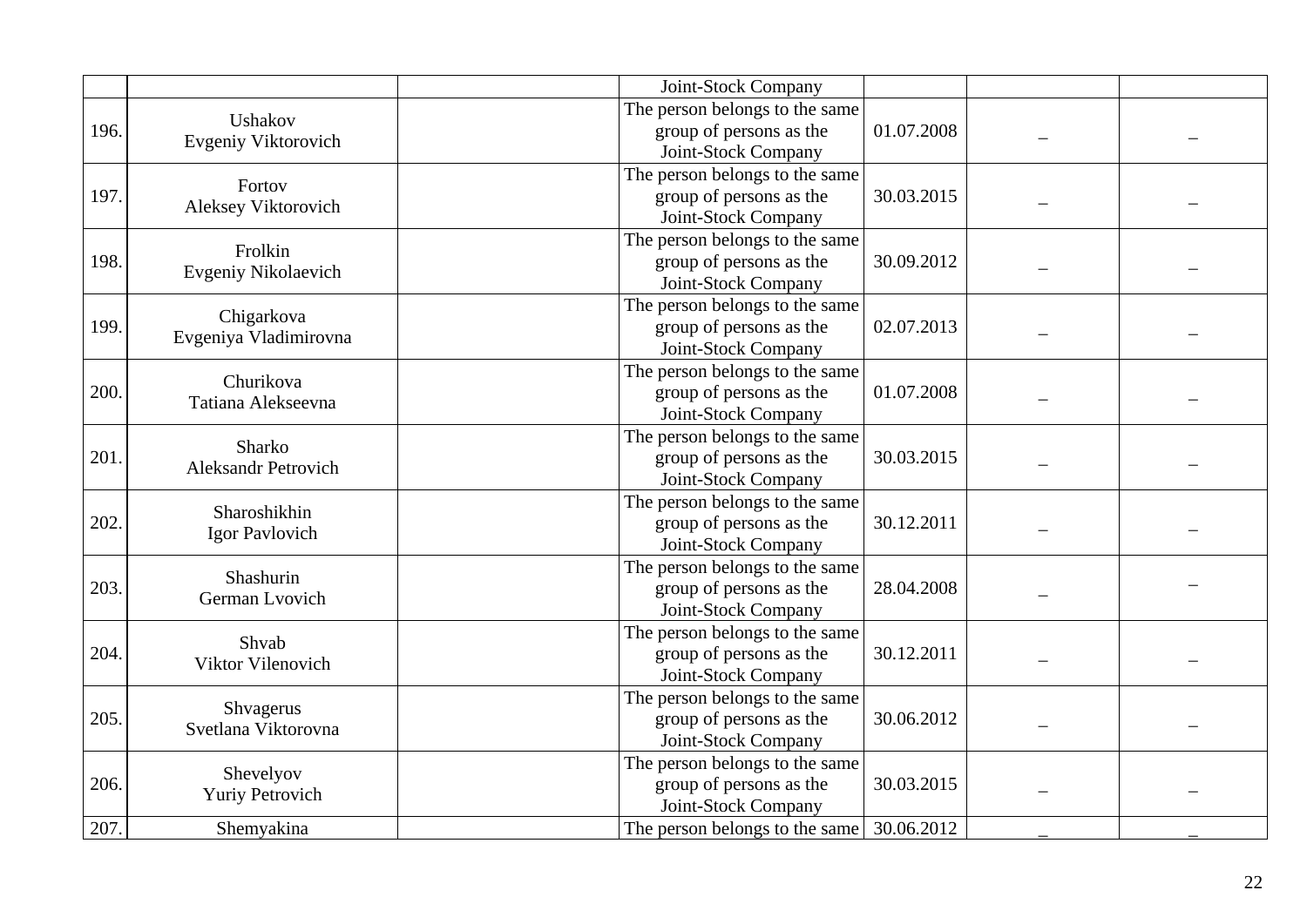|      |                                      | Joint-Stock Company            |            |  |
|------|--------------------------------------|--------------------------------|------------|--|
|      | Ushakov                              | The person belongs to the same |            |  |
| 196. | Evgeniy Viktorovich                  | group of persons as the        | 01.07.2008 |  |
|      |                                      | Joint-Stock Company            |            |  |
|      | Fortov                               | The person belongs to the same |            |  |
| 197. | Aleksey Viktorovich                  | group of persons as the        | 30.03.2015 |  |
|      |                                      | Joint-Stock Company            |            |  |
|      | Frolkin                              | The person belongs to the same |            |  |
| 198. | Evgeniy Nikolaevich                  | group of persons as the        | 30.09.2012 |  |
|      |                                      | Joint-Stock Company            |            |  |
|      |                                      | The person belongs to the same |            |  |
| 199. | Chigarkova<br>Evgeniya Vladimirovna  | group of persons as the        | 02.07.2013 |  |
|      |                                      | Joint-Stock Company            |            |  |
|      | Churikova                            | The person belongs to the same |            |  |
| 200. |                                      | group of persons as the        | 01.07.2008 |  |
|      | Tatiana Alekseevna                   | Joint-Stock Company            |            |  |
|      | Sharko<br><b>Aleksandr Petrovich</b> | The person belongs to the same |            |  |
| 201. |                                      | group of persons as the        | 30.03.2015 |  |
|      |                                      | Joint-Stock Company            |            |  |
|      |                                      | The person belongs to the same |            |  |
| 202. | Sharoshikhin                         | group of persons as the        | 30.12.2011 |  |
|      | Igor Pavlovich                       | Joint-Stock Company            |            |  |
|      |                                      | The person belongs to the same |            |  |
| 203. | Shashurin                            | group of persons as the        | 28.04.2008 |  |
|      | German Lvovich                       | Joint-Stock Company            |            |  |
|      |                                      | The person belongs to the same |            |  |
| 204. | Shvab                                | group of persons as the        | 30.12.2011 |  |
|      | Viktor Vilenovich                    | Joint-Stock Company            |            |  |
|      |                                      | The person belongs to the same |            |  |
| 205. | Shvagerus                            | group of persons as the        | 30.06.2012 |  |
|      | Svetlana Viktorovna                  | Joint-Stock Company            |            |  |
|      |                                      | The person belongs to the same |            |  |
| 206. | Shevelyov                            | group of persons as the        | 30.03.2015 |  |
|      | <b>Yuriy Petrovich</b>               | Joint-Stock Company            |            |  |
| 207. | Shemyakina                           | The person belongs to the same | 30.06.2012 |  |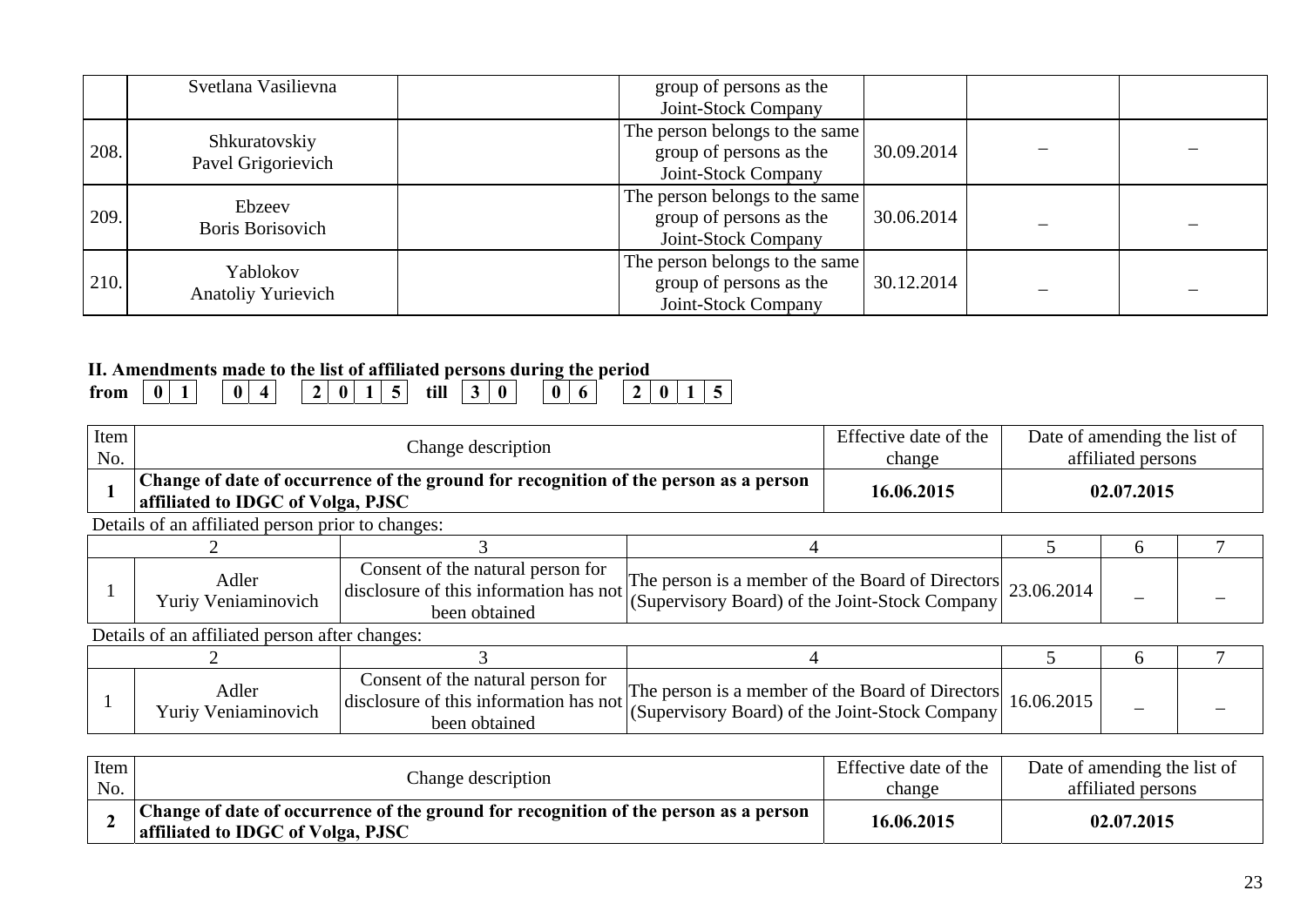|      | Svetlana Vasilievna                   | group of persons as the<br>Joint-Stock Company                                   |            |  |
|------|---------------------------------------|----------------------------------------------------------------------------------|------------|--|
| 208. | Shkuratovskiy<br>Pavel Grigorievich   | The person belongs to the same<br>group of persons as the<br>Joint-Stock Company | 30.09.2014 |  |
| 209. | Ebzeev<br>Boris Borisovich            | The person belongs to the same<br>group of persons as the<br>Joint-Stock Company | 30.06.2014 |  |
| 210. | Yablokov<br><b>Anatoliy Yurievich</b> | The person belongs to the same<br>group of persons as the<br>Joint-Stock Company | 30.12.2014 |  |

## **II. Amendments made to the list of affiliated persons during the period**

| 11, THIRMINING HUWAY AND MIN INTO A MINIMARY NA DATA MAI HIE AND DATION |  |  |  |  |  |      |  | ___ |  |   |  |  |
|-------------------------------------------------------------------------|--|--|--|--|--|------|--|-----|--|---|--|--|
| trom                                                                    |  |  |  |  |  | till |  |     |  | Ð |  |  |

| Item<br>No.      |                                                                                                                                                                                                                                                              | Change description                                                                           |                                                                                                                       | Effective date of the<br>change | Date of amending the list of<br>affiliated persons |            |  |
|------------------|--------------------------------------------------------------------------------------------------------------------------------------------------------------------------------------------------------------------------------------------------------------|----------------------------------------------------------------------------------------------|-----------------------------------------------------------------------------------------------------------------------|---------------------------------|----------------------------------------------------|------------|--|
|                  | affiliated to IDGC of Volga, PJSC                                                                                                                                                                                                                            | Change of date of occurrence of the ground for recognition of the person as a person         |                                                                                                                       | 16.06.2015                      |                                                    | 02.07.2015 |  |
|                  | Details of an affiliated person prior to changes:                                                                                                                                                                                                            |                                                                                              |                                                                                                                       |                                 |                                                    |            |  |
|                  |                                                                                                                                                                                                                                                              |                                                                                              |                                                                                                                       |                                 |                                                    | h          |  |
|                  | Consent of the natural person for<br>The person is a member of the Board of Directors $\int_{0}^{2} 23.06.2014$<br>Adler<br>disclosure of this information has not<br>(Supervisory Board) of the Joint-Stock Company<br>Yuriy Veniaminovich<br>been obtained |                                                                                              |                                                                                                                       |                                 |                                                    | -          |  |
|                  | Details of an affiliated person after changes:                                                                                                                                                                                                               |                                                                                              |                                                                                                                       |                                 |                                                    |            |  |
|                  |                                                                                                                                                                                                                                                              |                                                                                              |                                                                                                                       |                                 |                                                    | 6          |  |
|                  | Adler<br>Yuriy Veniaminovich                                                                                                                                                                                                                                 | Consent of the natural person for<br>disclosure of this information has not<br>been obtained | The person is a member of the Board of Directors $\vert$ 16.06.2015<br>(Supervisory Board) of the Joint-Stock Company |                                 |                                                    |            |  |
| I <sub>tan</sub> |                                                                                                                                                                                                                                                              |                                                                                              |                                                                                                                       | $Eff$ ostivo doto of the        | Data of amonding the list of                       |            |  |

| Item |                                                                                                                           | Effective date of the | Date of amending the list of |
|------|---------------------------------------------------------------------------------------------------------------------------|-----------------------|------------------------------|
| No.  | Change description                                                                                                        | change                | affiliated persons           |
|      | Change of date of occurrence of the ground for recognition of the person as a person<br>affiliated to IDGC of Volga, PJSC | 16.06.2015            | 02.07.2015                   |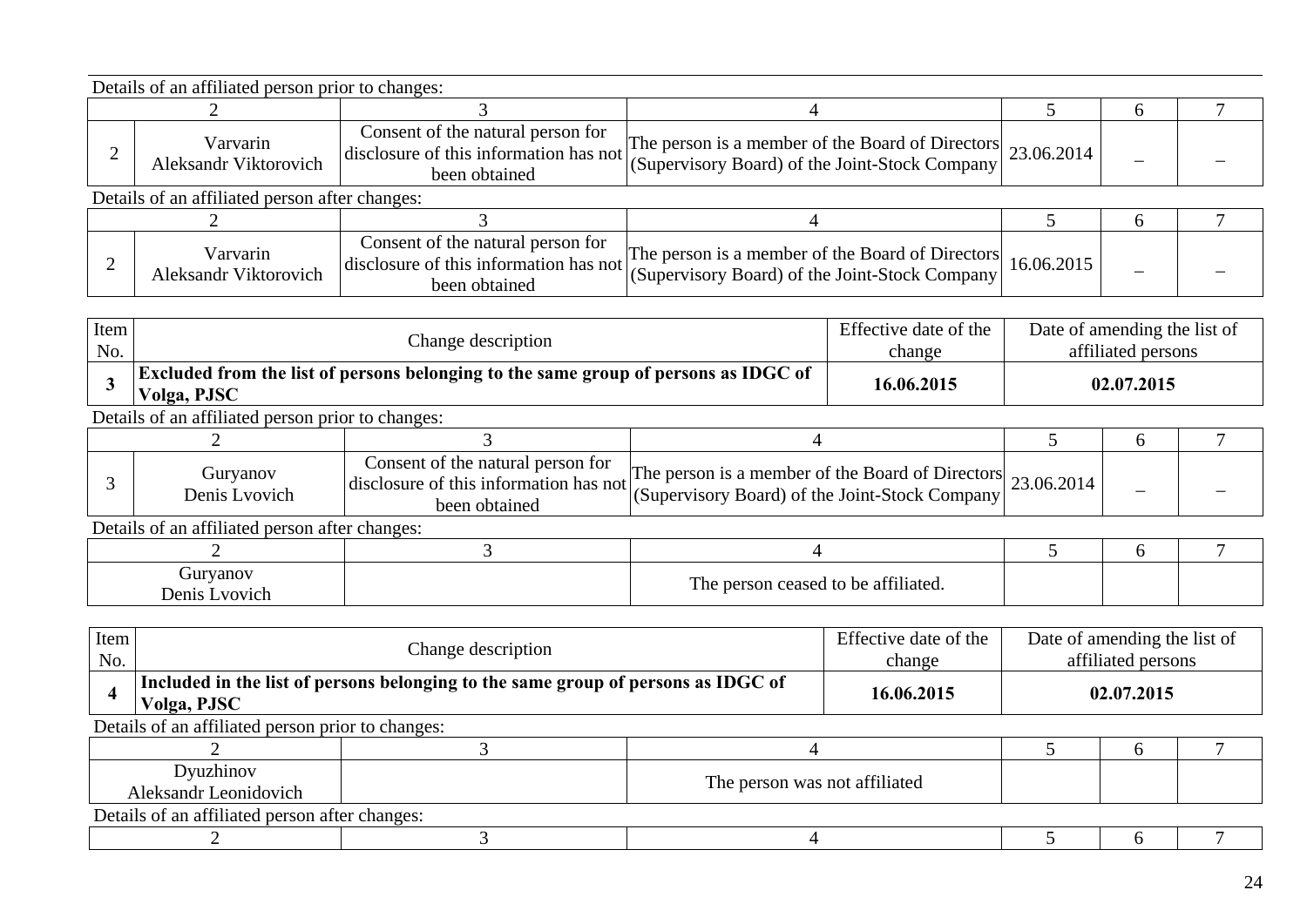|                                                | Details of an affiliated person prior to changes: |                                                                                              |                                                                                                               |            |  |
|------------------------------------------------|---------------------------------------------------|----------------------------------------------------------------------------------------------|---------------------------------------------------------------------------------------------------------------|------------|--|
|                                                |                                                   |                                                                                              |                                                                                                               |            |  |
|                                                | Varvarin<br><b>Aleksandr Viktorovich</b>          | Consent of the natural person for<br>disclosure of this information has not<br>been obtained | The person is a member of the Board of Directors 23.06.2014<br>(Supervisory Board) of the Joint-Stock Company |            |  |
| Details of an affiliated person after changes: |                                                   |                                                                                              |                                                                                                               |            |  |
|                                                |                                                   |                                                                                              |                                                                                                               |            |  |
|                                                | Varvarin<br><b>Aleksandr Viktorovich</b>          | Consent of the natural person for<br>disclosure of this information has not<br>been obtained | The person is a member of the Board of Directors<br>(Supervisory Board) of the Joint-Stock Company            | 16.06.2015 |  |

| <b>Excluded from the list of persons belonging to the same group of persons as IDGC of</b><br>16.06.2015<br>02.07.2015 | Item<br>No. | Change description | Effective date of the<br>change | Date of amending the list of<br>affiliated persons |
|------------------------------------------------------------------------------------------------------------------------|-------------|--------------------|---------------------------------|----------------------------------------------------|
|                                                                                                                        |             | Volga, PJSC        |                                 |                                                    |

Details of an affiliated person prior to changes:

| Guryanov<br>Denis Lvovich | Consent of the natural person for<br>disclosure of this information has not<br>been obtained | $\frac{1}{23.06.2014}$ The person is a member of the Board of Directors 23.06.2014<br>(Supervisory Board) of the Joint-Stock Company |  |  |
|---------------------------|----------------------------------------------------------------------------------------------|--------------------------------------------------------------------------------------------------------------------------------------|--|--|

| Guryanov<br>Denis Lyovich | The person ceased to be affiliated. |  |  |
|---------------------------|-------------------------------------|--|--|

| Item<br>No.                                       |                                                                                                  | Change description |  | Effective date of the<br>change | Date of amending the list of<br>affiliated persons |  |  |
|---------------------------------------------------|--------------------------------------------------------------------------------------------------|--------------------|--|---------------------------------|----------------------------------------------------|--|--|
|                                                   | Included in the list of persons belonging to the same group of persons as IDGC of<br>Volga, PJSC | 16.06.2015         |  | 02.07.2015                      |                                                    |  |  |
| Details of an affiliated person prior to changes: |                                                                                                  |                    |  |                                 |                                                    |  |  |
|                                                   |                                                                                                  |                    |  |                                 |                                                    |  |  |
|                                                   | Dyuzhinov<br>The person was not affiliated<br>Aleksandr Leonidovich                              |                    |  |                                 |                                                    |  |  |
|                                                   | Details of an affiliated person after changes:                                                   |                    |  |                                 |                                                    |  |  |
|                                                   |                                                                                                  |                    |  |                                 |                                                    |  |  |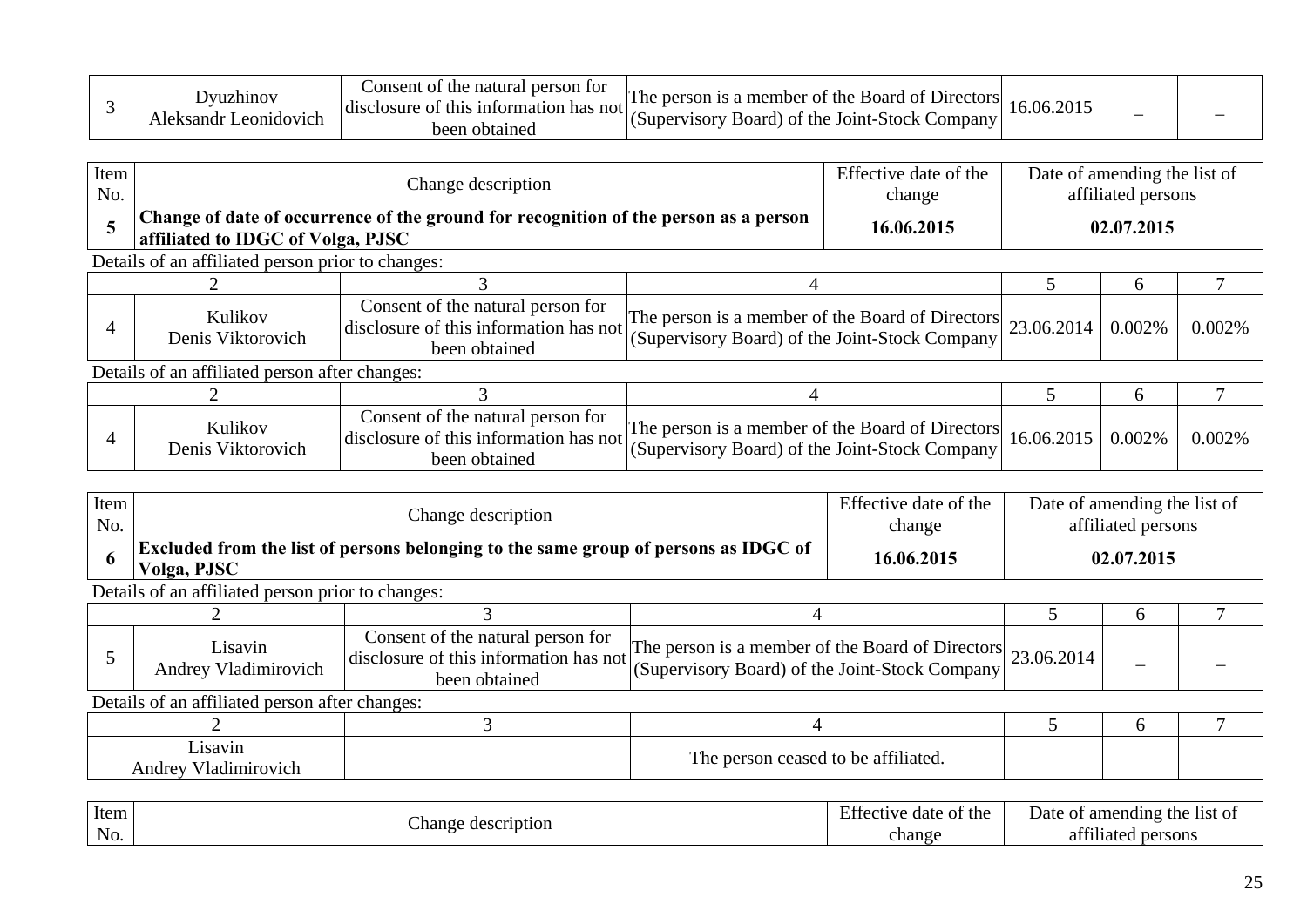|  | .Jvuzhino <sup>.</sup><br>eonidovic<br>$K$ sandr $\Gamma$ | Consent of the natural person for<br>sclosure of this information has not less<br><b>CHSC</b><br>heen<br>obtainec | The person is a member of the Board of Directors<br>(Supervisory Board) of the Joint-Stock Company |  | $\overline{\phantom{a}}$ |  |  |
|--|-----------------------------------------------------------|-------------------------------------------------------------------------------------------------------------------|----------------------------------------------------------------------------------------------------|--|--------------------------|--|--|
|--|-----------------------------------------------------------|-------------------------------------------------------------------------------------------------------------------|----------------------------------------------------------------------------------------------------|--|--------------------------|--|--|

| Item<br>No. |                                                                                                                           | Change description |  | Effective date of the<br>change |  | Date of amending the list of<br>affiliated persons |  |  |  |  |
|-------------|---------------------------------------------------------------------------------------------------------------------------|--------------------|--|---------------------------------|--|----------------------------------------------------|--|--|--|--|
|             | Change of date of occurrence of the ground for recognition of the person as a person<br>affiliated to IDGC of Volga, PJSC | 16.06.2015         |  | 02.07.2015                      |  |                                                    |  |  |  |  |
|             | Details of an affiliated person prior to changes:                                                                         |                    |  |                                 |  |                                                    |  |  |  |  |
|             |                                                                                                                           |                    |  |                                 |  |                                                    |  |  |  |  |

|                      | Kulikov<br>Denis Viktorovich | Consent of the natural person for<br>$\vert$ disclosure of this information has not $\vert$<br>been obtained | The person is a member of the Board of Directors 23.06.2014 $\int$ 0.000<br>(Supervisory Board) of the Joint-Stock Company |  | 0.002% |
|----------------------|------------------------------|--------------------------------------------------------------------------------------------------------------|----------------------------------------------------------------------------------------------------------------------------|--|--------|
| $\sim$ $\sim$ $\sim$ |                              |                                                                                                              |                                                                                                                            |  |        |

| Kulikov<br>Denis Viktorovich | Consent of the natural person for<br>disclosure of this information has not b<br>been obtained | The person is a member of the Board of Directors $\vert$ 16.06.2015 $\vert$ 0.000<br>(Supervisory Board) of the Joint-Stock Company |  | 0.002% |
|------------------------------|------------------------------------------------------------------------------------------------|-------------------------------------------------------------------------------------------------------------------------------------|--|--------|

| Item | Change description                                                                                        | Effective date of the | Date of amending the list of |
|------|-----------------------------------------------------------------------------------------------------------|-----------------------|------------------------------|
| No.  |                                                                                                           | change                | affiliated persons           |
|      | <b>Excluded from the list of persons belonging to the same group of persons as IDGC of</b><br>Volga, PJSC | 16.06.2015            | 02.07.2015                   |

Details of an affiliated person prior to changes:

| ⊿ısavın<br>Andrey Vladimirovich | Consent of the natural person for<br>$\vert$ disclosure of this information has not $\vert$ .<br>been obtained | $\frac{1}{23.06.2014}$ [The person is a member of the Board of Directors] 23.06.2014<br>(Supervisory Board) of the Joint-Stock Company |  |  |
|---------------------------------|----------------------------------------------------------------------------------------------------------------|----------------------------------------------------------------------------------------------------------------------------------------|--|--|

| Lisavin<br>⊤Vladimirovich<br>$T_{T\Delta VI}$<br>nuur | 0.0111<br>m<br>The.<br>`affiliated.<br>e person ceased to be |  |  |
|-------------------------------------------------------|--------------------------------------------------------------|--|--|

| Item |                                    | $\mathbf{r}$<br>of the<br>date<br>.tective | Date<br>the<br>amending<br>list of<br>$\Omega$ |
|------|------------------------------------|--------------------------------------------|------------------------------------------------|
| No.  | description <sup>o</sup><br>hange: | change                                     | 0.011<br>persons<br>affiliated                 |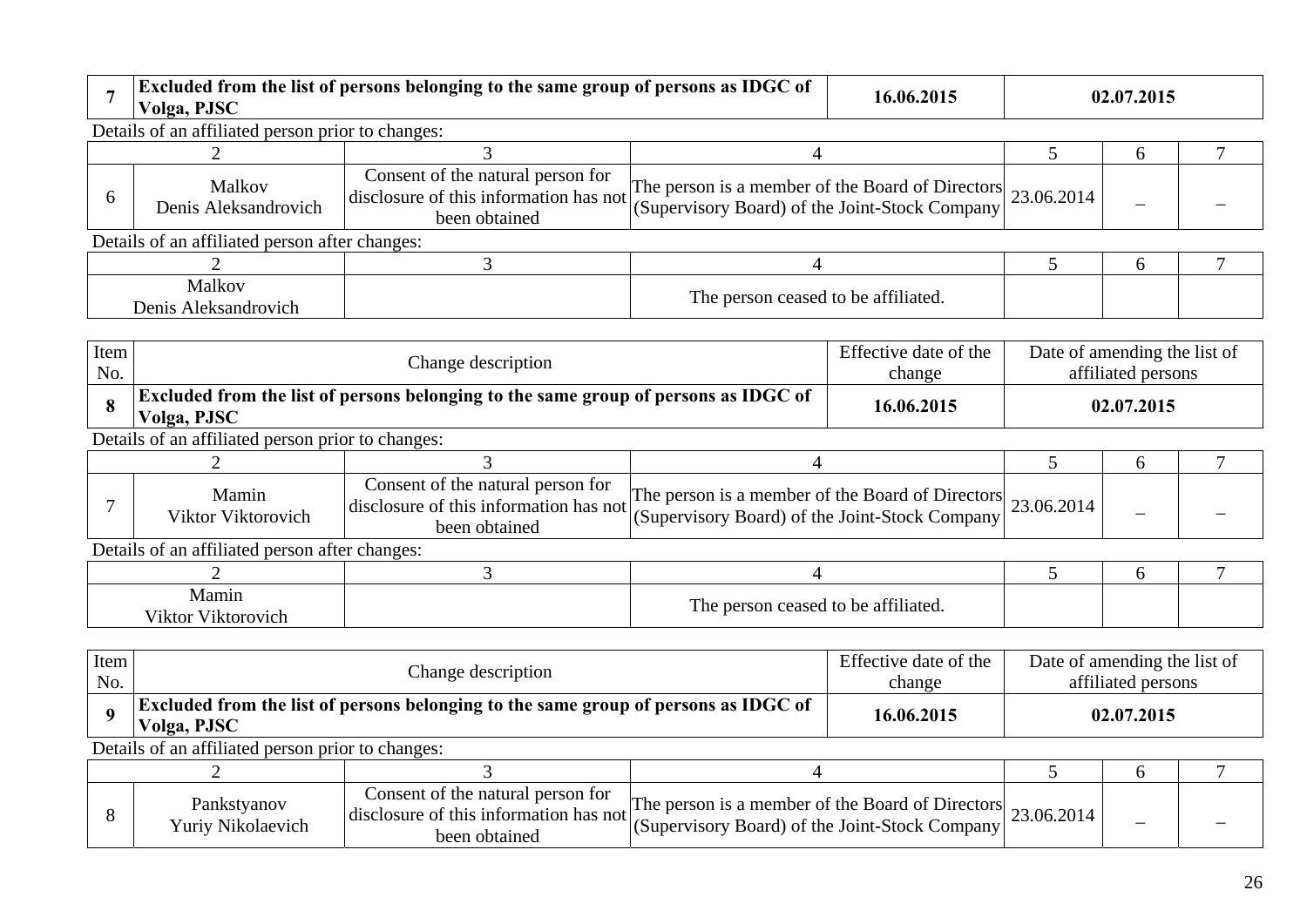|  |  | $\mathbf{L}\mathbf{L}$<br>- 01<br>e same group of persons :<br>trom the list<br>  Excluded<br>t persons belonging to the :<br>as<br>⊥ 01<br>ww<br>olga | 16.06.201. | 4.2015<br>02.01 |
|--|--|--------------------------------------------------------------------------------------------------------------------------------------------------------|------------|-----------------|
|--|--|--------------------------------------------------------------------------------------------------------------------------------------------------------|------------|-----------------|

Details of an affiliated person prior to changes:

|                                | Malkov<br>Denis Aleksandrovich                 | Consent of the natural person for<br>been obtained | The person is a member of the Board of Directors 23.06.2014<br>$\vert$ disclosure of this information has not $\vert$ (Supervisory Board) of the Joint-Stock Company $\vert$ ' |  |  |
|--------------------------------|------------------------------------------------|----------------------------------------------------|--------------------------------------------------------------------------------------------------------------------------------------------------------------------------------|--|--|
|                                | Details of an affiliated person after changes: |                                                    |                                                                                                                                                                                |  |  |
|                                |                                                |                                                    |                                                                                                                                                                                |  |  |
| Malkov<br>Denis Aleksandrovich |                                                |                                                    | The person ceased to be affiliated.                                                                                                                                            |  |  |

| Item<br>No. | Change description                                                                                        | Effective date of the<br>change | Date of amending the list of<br>affiliated persons |
|-------------|-----------------------------------------------------------------------------------------------------------|---------------------------------|----------------------------------------------------|
|             | <b>Excluded from the list of persons belonging to the same group of persons as IDGC of</b><br>Volga, PJSC | 16.06.2015                      | 02.07.2015                                         |
|             | Details of an efficient name minute shapes                                                                |                                 |                                                    |

Details of an affiliated person prior to changes:

| Mamin<br>Viktor Viktorovich | Consent of the natural person for<br>disclosure of this information has not $\begin{bmatrix} 1 & 1 \\ 0 & 1 \end{bmatrix}$<br>been obtained | $\text{[The person is a member of the Board of Directors]} 23.06.2014$<br>(Supervisory Board) of the Joint-Stock Company |  |  |
|-----------------------------|---------------------------------------------------------------------------------------------------------------------------------------------|--------------------------------------------------------------------------------------------------------------------------|--|--|

| Vlamın<br>.<br>- - -<br>V <sub>1</sub> ktorovich<br>'ıktor | m<br>$\sim$ $\sim$ $\sim$<br>r ne f<br>t to be affiliated.<br>ceased<br>rson |  |  |
|------------------------------------------------------------|------------------------------------------------------------------------------|--|--|

| Item<br>No. | Change description                                                                                                      |                                                                                                            |                                                                                                               | Effective date of the<br>change | Date of amending the list of | affiliated persons |  |  |
|-------------|-------------------------------------------------------------------------------------------------------------------------|------------------------------------------------------------------------------------------------------------|---------------------------------------------------------------------------------------------------------------|---------------------------------|------------------------------|--------------------|--|--|
|             | <b>Excluded from the list of persons belonging to the same group of persons as IDGC of</b><br>16.06.2015<br>Volga, PJSC |                                                                                                            |                                                                                                               |                                 | 02.07.2015                   |                    |  |  |
|             | Details of an affiliated person prior to changes:                                                                       |                                                                                                            |                                                                                                               |                                 |                              |                    |  |  |
|             |                                                                                                                         |                                                                                                            |                                                                                                               |                                 |                              |                    |  |  |
|             | Pankstyanov<br>Yuriy Nikolaevich                                                                                        | Consent of the natural person for<br>disclosure of this information has not $\frac{1}{6}$<br>been obtained | The person is a member of the Board of Directors 23.06.2014<br>(Supervisory Board) of the Joint-Stock Company |                                 |                              |                    |  |  |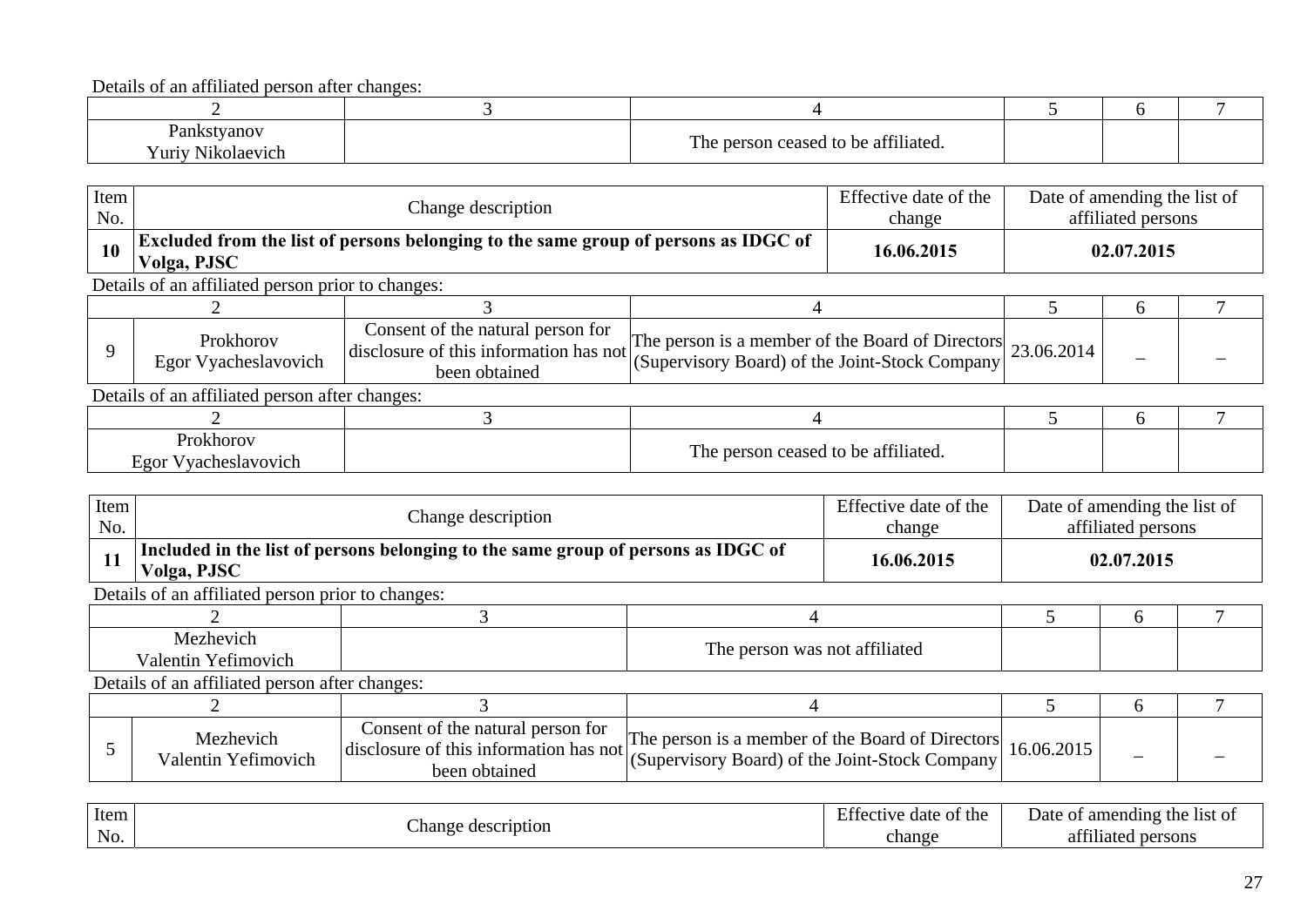| Pankstyanov<br>í uriv<br>olaevich<br>V LU L | 0.0111<br>m<br>person ceased to be affiliated.<br>The t |  |  |
|---------------------------------------------|---------------------------------------------------------|--|--|

| Item<br>No.                       |                                                   | Effective date of the<br>Change description                                                  |                                                                                                               |  | Date of amending the list of<br>affiliated persons |               |  |
|-----------------------------------|---------------------------------------------------|----------------------------------------------------------------------------------------------|---------------------------------------------------------------------------------------------------------------|--|----------------------------------------------------|---------------|--|
| 10                                | Volga, PJSC                                       | Excluded from the list of persons belonging to the same group of persons as IDGC of          |                                                                                                               |  |                                                    | 02.07.2015    |  |
|                                   | Details of an affiliated person prior to changes: |                                                                                              |                                                                                                               |  |                                                    |               |  |
|                                   |                                                   |                                                                                              |                                                                                                               |  |                                                    | $\mathfrak b$ |  |
|                                   | Prokhorov<br>Egor Vyacheslavovich                 | Consent of the natural person for<br>disclosure of this information has not<br>been obtained | The person is a member of the Board of Directors<br>(Supervisory Board) of the Joint-Stock Company 23.06.2014 |  |                                                    |               |  |
|                                   | Details of an affiliated person after changes:    |                                                                                              |                                                                                                               |  |                                                    |               |  |
|                                   |                                                   |                                                                                              |                                                                                                               |  | h                                                  |               |  |
| Prokhorov<br>Egor Vyacheslavovich |                                                   |                                                                                              | The person ceased to be affiliated.                                                                           |  |                                                    |               |  |

| Item<br>No.                      |                                                   | Change description                                                                           |                                                                                                    |  | Date of amending the list of<br>affiliated persons |   |  |
|----------------------------------|---------------------------------------------------|----------------------------------------------------------------------------------------------|----------------------------------------------------------------------------------------------------|--|----------------------------------------------------|---|--|
| 11                               | Volga, PJSC                                       | Included in the list of persons belonging to the same group of persons as IDGC of            |                                                                                                    |  | 02.07.2015                                         |   |  |
|                                  | Details of an affiliated person prior to changes: |                                                                                              |                                                                                                    |  |                                                    |   |  |
|                                  |                                                   |                                                                                              |                                                                                                    |  | <sub>t</sub>                                       |   |  |
| Mezhevich<br>Valentin Yefimovich |                                                   | The person was not affiliated                                                                |                                                                                                    |  |                                                    |   |  |
|                                  | Details of an affiliated person after changes:    |                                                                                              |                                                                                                    |  |                                                    |   |  |
|                                  |                                                   |                                                                                              |                                                                                                    |  |                                                    | h |  |
|                                  | Mezhevich<br>Valentin Yefimovich                  | Consent of the natural person for<br>disclosure of this information has not<br>been obtained | The person is a member of the Board of Directors<br>(Supervisory Board) of the Joint-Stock Company |  | 16.06.2015                                         |   |  |

| Item                | ~                      | $\blacksquare$<br>the<br>date<br>, rective<br>$\Omega$ | Date<br>the<br>amending<br>list of<br>. |
|---------------------|------------------------|--------------------------------------------------------|-----------------------------------------|
| $\mathbf{v}$<br>No. | . hange<br>description | change                                                 | 0.011<br>persons<br>11afe               |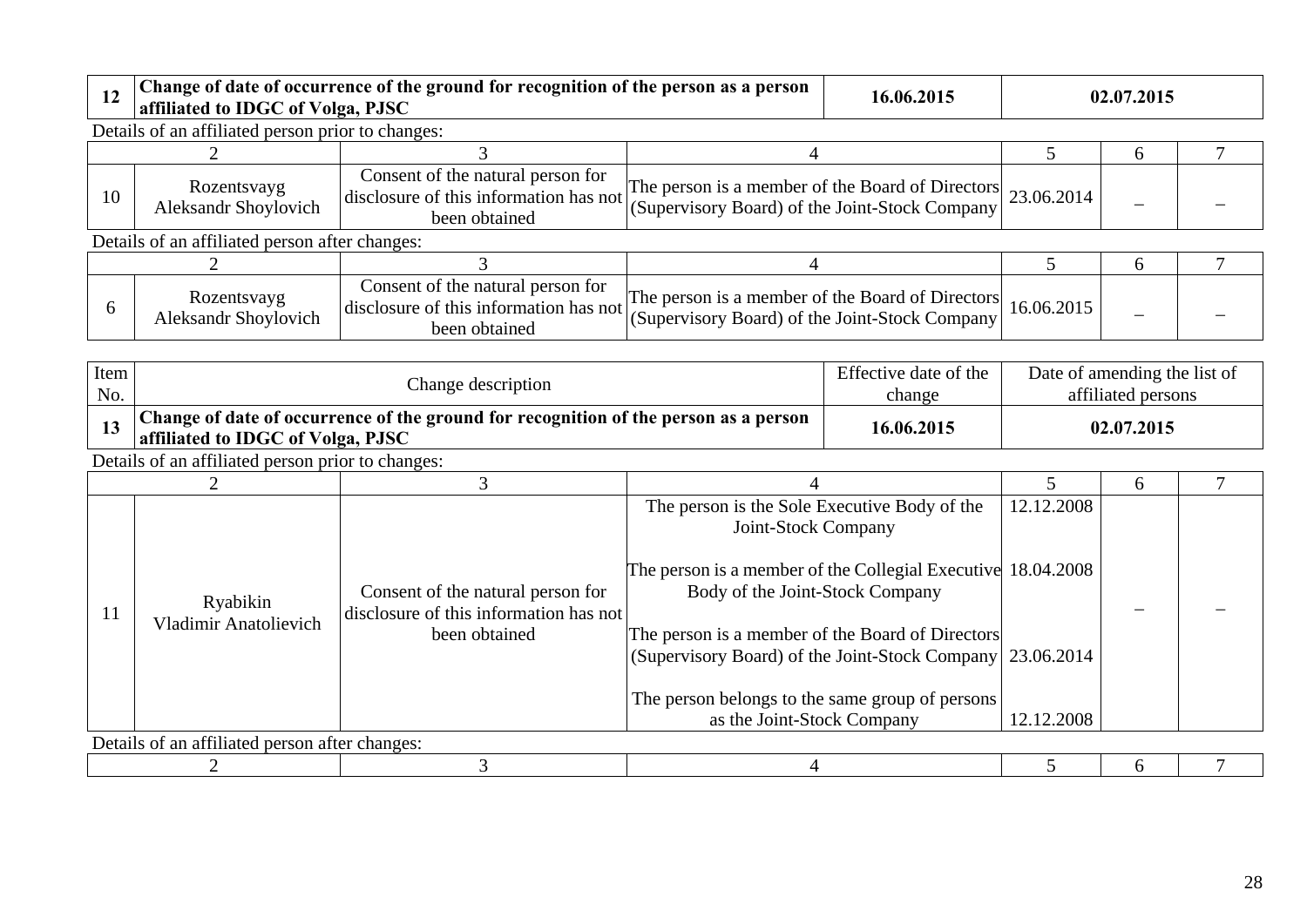| 12 | affiliated to IDGC of Volga, PJSC                 | Change of date of occurrence of the ground for recognition of the person as a person         |                                                                                                               | 16.06.2015 | 02.07.2015 |   |  |
|----|---------------------------------------------------|----------------------------------------------------------------------------------------------|---------------------------------------------------------------------------------------------------------------|------------|------------|---|--|
|    | Details of an affiliated person prior to changes: |                                                                                              |                                                                                                               |            |            |   |  |
|    |                                                   |                                                                                              |                                                                                                               |            |            | n |  |
| 10 | Rozentsvayg<br><b>Aleksandr Shoylovich</b>        | Consent of the natural person for<br>disclosure of this information has not<br>been obtained | The person is a member of the Board of Directors<br>(Supervisory Board) of the Joint-Stock Company 23.06.2014 |            |            | - |  |
|    | Details of an affiliated person after changes:    |                                                                                              |                                                                                                               |            |            |   |  |
|    |                                                   |                                                                                              |                                                                                                               |            |            | h |  |
| 6  | Rozentsvayg<br>Aleksandr Shoylovich               | Consent of the natural person for<br>disclosure of this information has not<br>been obtained | The person is a member of the Board of Directors<br>(Supervisory Board) of the Joint-Stock Company            |            | 16.06.2015 |   |  |

| Item<br>No. | Change description                                |                                                                                      |  | Effective date of the<br>change | Date of amending the list of<br>affiliated persons |  |  |  |  |  |
|-------------|---------------------------------------------------|--------------------------------------------------------------------------------------|--|---------------------------------|----------------------------------------------------|--|--|--|--|--|
|             | affiliated to IDGC of Volga, PJSC                 | Change of date of occurrence of the ground for recognition of the person as a person |  | 16.06.2015                      | 02.07.2015                                         |  |  |  |  |  |
|             | Details of an affiliated person prior to changes: |                                                                                      |  |                                 |                                                    |  |  |  |  |  |
|             |                                                   |                                                                                      |  |                                 |                                                    |  |  |  |  |  |

|    |                                                                                                                                          |                                                                                                               |                                                 |            | <sub>6</sub> |  |
|----|------------------------------------------------------------------------------------------------------------------------------------------|---------------------------------------------------------------------------------------------------------------|-------------------------------------------------|------------|--------------|--|
| 11 | Consent of the natural person for<br>Ryabikin<br>disclosure of this information has not<br><b>Vladimir Anatolievich</b><br>been obtained | The person is the Sole Executive Body of the<br>Joint-Stock Company                                           | 12.12.2008                                      |            |              |  |
|    |                                                                                                                                          | The person is a member of the Collegial Executive 18.04.2008<br>Body of the Joint-Stock Company               |                                                 |            |              |  |
|    |                                                                                                                                          | The person is a member of the Board of Directors<br>(Supervisory Board) of the Joint-Stock Company 23.06.2014 |                                                 |            |              |  |
|    |                                                                                                                                          |                                                                                                               | The person belongs to the same group of persons |            |              |  |
|    |                                                                                                                                          |                                                                                                               | as the Joint-Stock Company                      | 12.12.2008 |              |  |
|    | Details of an affiliated person after changes:                                                                                           |                                                                                                               |                                                 |            |              |  |
|    |                                                                                                                                          |                                                                                                               |                                                 |            |              |  |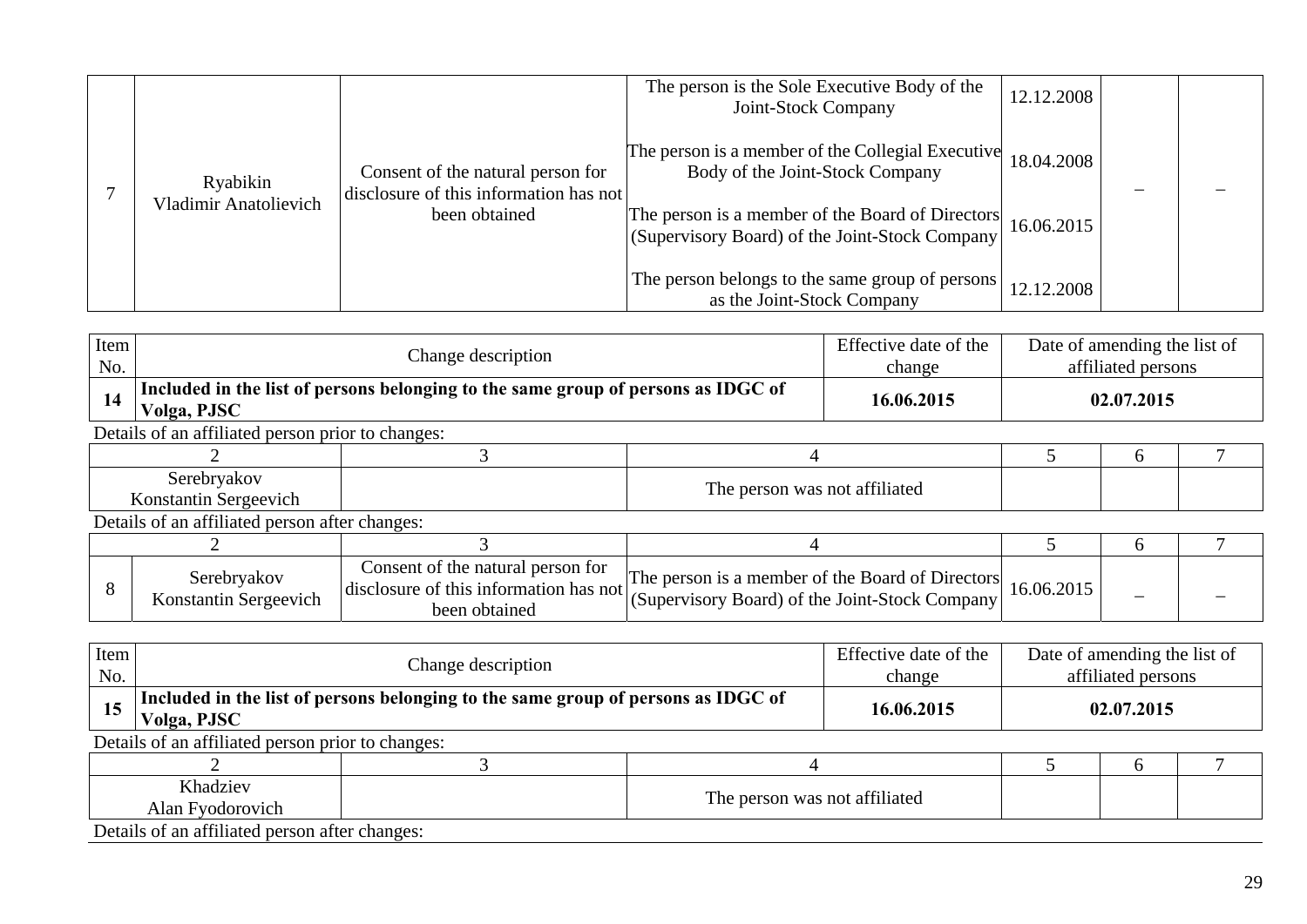|                       |                                                                             | The person is the Sole Executive Body of the<br>Joint-Stock Company                                | 12.12.2008 |  |
|-----------------------|-----------------------------------------------------------------------------|----------------------------------------------------------------------------------------------------|------------|--|
| Ryabikin              | Consent of the natural person for<br>disclosure of this information has not | The person is a member of the Collegial Executive<br>Body of the Joint-Stock Company               | 18.04.2008 |  |
| Vladimir Anatolievich | been obtained                                                               | The person is a member of the Board of Directors<br>(Supervisory Board) of the Joint-Stock Company | 16.06.2015 |  |
|                       |                                                                             | The person belongs to the same group of persons<br>as the Joint-Stock Company                      | 12.12.2008 |  |

| Item<br>No.                          |                                                   | Change description                                                                           |                                                                                                    |  |              | Date of amending the list of<br>affiliated persons |  |
|--------------------------------------|---------------------------------------------------|----------------------------------------------------------------------------------------------|----------------------------------------------------------------------------------------------------|--|--------------|----------------------------------------------------|--|
| 14                                   | Volga, PJSC                                       | Included in the list of persons belonging to the same group of persons as IDGC of            |                                                                                                    |  | 02.07.2015   |                                                    |  |
|                                      | Details of an affiliated person prior to changes: |                                                                                              |                                                                                                    |  |              |                                                    |  |
|                                      |                                                   |                                                                                              |                                                                                                    |  | <sub>0</sub> |                                                    |  |
| Serebryakov<br>Konstantin Sergeevich |                                                   | The person was not affiliated                                                                |                                                                                                    |  |              |                                                    |  |
|                                      | Details of an affiliated person after changes:    |                                                                                              |                                                                                                    |  |              |                                                    |  |
|                                      |                                                   |                                                                                              |                                                                                                    |  |              | <sub>0</sub>                                       |  |
| 8                                    | Serebryakov<br>Konstantin Sergeevich              | Consent of the natural person for<br>disclosure of this information has not<br>been obtained | The person is a member of the Board of Directors<br>(Supervisory Board) of the Joint-Stock Company |  | 16.06.2015   |                                                    |  |

| Item<br>No. | Change description                                                                               |  |                               | Effective date of the<br>change | Date of amending the list of<br>affiliated persons |  |  |  |
|-------------|--------------------------------------------------------------------------------------------------|--|-------------------------------|---------------------------------|----------------------------------------------------|--|--|--|
| 15          | Included in the list of persons belonging to the same group of persons as IDGC of<br>Volga, PJSC |  |                               | 16.06.2015                      | 02.07.2015                                         |  |  |  |
|             | Details of an affiliated person prior to changes:                                                |  |                               |                                 |                                                    |  |  |  |
|             |                                                                                                  |  |                               |                                 |                                                    |  |  |  |
|             | Khadziev<br>Alan Fyodorovich                                                                     |  | The person was not affiliated |                                 |                                                    |  |  |  |
|             | Details of an affiliated person after changes:                                                   |  |                               |                                 |                                                    |  |  |  |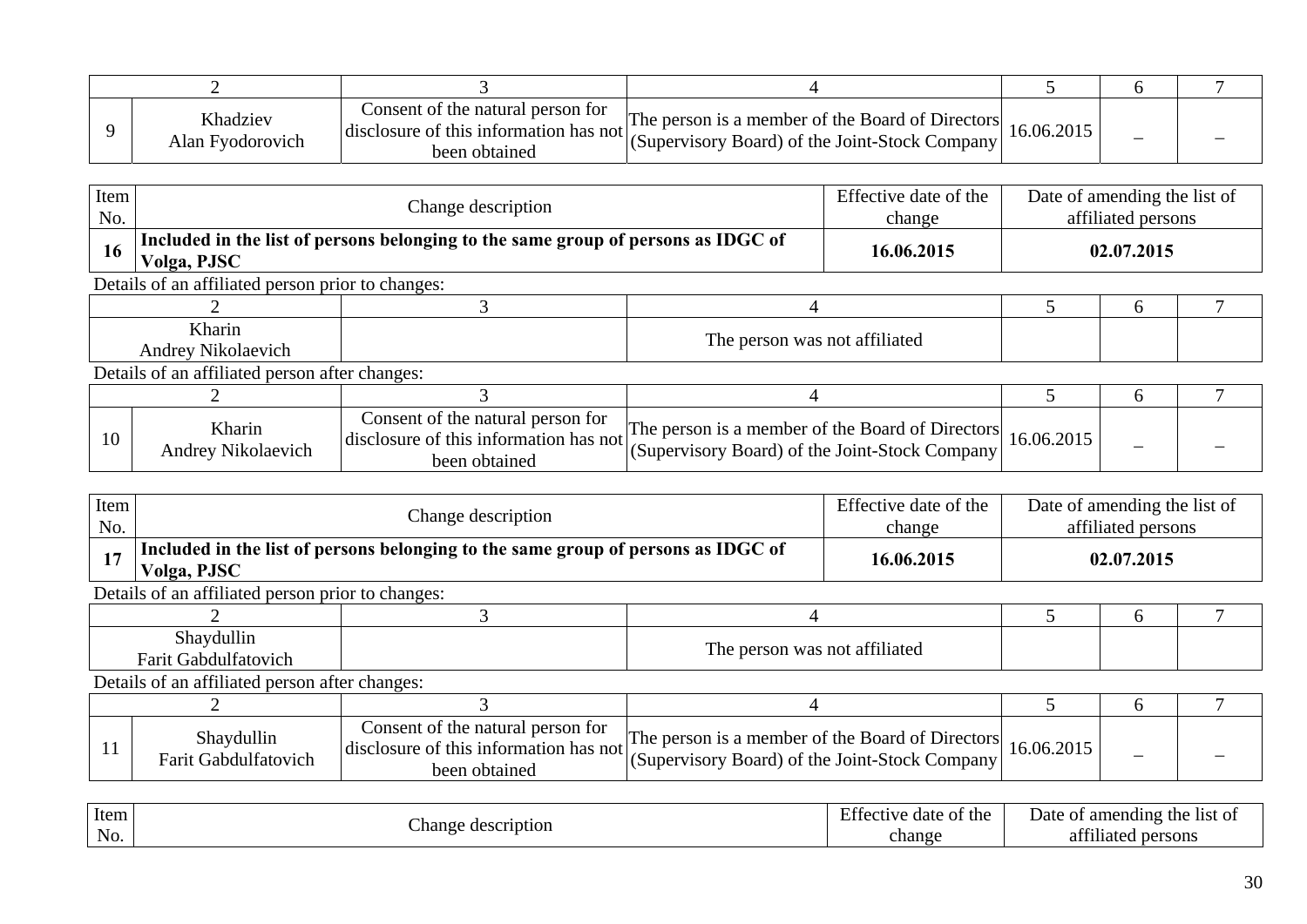| Khadziev<br>Alan Fyodorovich | Consent of the natural person for<br>disclosure of this information has not<br>been obtained | The person is a member of the Board of Directors<br>(Supervisory Board) of the Joint-Stock Company | 16.06.2015 |  |
|------------------------------|----------------------------------------------------------------------------------------------|----------------------------------------------------------------------------------------------------|------------|--|

| Item<br>No.                  |                                                   | Effective date of the<br>Change description<br>change                                        |                                                                                                    |  | Date of amending the list of<br>affiliated persons |               |  |
|------------------------------|---------------------------------------------------|----------------------------------------------------------------------------------------------|----------------------------------------------------------------------------------------------------|--|----------------------------------------------------|---------------|--|
| 16                           | Volga, PJSC                                       | Included in the list of persons belonging to the same group of persons as IDGC of            |                                                                                                    |  | 02.07.2015                                         |               |  |
|                              | Details of an affiliated person prior to changes: |                                                                                              |                                                                                                    |  |                                                    |               |  |
|                              |                                                   |                                                                                              |                                                                                                    |  |                                                    | $\mathfrak b$ |  |
| Kharin<br>Andrey Nikolaevich |                                                   |                                                                                              | The person was not affiliated                                                                      |  |                                                    |               |  |
|                              | Details of an affiliated person after changes:    |                                                                                              |                                                                                                    |  |                                                    |               |  |
|                              |                                                   |                                                                                              |                                                                                                    |  |                                                    | <sub>6</sub>  |  |
| 10                           | Kharin<br>Andrey Nikolaevich                      | Consent of the natural person for<br>disclosure of this information has not<br>been obtained | The person is a member of the Board of Directors<br>(Supervisory Board) of the Joint-Stock Company |  | 16.06.2015                                         |               |  |

| Item<br>No.                               |                                                   | Effective date of the<br>Change description                                                  |                                                                                                    |            | Date of amending the list of<br>affiliated persons |              |                                                                                                                                     |
|-------------------------------------------|---------------------------------------------------|----------------------------------------------------------------------------------------------|----------------------------------------------------------------------------------------------------|------------|----------------------------------------------------|--------------|-------------------------------------------------------------------------------------------------------------------------------------|
| 17                                        | Volga, PJSC                                       | Included in the list of persons belonging to the same group of persons as IDGC of            |                                                                                                    | 16.06.2015 |                                                    | 02.07.2015   |                                                                                                                                     |
|                                           | Details of an affiliated person prior to changes: |                                                                                              |                                                                                                    |            |                                                    |              |                                                                                                                                     |
|                                           |                                                   |                                                                                              |                                                                                                    |            | <sub>0</sub>                                       |              |                                                                                                                                     |
| Shaydullin<br><b>Farit Gabdulfatovich</b> |                                                   |                                                                                              | The person was not affiliated                                                                      |            |                                                    |              |                                                                                                                                     |
|                                           | Details of an affiliated person after changes:    |                                                                                              |                                                                                                    |            |                                                    |              |                                                                                                                                     |
|                                           |                                                   |                                                                                              |                                                                                                    |            |                                                    | <sub>t</sub> |                                                                                                                                     |
| 11                                        | Shaydullin<br>Farit Gabdulfatovich                | Consent of the natural person for<br>disclosure of this information has not<br>been obtained | The person is a member of the Board of Directors<br>(Supervisory Board) of the Joint-Stock Company |            | 16.06.2015                                         |              |                                                                                                                                     |
| <b>Contract Contract</b>                  |                                                   |                                                                                              |                                                                                                    |            | $\mathbf{r}$ $\alpha$                              |              | $\mathbf{a}$ and $\mathbf{a}$ and $\mathbf{a}$ and $\mathbf{a}$ and $\mathbf{a}$ and $\mathbf{a}$ and $\mathbf{a}$ and $\mathbf{a}$ |

| Item |                       | $\blacksquare$<br>of the<br>date | amending.<br>$+b$<br>- 11St<br>Date<br>-01<br>.<br>. |
|------|-----------------------|----------------------------------|------------------------------------------------------|
| No.  | ∠hange<br>description | change                           | 0.011<br>persons<br>лате:                            |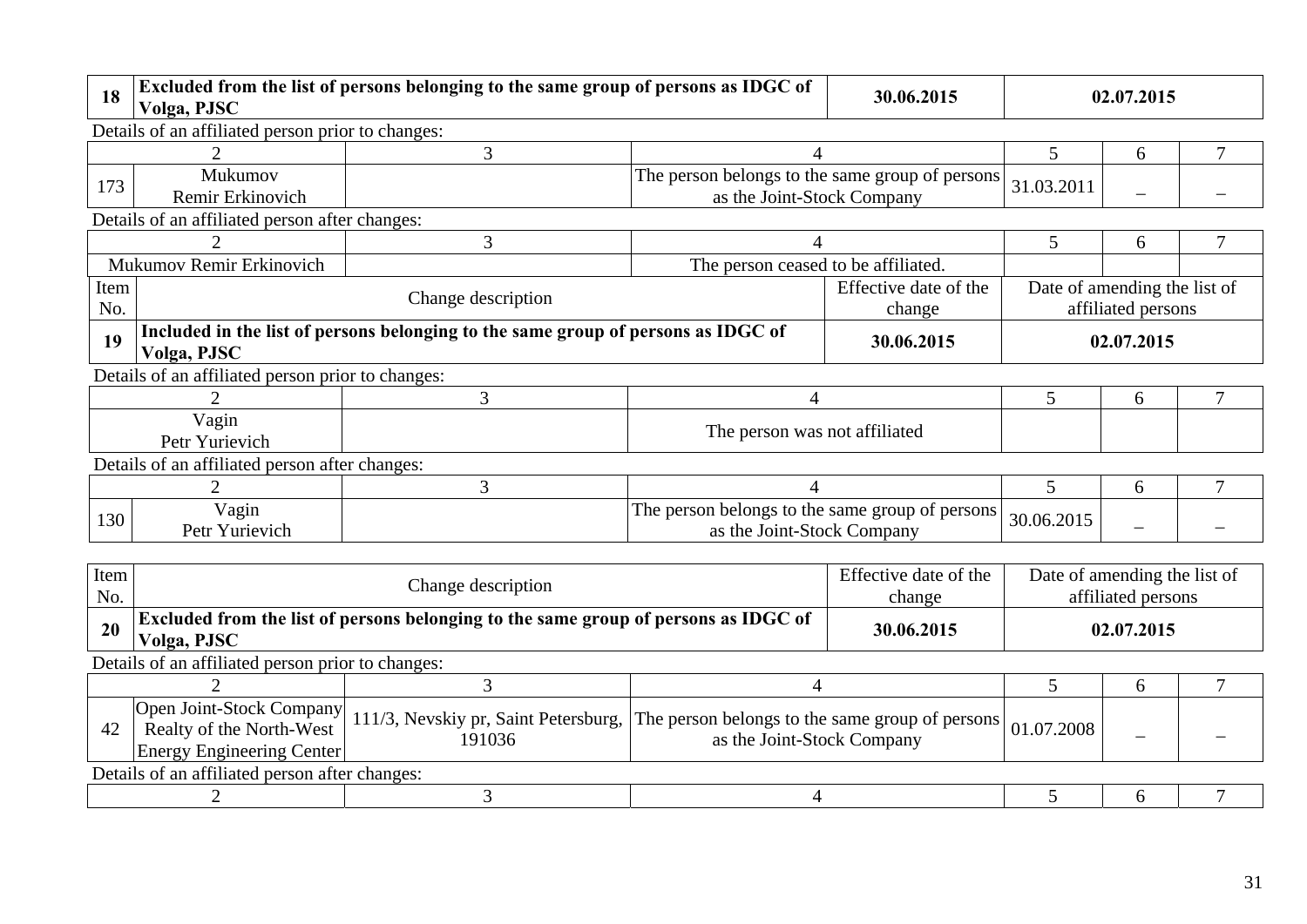| 18          | Volga, PJSC                                                                                                    | Excluded from the list of persons belonging to the same group of persons as IDGC of |                                                                               | 30.06.2015                      | 02.07.2015 |                                                    |                |  |  |
|-------------|----------------------------------------------------------------------------------------------------------------|-------------------------------------------------------------------------------------|-------------------------------------------------------------------------------|---------------------------------|------------|----------------------------------------------------|----------------|--|--|
|             | Details of an affiliated person prior to changes:                                                              |                                                                                     |                                                                               |                                 |            |                                                    |                |  |  |
|             | 2                                                                                                              | 3                                                                                   | $\overline{4}$                                                                |                                 | 5          | 6                                                  | 7              |  |  |
| 173         | Mukumov<br>Remir Erkinovich                                                                                    |                                                                                     | The person belongs to the same group of persons<br>as the Joint-Stock Company |                                 | 31.03.2011 |                                                    |                |  |  |
|             | Details of an affiliated person after changes:                                                                 |                                                                                     |                                                                               |                                 |            |                                                    |                |  |  |
|             | $\mathfrak{D}$                                                                                                 | 3                                                                                   | $\overline{4}$                                                                |                                 | 5          | 6                                                  | 7              |  |  |
|             | Mukumov Remir Erkinovich<br>The person ceased to be affiliated.                                                |                                                                                     |                                                                               |                                 |            |                                                    |                |  |  |
| Item<br>No. |                                                                                                                | Effective date of the<br>Change description<br>change                               |                                                                               |                                 |            | Date of amending the list of<br>affiliated persons |                |  |  |
| 19          | Included in the list of persons belonging to the same group of persons as IDGC of<br>30.06.2015<br>Volga, PJSC |                                                                                     |                                                                               |                                 |            | 02.07.2015                                         |                |  |  |
|             | Details of an affiliated person prior to changes:                                                              |                                                                                     |                                                                               |                                 |            |                                                    |                |  |  |
|             | 3<br>$\overline{4}$                                                                                            |                                                                                     |                                                                               |                                 | 5          | 6                                                  | 7              |  |  |
|             | Vagin<br>The person was not affiliated<br>Petr Yurievich                                                       |                                                                                     |                                                                               |                                 |            |                                                    |                |  |  |
|             | Details of an affiliated person after changes:                                                                 |                                                                                     |                                                                               |                                 |            |                                                    |                |  |  |
|             | $\overline{2}$                                                                                                 | $\overline{3}$                                                                      | 4                                                                             |                                 | 5          | 6                                                  | 7              |  |  |
| 130         | Vagin<br>Petr Yurievich                                                                                        |                                                                                     | The person belongs to the same group of persons<br>as the Joint-Stock Company |                                 | 30.06.2015 |                                                    |                |  |  |
|             |                                                                                                                |                                                                                     |                                                                               |                                 |            |                                                    |                |  |  |
| Item<br>No. |                                                                                                                | Change description                                                                  |                                                                               | Effective date of the<br>change |            | Date of amending the list of<br>affiliated persons |                |  |  |
| 20          | Volga, PJSC                                                                                                    | Excluded from the list of persons belonging to the same group of persons as IDGC of |                                                                               | 30.06.2015                      |            | 02.07.2015                                         |                |  |  |
|             | Details of an affiliated person prior to changes:                                                              |                                                                                     |                                                                               |                                 |            |                                                    |                |  |  |
|             | $\overline{2}$                                                                                                 | $\overline{3}$                                                                      | $\overline{4}$                                                                |                                 | 5          | 6                                                  | $\overline{7}$ |  |  |
| 42          | <b>Open Joint-Stock Company</b><br>Realty of the North-West<br><b>Energy Engineering Center</b>                | 111/3, Nevskiy pr, Saint Petersburg,<br>191036                                      | The person belongs to the same group of persons<br>as the Joint-Stock Company |                                 | 01.07.2008 |                                                    |                |  |  |
|             | Details of an affiliated person after changes:                                                                 |                                                                                     |                                                                               |                                 |            |                                                    |                |  |  |
|             | 2                                                                                                              | 3                                                                                   | $\overline{4}$                                                                |                                 | 5          | 6                                                  |                |  |  |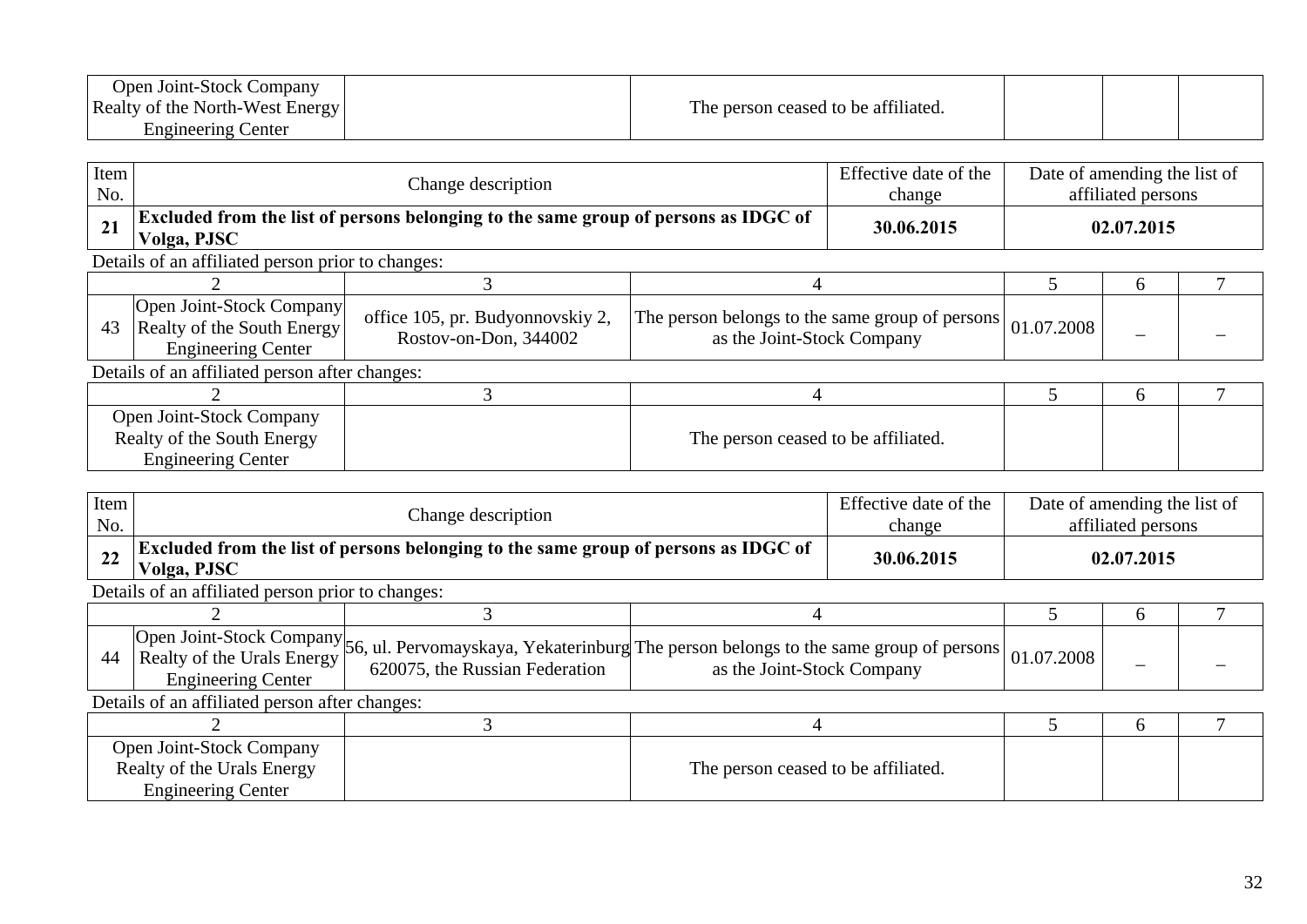| Open Joint-Stock Company               |                                     |  |  |
|----------------------------------------|-------------------------------------|--|--|
| <b>Realty of the North-West Energy</b> | The person ceased to be affiliated. |  |  |
| Center<br>Engineering                  |                                     |  |  |

| Item<br>No.                                                                         |                                                                                     | Effective date of the<br>Change description                                         |                                                                               |  |            | Date of amending the list of<br>affiliated persons |  |  |  |
|-------------------------------------------------------------------------------------|-------------------------------------------------------------------------------------|-------------------------------------------------------------------------------------|-------------------------------------------------------------------------------|--|------------|----------------------------------------------------|--|--|--|
| 21                                                                                  | Volga, PJSC                                                                         | Excluded from the list of persons belonging to the same group of persons as IDGC of |                                                                               |  |            | 02.07.2015                                         |  |  |  |
|                                                                                     | Details of an affiliated person prior to changes:                                   |                                                                                     |                                                                               |  |            |                                                    |  |  |  |
|                                                                                     |                                                                                     |                                                                                     |                                                                               |  |            | <sub>t</sub>                                       |  |  |  |
| 43                                                                                  | Open Joint-Stock Company<br>Realty of the South Energy<br><b>Engineering Center</b> | office 105, pr. Budyonnovskiy 2,<br>Rostov-on-Don, 344002                           | The person belongs to the same group of persons<br>as the Joint-Stock Company |  | 01.07.2008 |                                                    |  |  |  |
|                                                                                     | Details of an affiliated person after changes:                                      |                                                                                     |                                                                               |  |            |                                                    |  |  |  |
|                                                                                     |                                                                                     |                                                                                     | 4                                                                             |  |            | h                                                  |  |  |  |
| Open Joint-Stock Company<br>Realty of the South Energy<br><b>Engineering Center</b> |                                                                                     |                                                                                     | The person ceased to be affiliated.                                           |  |            |                                                    |  |  |  |

| Item<br>No.                                                                         |                                                   | Change description                                                                                                                              |                                     |  | Date of amending the list of<br>affiliated persons |            |  |  |  |
|-------------------------------------------------------------------------------------|---------------------------------------------------|-------------------------------------------------------------------------------------------------------------------------------------------------|-------------------------------------|--|----------------------------------------------------|------------|--|--|--|
| 22                                                                                  | Volga, PJSC                                       | Excluded from the list of persons belonging to the same group of persons as IDGC of                                                             |                                     |  |                                                    | 02.07.2015 |  |  |  |
|                                                                                     | Details of an affiliated person prior to changes: |                                                                                                                                                 |                                     |  |                                                    |            |  |  |  |
|                                                                                     |                                                   |                                                                                                                                                 |                                     |  |                                                    | 6          |  |  |  |
| 44                                                                                  | <b>Engineering Center</b>                         | Open Joint-Stock Company 56, ul. Pervomayskaya, Yekaterinburg The person belongs to the same group of persons<br>620075, the Russian Federation | as the Joint-Stock Company          |  | 01.07.2008                                         |            |  |  |  |
|                                                                                     | Details of an affiliated person after changes:    |                                                                                                                                                 |                                     |  |                                                    |            |  |  |  |
|                                                                                     |                                                   |                                                                                                                                                 |                                     |  |                                                    | 6          |  |  |  |
| Open Joint-Stock Company<br>Realty of the Urals Energy<br><b>Engineering Center</b> |                                                   |                                                                                                                                                 | The person ceased to be affiliated. |  |                                                    |            |  |  |  |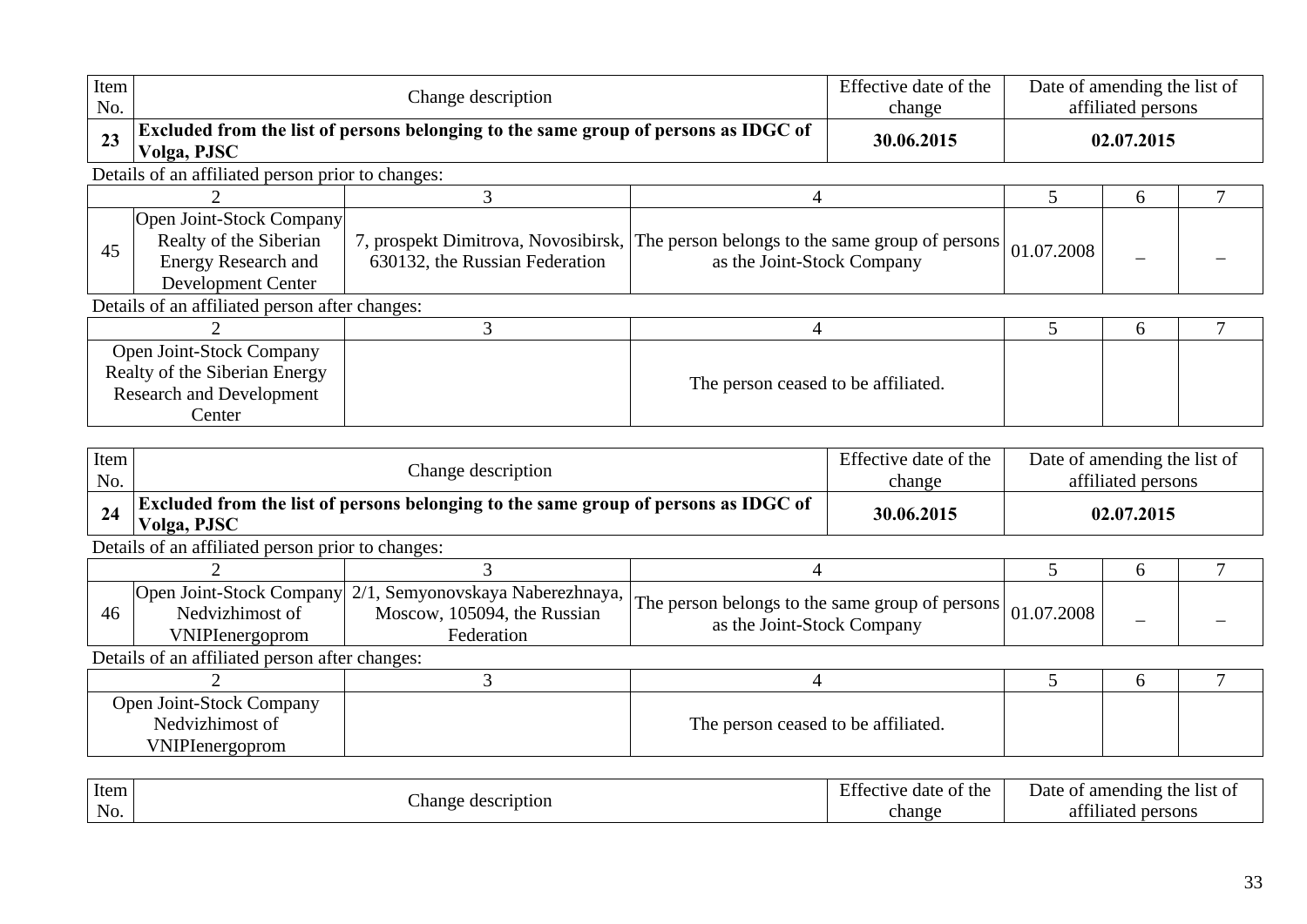| Item<br>No. |                                                                                                                                               | Change description                                                                          |                                                                               |                                 | Date of amending the list of<br>affiliated persons |            |        |  |  |  |
|-------------|-----------------------------------------------------------------------------------------------------------------------------------------------|---------------------------------------------------------------------------------------------|-------------------------------------------------------------------------------|---------------------------------|----------------------------------------------------|------------|--------|--|--|--|
| 23          | Volga, PJSC                                                                                                                                   | Excluded from the list of persons belonging to the same group of persons as IDGC of         |                                                                               | 30.06.2015                      |                                                    | 02.07.2015 |        |  |  |  |
|             | Details of an affiliated person prior to changes:                                                                                             |                                                                                             |                                                                               |                                 |                                                    |            |        |  |  |  |
|             |                                                                                                                                               | 3                                                                                           | 4                                                                             |                                 | 5                                                  | 6          | 7      |  |  |  |
| 45          | Open Joint-Stock Company<br>Realty of the Siberian<br><b>Energy Research and</b><br>Development Center                                        | 7, prospekt Dimitrova, Novosibirsk,<br>630132, the Russian Federation                       | The person belongs to the same group of persons<br>as the Joint-Stock Company |                                 | 01.07.2008                                         |            |        |  |  |  |
|             | Details of an affiliated person after changes:                                                                                                |                                                                                             |                                                                               |                                 |                                                    |            |        |  |  |  |
|             |                                                                                                                                               | $\overline{3}$                                                                              | $\overline{4}$                                                                |                                 | 5                                                  | 6          | 7      |  |  |  |
|             | Open Joint-Stock Company<br>Realty of the Siberian Energy<br>The person ceased to be affiliated.<br><b>Research and Development</b><br>Center |                                                                                             |                                                                               |                                 |                                                    |            |        |  |  |  |
| Item<br>No. |                                                                                                                                               | Change description                                                                          |                                                                               | Effective date of the<br>change | Date of amending the list of<br>affiliated persons |            |        |  |  |  |
| 24          | Volga, PJSC                                                                                                                                   | Excluded from the list of persons belonging to the same group of persons as IDGC of         |                                                                               | 30.06.2015                      | 02.07.2015                                         |            |        |  |  |  |
|             | Details of an affiliated person prior to changes:                                                                                             |                                                                                             |                                                                               |                                 |                                                    |            |        |  |  |  |
|             | $\overline{2}$                                                                                                                                | 3                                                                                           | 4                                                                             |                                 | 5                                                  | 6          | $\tau$ |  |  |  |
| 46          | Open Joint-Stock Company<br>Nedvizhimost of<br><b>VNIPIenergoprom</b>                                                                         | $\overline{2/1}$ , Semyonovskaya Naberezhnaya,<br>Moscow, 105094, the Russian<br>Federation | The person belongs to the same group of persons<br>as the Joint-Stock Company |                                 | 01.07.2008                                         |            |        |  |  |  |
|             | Details of an affiliated person after changes:                                                                                                |                                                                                             |                                                                               |                                 |                                                    |            |        |  |  |  |
|             | $\overline{2}$                                                                                                                                | 3                                                                                           | $\overline{4}$                                                                |                                 | 5                                                  | 6          | 7      |  |  |  |
|             | Open Joint-Stock Company<br>Nedvizhimost of<br>The person ceased to be affiliated.<br>VNIPIenergoprom                                         |                                                                                             |                                                                               |                                 |                                                    |            |        |  |  |  |
|             |                                                                                                                                               |                                                                                             |                                                                               |                                 |                                                    |            |        |  |  |  |

| Item |                                        | $\sim$<br>the<br>ОŤ<br>doto∟<br>a fective -<br><b>A</b> dite | the<br>Date of<br>amending<br>-11St 01  |
|------|----------------------------------------|--------------------------------------------------------------|-----------------------------------------|
| No.  | cription<br>hange.<br>aes <sup>7</sup> | change                                                       | 0.011<br>persons<br>1119 te<br>aт<br>лы |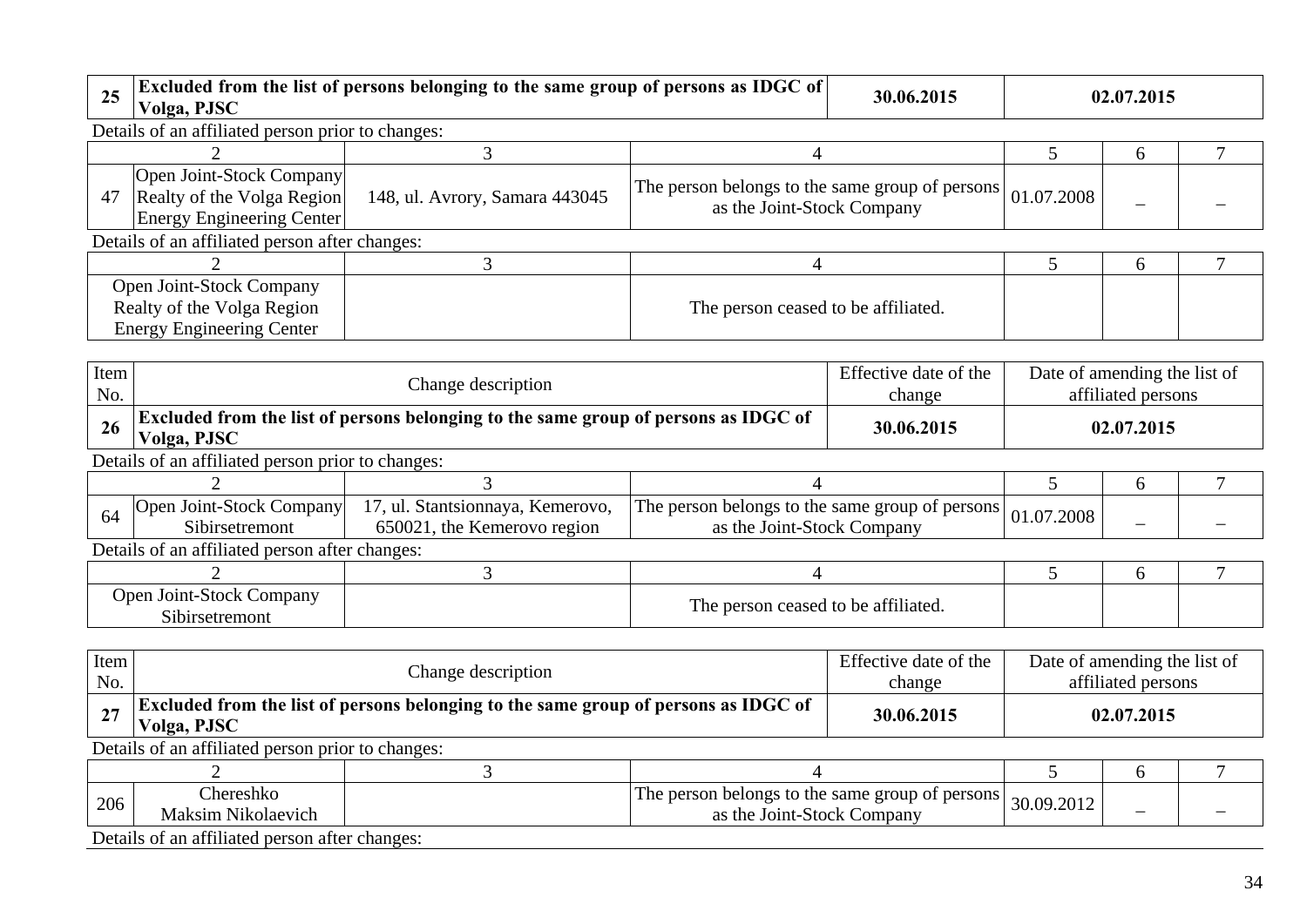| 25 | Excluded from the list of persons belonging to the same group of persons as IDGC of<br>30.06.2015<br>Volga, PJSC |                                |                                                                               |  | 02.07.2015 |              |  |  |
|----|------------------------------------------------------------------------------------------------------------------|--------------------------------|-------------------------------------------------------------------------------|--|------------|--------------|--|--|
|    | Details of an affiliated person prior to changes:                                                                |                                |                                                                               |  |            |              |  |  |
|    |                                                                                                                  |                                |                                                                               |  |            | <sub>0</sub> |  |  |
| 47 | Open Joint-Stock Company<br>Realty of the Volga Region<br>Energy Engineering Center                              | 148, ul. Avrory, Samara 443045 | The person belongs to the same group of persons<br>as the Joint-Stock Company |  | 01.07.2008 |              |  |  |
|    | Details of an affiliated person after changes:                                                                   |                                |                                                                               |  |            |              |  |  |
|    |                                                                                                                  |                                |                                                                               |  |            | <sub>0</sub> |  |  |
|    | Open Joint-Stock Company<br>Realty of the Volga Region<br><b>Energy Engineering Center</b>                       |                                | The person ceased to be affiliated.                                           |  |            |              |  |  |

| Item<br>No. |                                                                                                                  | Change description                                              |                                                                               |  | Date of amending the list of | affiliated persons |  |  |  |
|-------------|------------------------------------------------------------------------------------------------------------------|-----------------------------------------------------------------|-------------------------------------------------------------------------------|--|------------------------------|--------------------|--|--|--|
| 26          | Excluded from the list of persons belonging to the same group of persons as IDGC of<br>30.06.2015<br>Volga, PJSC |                                                                 |                                                                               |  |                              | 02.07.2015         |  |  |  |
|             | Details of an affiliated person prior to changes:                                                                |                                                                 |                                                                               |  |                              |                    |  |  |  |
|             |                                                                                                                  |                                                                 |                                                                               |  |                              | h                  |  |  |  |
| 64          | Open Joint-Stock Company<br>Sibirsetremont                                                                       | 17, ul. Stantsionnaya, Kemerovo,<br>650021, the Kemerovo region | The person belongs to the same group of persons<br>as the Joint-Stock Company |  | 01.07.2008                   |                    |  |  |  |
|             | Details of an affiliated person after changes:                                                                   |                                                                 |                                                                               |  |                              |                    |  |  |  |
|             |                                                                                                                  |                                                                 |                                                                               |  |                              | <sub>0</sub>       |  |  |  |
|             | Open Joint-Stock Company<br>Sibirsetremont                                                                       |                                                                 | The person ceased to be affiliated.                                           |  |                              |                    |  |  |  |

| Item<br>No. |                                                   | Change description                                                                                       |                                                                               |            |  | Date of amending the list of<br>affiliated persons |  |  |  |
|-------------|---------------------------------------------------|----------------------------------------------------------------------------------------------------------|-------------------------------------------------------------------------------|------------|--|----------------------------------------------------|--|--|--|
| 27          | Volga, PJSC                                       | <b>Excluded from the list of persons belonging to the same group of persons as IDGC of</b><br>30.06.2015 |                                                                               |            |  |                                                    |  |  |  |
|             | Details of an affiliated person prior to changes: |                                                                                                          |                                                                               |            |  |                                                    |  |  |  |
|             |                                                   |                                                                                                          |                                                                               |            |  | <sub>0</sub>                                       |  |  |  |
| 206         | Chereshko<br>Maksim Nikolaevich                   |                                                                                                          | The person belongs to the same group of persons<br>as the Joint-Stock Company | 30.09.2012 |  |                                                    |  |  |  |
|             | Details of an affiliated person after changes:    |                                                                                                          |                                                                               |            |  |                                                    |  |  |  |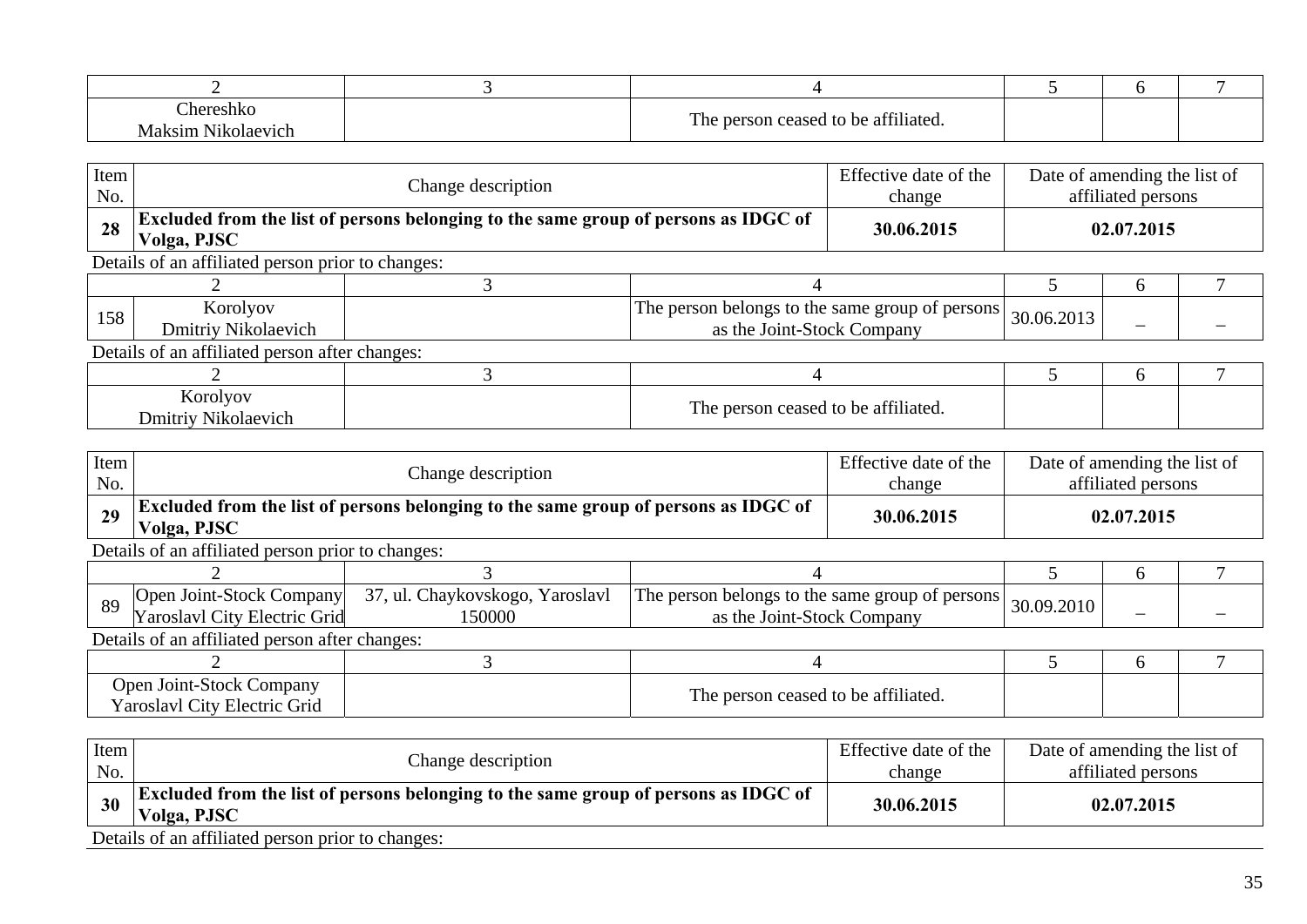| $n^{n}$<br>31 M<br>$\gamma$ V <sub>1C</sub><br>ola<br>7 I I | m<br>0.011<br>o + +<br>$\sim$<br>ำ।าลteດ<br>$+$ $\sim$<br>00000<br>1 n<br>$\ldots$ |  |  |
|-------------------------------------------------------------|------------------------------------------------------------------------------------|--|--|

| Item<br>No. | Change description                                                                                        |  |                                                                               | Effective date of the<br>change | Date of amending the list of<br>affiliated persons |  |  |
|-------------|-----------------------------------------------------------------------------------------------------------|--|-------------------------------------------------------------------------------|---------------------------------|----------------------------------------------------|--|--|
| 28          | <b>Excluded from the list of persons belonging to the same group of persons as IDGC of</b><br>Volga, PJSC |  |                                                                               | 30.06.2015                      | 02.07.2015                                         |  |  |
|             | Details of an affiliated person prior to changes:                                                         |  |                                                                               |                                 |                                                    |  |  |
|             |                                                                                                           |  |                                                                               |                                 |                                                    |  |  |
| 158         | Korolyov<br>Dmitriy Nikolaevich                                                                           |  | The person belongs to the same group of persons<br>as the Joint-Stock Company | 30.06.2013                      |                                                    |  |  |

| T 7<br>í orotvov<br>110101 y O<br>.)mıtrıy<br>Nikolaevich – | m<br>0.0111<br>The person ceased to be attiliated. |  |  |
|-------------------------------------------------------------|----------------------------------------------------|--|--|

| Item<br>No. |                                                                                                    | Change description                        |                                                                               |            | Date of amending the list of | affiliated persons |  |  |  |
|-------------|----------------------------------------------------------------------------------------------------|-------------------------------------------|-------------------------------------------------------------------------------|------------|------------------------------|--------------------|--|--|--|
| 29          | Excluded from the list of persons belonging to the same group of persons as IDGC of<br>Volga, PJSC |                                           |                                                                               | 30.06.2015 |                              | 02.07.2015         |  |  |  |
|             | Details of an affiliated person prior to changes:                                                  |                                           |                                                                               |            |                              |                    |  |  |  |
|             |                                                                                                    |                                           |                                                                               |            | <sub>0</sub>                 |                    |  |  |  |
| 89          | Open Joint-Stock Company<br>Yaroslavl City Electric Grid                                           | 37, ul. Chaykovskogo, Yaroslavl<br>150000 | The person belongs to the same group of persons<br>as the Joint-Stock Company |            | 30.09.2010                   |                    |  |  |  |
|             | Details of an affiliated person after changes:                                                     |                                           |                                                                               |            |                              |                    |  |  |  |
|             |                                                                                                    |                                           |                                                                               |            |                              | <sub>0</sub>       |  |  |  |
|             | Open Joint-Stock Company<br>Yaroslavl City Electric Grid                                           |                                           | The person ceased to be affiliated.                                           |            |                              |                    |  |  |  |

| Item<br>No. | Change description                                                                                        | Effective date of the<br>change | Date of amending the list of<br>affiliated persons |  |  |  |  |  |  |
|-------------|-----------------------------------------------------------------------------------------------------------|---------------------------------|----------------------------------------------------|--|--|--|--|--|--|
| 30          | <b>Excluded from the list of persons belonging to the same group of persons as IDGC of</b><br>Volga, PJSC | 30.06.2015                      | 02.07.2015                                         |  |  |  |  |  |  |
|             | Details of an affiliated person prior to changes:                                                         |                                 |                                                    |  |  |  |  |  |  |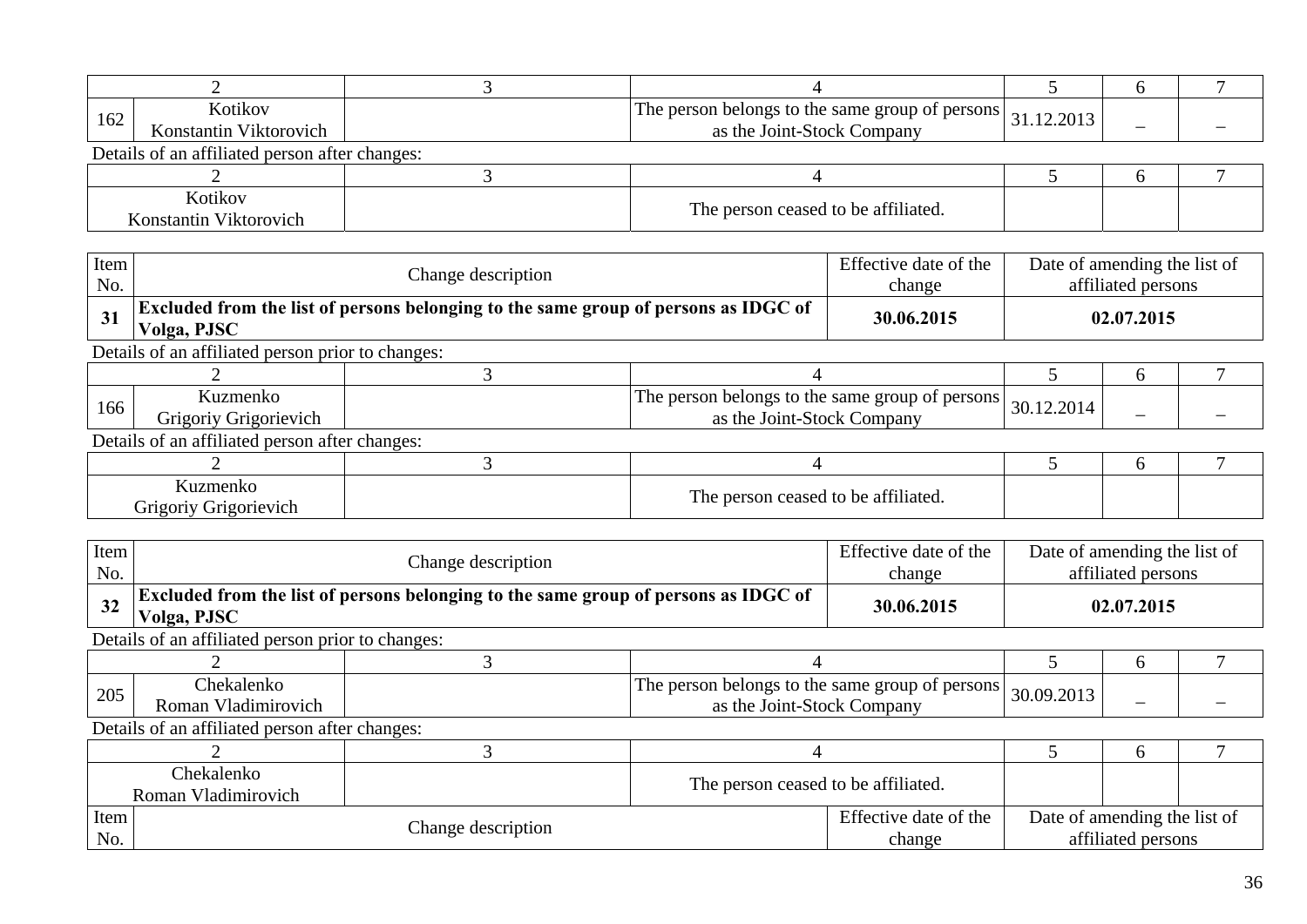| 162 | Kotikov<br>Konstantin Viktorovich                                        |  | The person belongs to the same group of persons<br>as the Joint-Stock Company | 31.12.2013 |  |  |  |  |  |
|-----|--------------------------------------------------------------------------|--|-------------------------------------------------------------------------------|------------|--|--|--|--|--|
|     | Details of an affiliated person after changes:                           |  |                                                                               |            |  |  |  |  |  |
|     |                                                                          |  |                                                                               |            |  |  |  |  |  |
|     | Kotikov<br>The person ceased to be affiliated.<br>Konstantin Viktorovich |  |                                                                               |            |  |  |  |  |  |

| Item<br>No.                                                              |                                                   | Change description                                                                         |                                                                               |  | Date of amending the list of | affiliated persons |  |  |  |  |
|--------------------------------------------------------------------------|---------------------------------------------------|--------------------------------------------------------------------------------------------|-------------------------------------------------------------------------------|--|------------------------------|--------------------|--|--|--|--|
| 31                                                                       | Volga, PJSC                                       | <b>Excluded from the list of persons belonging to the same group of persons as IDGC of</b> |                                                                               |  |                              | 02.07.2015         |  |  |  |  |
|                                                                          | Details of an affiliated person prior to changes: |                                                                                            |                                                                               |  |                              |                    |  |  |  |  |
|                                                                          |                                                   |                                                                                            |                                                                               |  |                              | h                  |  |  |  |  |
| 166                                                                      | Kuzmenko<br>Grigoriy Grigorievich                 |                                                                                            | The person belongs to the same group of persons<br>as the Joint-Stock Company |  | 30.12.2014                   |                    |  |  |  |  |
|                                                                          | Details of an affiliated person after changes:    |                                                                                            |                                                                               |  |                              |                    |  |  |  |  |
|                                                                          |                                                   |                                                                                            |                                                                               |  |                              | h                  |  |  |  |  |
| Kuzmenko<br>The person ceased to be affiliated.<br>Grigoriy Grigorievich |                                                   |                                                                                            |                                                                               |  |                              |                    |  |  |  |  |

| Item<br>No. |                                                                                                    | Change description                                                            |  |                                 | Date of amending the list of<br>affiliated persons |                                                    |  |  |  |
|-------------|----------------------------------------------------------------------------------------------------|-------------------------------------------------------------------------------|--|---------------------------------|----------------------------------------------------|----------------------------------------------------|--|--|--|
| 32          | Excluded from the list of persons belonging to the same group of persons as IDGC of<br>Volga, PJSC |                                                                               |  | 30.06.2015                      | 02.07.2015                                         |                                                    |  |  |  |
|             | Details of an affiliated person prior to changes:                                                  |                                                                               |  |                                 |                                                    |                                                    |  |  |  |
|             |                                                                                                    |                                                                               |  |                                 |                                                    | 6                                                  |  |  |  |
| 205         | Chekalenko<br>Roman Vladimirovich                                                                  | The person belongs to the same group of persons<br>as the Joint-Stock Company |  |                                 | 30.09.2013                                         |                                                    |  |  |  |
|             | Details of an affiliated person after changes:                                                     |                                                                               |  |                                 |                                                    |                                                    |  |  |  |
|             |                                                                                                    |                                                                               |  |                                 |                                                    | 6                                                  |  |  |  |
|             | Chekalenko<br>The person ceased to be affiliated.<br>Roman Vladimirovich                           |                                                                               |  |                                 |                                                    |                                                    |  |  |  |
| Item<br>No. |                                                                                                    | Change description                                                            |  | Effective date of the<br>change |                                                    | Date of amending the list of<br>affiliated persons |  |  |  |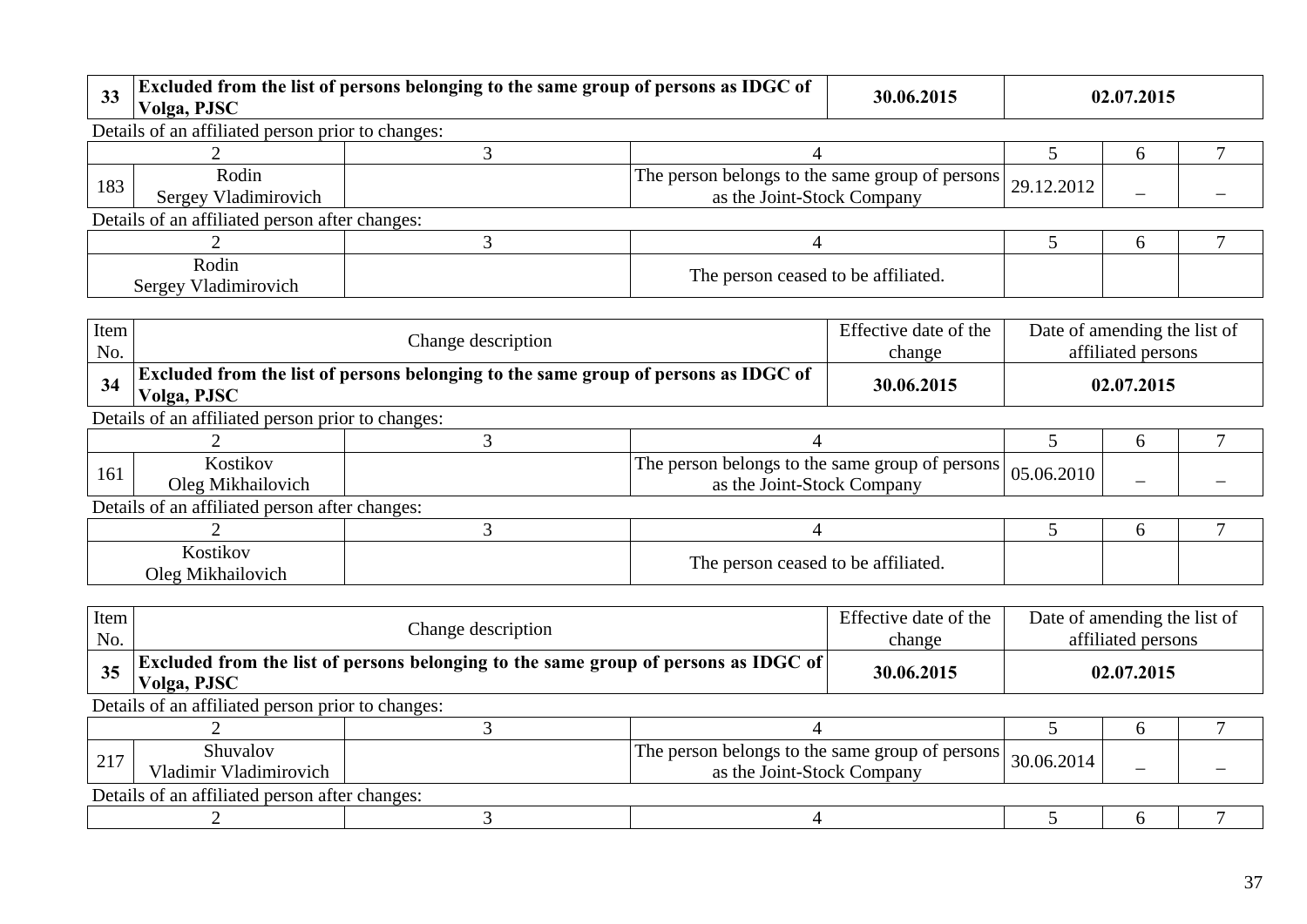| 33          | Excluded from the list of persons belonging to the same group of persons as IDGC of<br>30.06.2015<br>Volga, PJSC |                                                                               |                                     |                                 | 02.07.2015                                         |            |  |
|-------------|------------------------------------------------------------------------------------------------------------------|-------------------------------------------------------------------------------|-------------------------------------|---------------------------------|----------------------------------------------------|------------|--|
|             | Details of an affiliated person prior to changes:                                                                |                                                                               |                                     |                                 |                                                    |            |  |
|             |                                                                                                                  |                                                                               |                                     |                                 |                                                    | h          |  |
| 183         | Rodin<br>Sergey Vladimirovich                                                                                    | The person belongs to the same group of persons<br>as the Joint-Stock Company |                                     |                                 | 29.12.2012                                         |            |  |
|             | Details of an affiliated person after changes:                                                                   |                                                                               |                                     |                                 |                                                    |            |  |
|             |                                                                                                                  | 3                                                                             | 4                                   |                                 |                                                    | 6          |  |
|             | Rodin<br>Sergey Vladimirovich                                                                                    |                                                                               | The person ceased to be affiliated. |                                 |                                                    |            |  |
|             |                                                                                                                  |                                                                               |                                     |                                 |                                                    |            |  |
| Item<br>No. | Change description                                                                                               |                                                                               |                                     | Effective date of the<br>change | Date of amending the list of<br>affiliated persons |            |  |
| 34          | Excluded from the list of persons belonging to the same group of persons as IDGC of<br>Volga, PJSC               |                                                                               |                                     | 30.06.2015                      |                                                    | 02.07.2015 |  |

| Details of an affiliated person prior to changes: |  |
|---------------------------------------------------|--|

| 161 | $\bullet$ $\bullet$<br><b>AOSUROV</b><br>Oleg<br>Mikhailovich | r belongs to the<br>eroup of !<br>t persons.<br>same<br>person<br>1 he<br>-Stock<br>Joint<br>Companv<br>as the | $^{\circ}$ 1 05.06.201 $\cup$ |  |
|-----|---------------------------------------------------------------|----------------------------------------------------------------------------------------------------------------|-------------------------------|--|

| √ostikov<br>Oleg<br>hailovicl<br>N/11 | 0.0111<br>m<br>1 he<br>rson ceased to be<br>`affiliated.<br>: ners |  |  |
|---------------------------------------|--------------------------------------------------------------------|--|--|

| Item<br>No. |                                                                                                    | Change description |                                                                               |            |            | Date of amending the list of<br>affiliated persons |  |  |  |  |
|-------------|----------------------------------------------------------------------------------------------------|--------------------|-------------------------------------------------------------------------------|------------|------------|----------------------------------------------------|--|--|--|--|
| 35          | Excluded from the list of persons belonging to the same group of persons as IDGC of<br>Volga, PJSC |                    |                                                                               | 30.06.2015 | 02.07.2015 |                                                    |  |  |  |  |
|             | Details of an affiliated person prior to changes:                                                  |                    |                                                                               |            |            |                                                    |  |  |  |  |
|             |                                                                                                    |                    |                                                                               |            |            |                                                    |  |  |  |  |
| 217         | Shuvalov<br>Vladimir Vladimirovich                                                                 |                    | The person belongs to the same group of persons<br>as the Joint-Stock Company |            | 30.06.2014 |                                                    |  |  |  |  |
|             | Details of an affiliated person after changes:                                                     |                    |                                                                               |            |            |                                                    |  |  |  |  |
|             |                                                                                                    |                    |                                                                               |            |            |                                                    |  |  |  |  |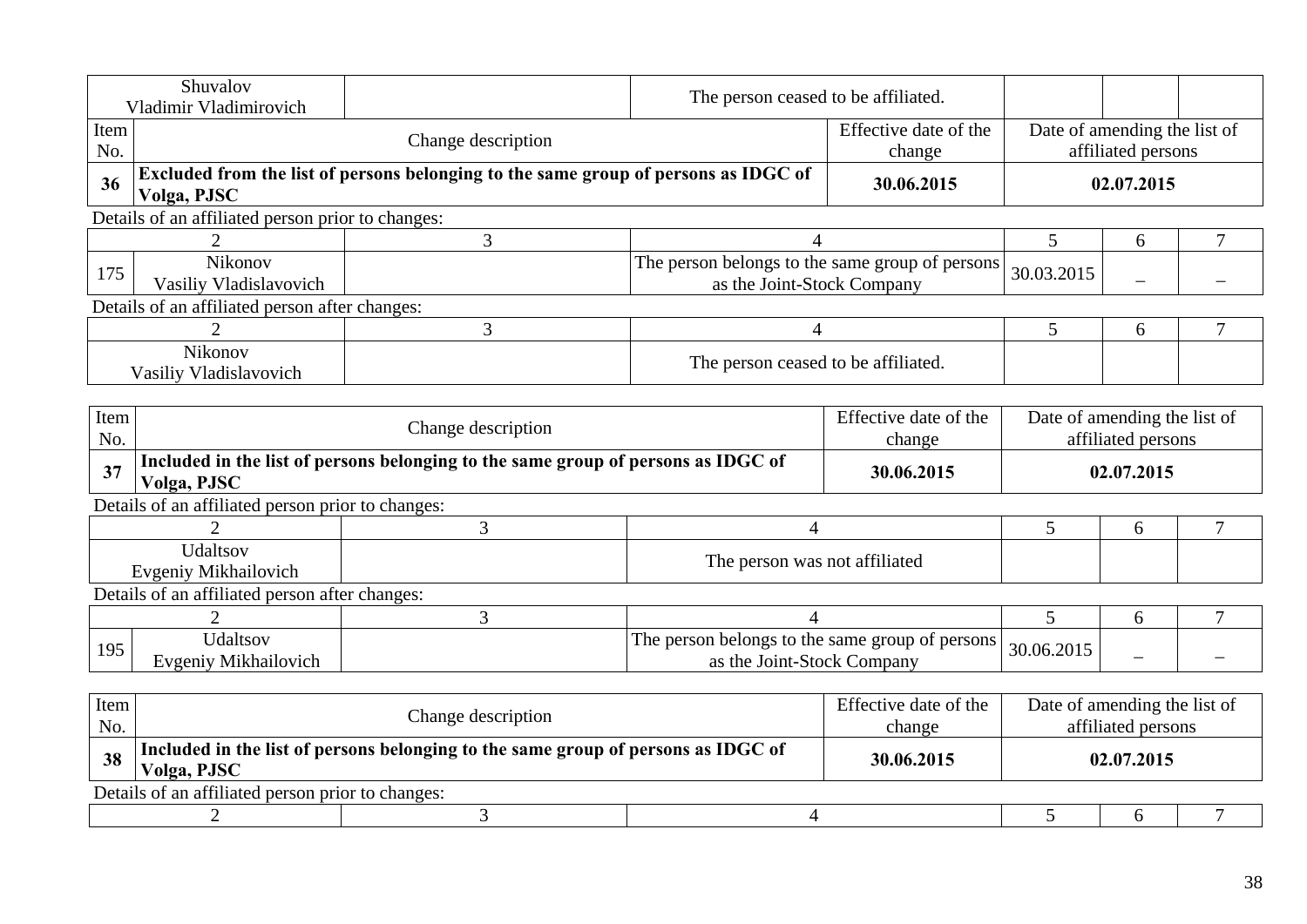|             | Shuvalov<br>Vladimir Vladimirovich                                                               | The person ceased to be affiliated.                                                 |                                                                               |                                                                                       |                              |                                                    |   |
|-------------|--------------------------------------------------------------------------------------------------|-------------------------------------------------------------------------------------|-------------------------------------------------------------------------------|---------------------------------------------------------------------------------------|------------------------------|----------------------------------------------------|---|
| Item<br>No. |                                                                                                  | Change description                                                                  |                                                                               | Effective date of the<br>change                                                       |                              | Date of amending the list of<br>affiliated persons |   |
| 36          | Volga, PJSC                                                                                      | Excluded from the list of persons belonging to the same group of persons as IDGC of |                                                                               | 30.06.2015                                                                            |                              | 02.07.2015                                         |   |
|             | Details of an affiliated person prior to changes:                                                |                                                                                     |                                                                               |                                                                                       |                              |                                                    |   |
|             |                                                                                                  | $\mathfrak{Z}$                                                                      | 4                                                                             |                                                                                       | 5                            | 6                                                  |   |
| 175         | Nikonov<br>Vasiliy Vladislavovich                                                                |                                                                                     | The person belongs to the same group of persons<br>as the Joint-Stock Company |                                                                                       | 30.03.2015                   |                                                    |   |
|             | Details of an affiliated person after changes:                                                   |                                                                                     |                                                                               |                                                                                       |                              |                                                    |   |
|             |                                                                                                  | 3                                                                                   | 4                                                                             |                                                                                       | 5                            | 6                                                  | 7 |
|             | Nikonov<br>The person ceased to be affiliated.<br>Vasiliy Vladislavovich                         |                                                                                     |                                                                               |                                                                                       |                              |                                                    |   |
|             |                                                                                                  |                                                                                     |                                                                               |                                                                                       |                              |                                                    |   |
| Item<br>No. | Change description                                                                               |                                                                                     |                                                                               | Effective date of the<br>Date of amending the list of<br>affiliated persons<br>change |                              |                                                    |   |
| 37          | Volga, PJSC                                                                                      | Included in the list of persons belonging to the same group of persons as IDGC of   |                                                                               | 30.06.2015                                                                            | 02.07.2015                   |                                                    |   |
|             | Details of an affiliated person prior to changes:                                                |                                                                                     |                                                                               |                                                                                       |                              |                                                    |   |
|             |                                                                                                  | 3                                                                                   | $\overline{4}$                                                                |                                                                                       | 5                            | 6                                                  | 7 |
|             | Udaltsov<br>Evgeniy Mikhailovich                                                                 |                                                                                     | The person was not affiliated                                                 |                                                                                       |                              |                                                    |   |
|             | Details of an affiliated person after changes:                                                   |                                                                                     |                                                                               |                                                                                       |                              |                                                    |   |
|             | $\overline{2}$                                                                                   | 3                                                                                   | 4                                                                             |                                                                                       | 5                            | 6                                                  | 7 |
| 195         | Udaltsov<br>Evgeniy Mikhailovich                                                                 |                                                                                     | The person belongs to the same group of persons<br>as the Joint-Stock Company |                                                                                       | 30.06.2015                   |                                                    |   |
|             |                                                                                                  |                                                                                     |                                                                               |                                                                                       |                              |                                                    |   |
| Item<br>No. |                                                                                                  | Change description                                                                  |                                                                               | Effective date of the<br>change                                                       | Date of amending the list of | affiliated persons                                 |   |
| 38          | Included in the list of persons belonging to the same group of persons as IDGC of<br>Volga, PJSC |                                                                                     |                                                                               | 30.06.2015                                                                            |                              | 02.07.2015                                         |   |

Details of an affiliated person prior to changes:

|--|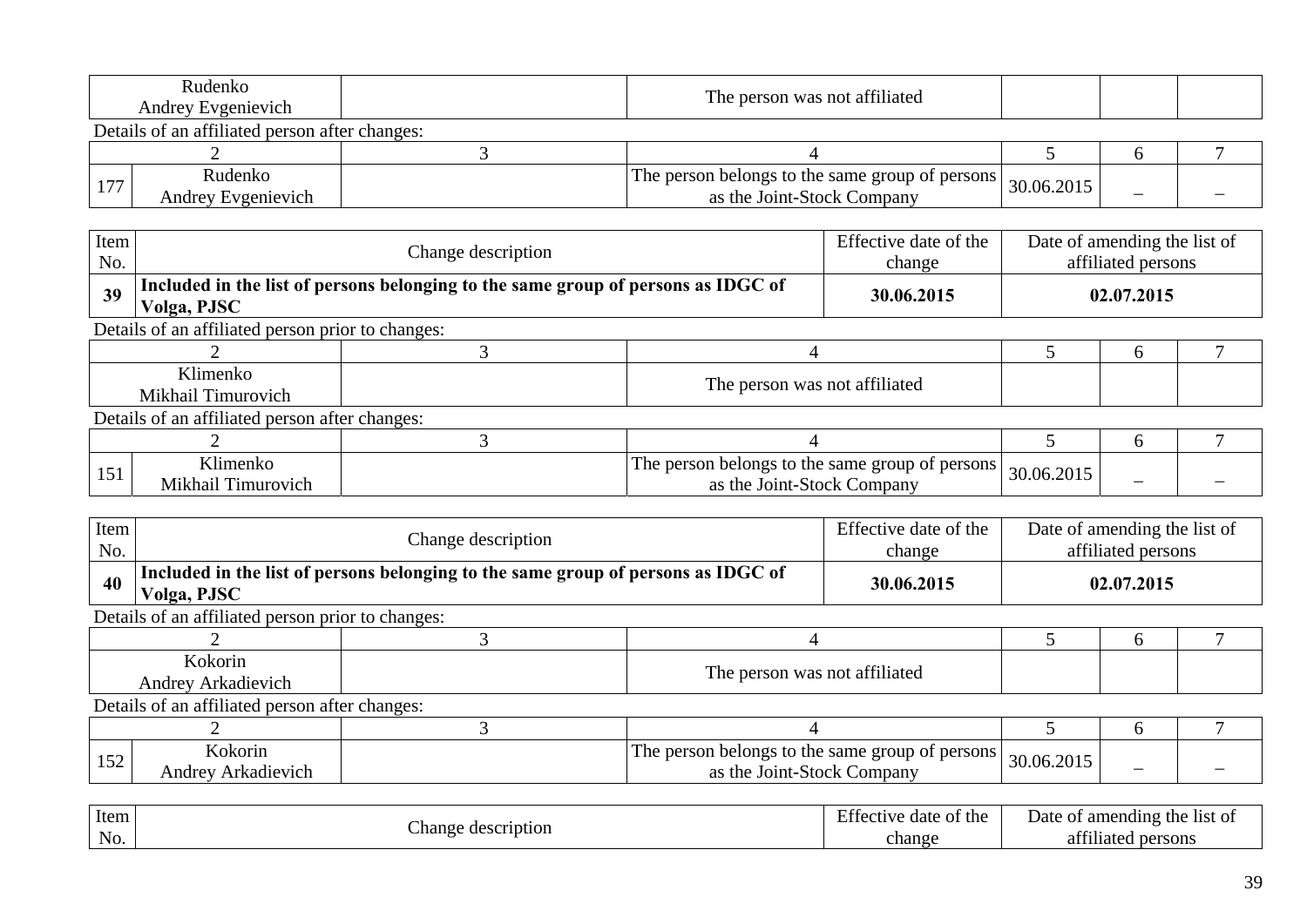| Rudenko<br><b>Andrey Evgenievich</b>           | The person was not affiliated                                                 |            |   |  |
|------------------------------------------------|-------------------------------------------------------------------------------|------------|---|--|
| Details of an affiliated person after changes: |                                                                               |            |   |  |
|                                                |                                                                               |            |   |  |
| Rudenko<br>Andrey Evgenievich                  | The person belongs to the same group of persons<br>as the Joint-Stock Company | 30.06.2015 | - |  |

| Item<br>No. |                                                   | Change description                                                                |                                                                               | Effective date of the<br>change |            | Date of amending the list of<br>affiliated persons |  |
|-------------|---------------------------------------------------|-----------------------------------------------------------------------------------|-------------------------------------------------------------------------------|---------------------------------|------------|----------------------------------------------------|--|
| 39          | Volga, PJSC                                       | Included in the list of persons belonging to the same group of persons as IDGC of |                                                                               | 30.06.2015                      |            | 02.07.2015                                         |  |
|             | Details of an affiliated person prior to changes: |                                                                                   |                                                                               |                                 |            |                                                    |  |
|             |                                                   |                                                                                   |                                                                               |                                 |            | h                                                  |  |
|             | Klimenko                                          |                                                                                   | The person was not affiliated                                                 |                                 |            |                                                    |  |
|             | Mikhail Timurovich                                |                                                                                   |                                                                               |                                 |            |                                                    |  |
|             | Details of an affiliated person after changes:    |                                                                                   |                                                                               |                                 |            |                                                    |  |
|             |                                                   |                                                                                   |                                                                               |                                 |            | h                                                  |  |
| 151         | Klimenko<br>Mikhail Timurovich                    |                                                                                   | The person belongs to the same group of persons<br>as the Joint-Stock Company |                                 | 30.06.2015 |                                                    |  |

| Item<br>No. |                                                   | Change description                                                                |                                                                               | Effective date of the<br>change | Date of amending the list of | affiliated persons |  |
|-------------|---------------------------------------------------|-----------------------------------------------------------------------------------|-------------------------------------------------------------------------------|---------------------------------|------------------------------|--------------------|--|
| 40          | Volga, PJSC                                       | Included in the list of persons belonging to the same group of persons as IDGC of |                                                                               | 30.06.2015                      |                              | 02.07.2015         |  |
|             | Details of an affiliated person prior to changes: |                                                                                   |                                                                               |                                 |                              |                    |  |
|             |                                                   |                                                                                   |                                                                               |                                 |                              | <sub>0</sub>       |  |
|             | Kokorin<br>Andrey Arkadievich                     |                                                                                   | The person was not affiliated                                                 |                                 |                              |                    |  |
|             | Details of an affiliated person after changes:    |                                                                                   |                                                                               |                                 |                              |                    |  |
|             |                                                   |                                                                                   |                                                                               |                                 |                              | $\sigma$           |  |
| 152         | Kokorin<br>Andrey Arkadievich                     |                                                                                   | The person belongs to the same group of persons<br>as the Joint-Stock Company |                                 | 30.06.2015                   |                    |  |

| Item |                                        | $\blacksquare$<br>the :<br>date<br>tective<br>ОT | Date<br>amending<br>the<br>ОĪ<br>-list of |
|------|----------------------------------------|--------------------------------------------------|-------------------------------------------|
| No.  | -nange<br>scription<br>de <sup>r</sup> | change                                           | 0.011<br>persons<br>at<br>111ated         |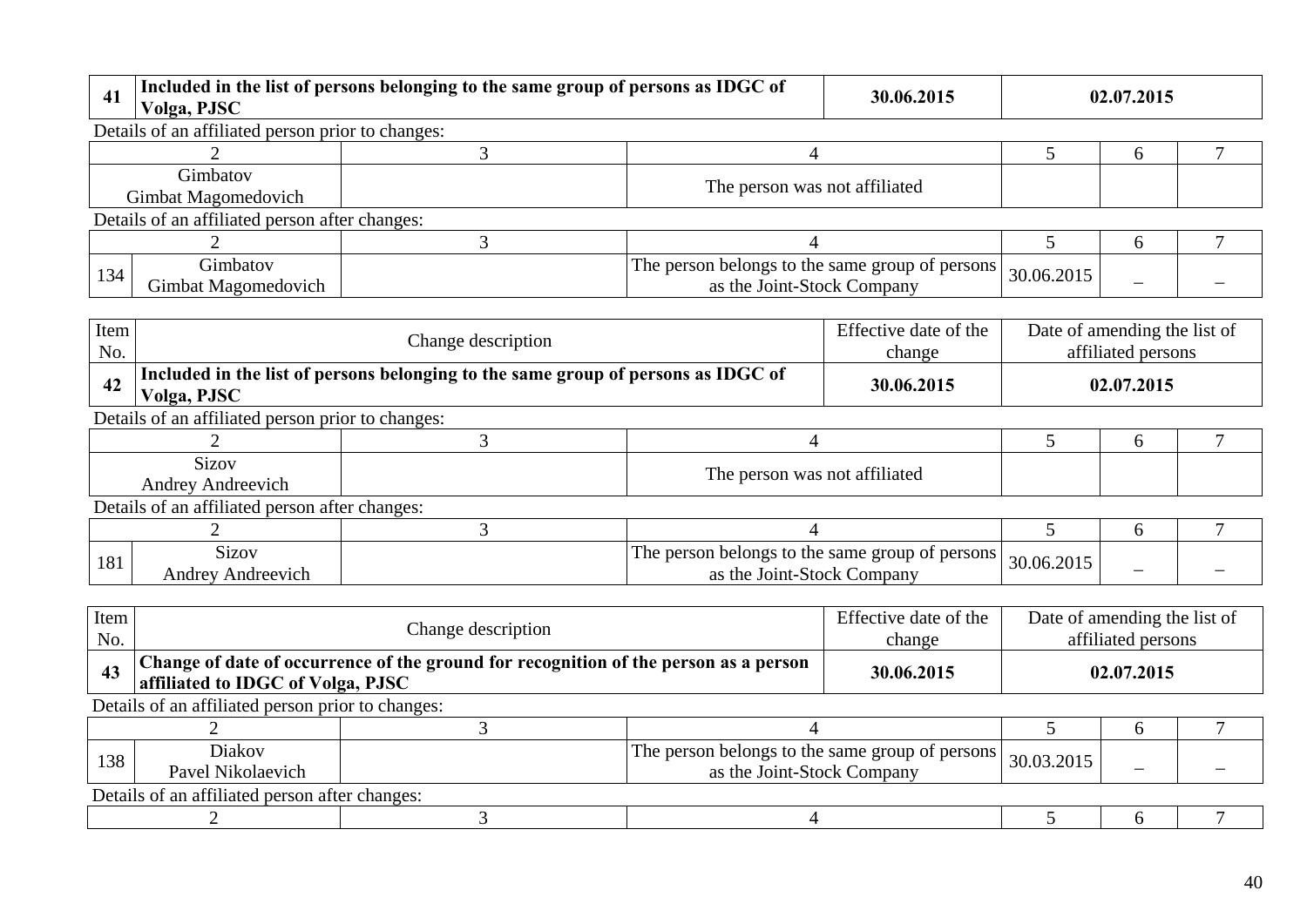| 41          | Volga, PJSC                                       | Included in the list of persons belonging to the same group of persons as IDGC of |                                                                               | 30.06.2015                      |                              | 02.07.2015         |  |
|-------------|---------------------------------------------------|-----------------------------------------------------------------------------------|-------------------------------------------------------------------------------|---------------------------------|------------------------------|--------------------|--|
|             | Details of an affiliated person prior to changes: |                                                                                   |                                                                               |                                 |                              |                    |  |
|             |                                                   | 3                                                                                 | 4                                                                             |                                 | 5                            | 6                  |  |
|             | Gimbatov<br>Gimbat Magomedovich                   |                                                                                   | The person was not affiliated                                                 |                                 |                              |                    |  |
|             | Details of an affiliated person after changes:    |                                                                                   |                                                                               |                                 |                              |                    |  |
|             |                                                   | 3                                                                                 |                                                                               |                                 | 5                            | 6                  |  |
| 134         | Gimbatov<br>Gimbat Magomedovich                   |                                                                                   | The person belongs to the same group of persons<br>as the Joint-Stock Company |                                 | 30.06.2015                   |                    |  |
| Item<br>No. |                                                   | Change description                                                                |                                                                               | Effective date of the<br>change | Date of amending the list of | affiliated persons |  |
| 42          | Volga, PJSC                                       | Included in the list of persons belonging to the same group of persons as IDGC of |                                                                               | 30.06.2015                      |                              | 02.07.2015         |  |
|             | Details of an affiliated person prior to changes: |                                                                                   |                                                                               |                                 |                              |                    |  |
|             |                                                   | 3                                                                                 | 4                                                                             |                                 | 5                            | 6                  |  |
|             | <b>Sizov</b><br>Andrey Andreevich                 |                                                                                   | The person was not affiliated                                                 |                                 |                              |                    |  |
|             | Details of an affiliated person after changes:    |                                                                                   |                                                                               |                                 |                              |                    |  |
|             |                                                   | 3                                                                                 |                                                                               |                                 | 5                            | 6                  |  |
| 181         | <b>Sizov</b><br><b>Andrey Andreevich</b>          |                                                                                   | The person belongs to the same group of persons<br>as the Joint-Stock Company |                                 | 30.06.2015                   |                    |  |
|             |                                                   |                                                                                   |                                                                               |                                 |                              |                    |  |

| Item<br>No. |                                                   | Change description                                                                   |                                                                               | Effective date of the<br>change | Date of amending the list of | affiliated persons |  |
|-------------|---------------------------------------------------|--------------------------------------------------------------------------------------|-------------------------------------------------------------------------------|---------------------------------|------------------------------|--------------------|--|
| 43          | affiliated to IDGC of Volga, PJSC                 | Change of date of occurrence of the ground for recognition of the person as a person |                                                                               | 30.06.2015                      |                              | 02.07.2015         |  |
|             | Details of an affiliated person prior to changes: |                                                                                      |                                                                               |                                 |                              |                    |  |
|             |                                                   |                                                                                      |                                                                               |                                 |                              | <sub>0</sub>       |  |
| 138         | <b>Diakov</b><br>Pavel Nikolaevich                |                                                                                      | The person belongs to the same group of persons<br>as the Joint-Stock Company |                                 | 30.03.2015                   |                    |  |
|             | Details of an affiliated person after changes:    |                                                                                      |                                                                               |                                 |                              |                    |  |
|             |                                                   |                                                                                      |                                                                               |                                 |                              |                    |  |
|             |                                                   |                                                                                      |                                                                               |                                 |                              |                    |  |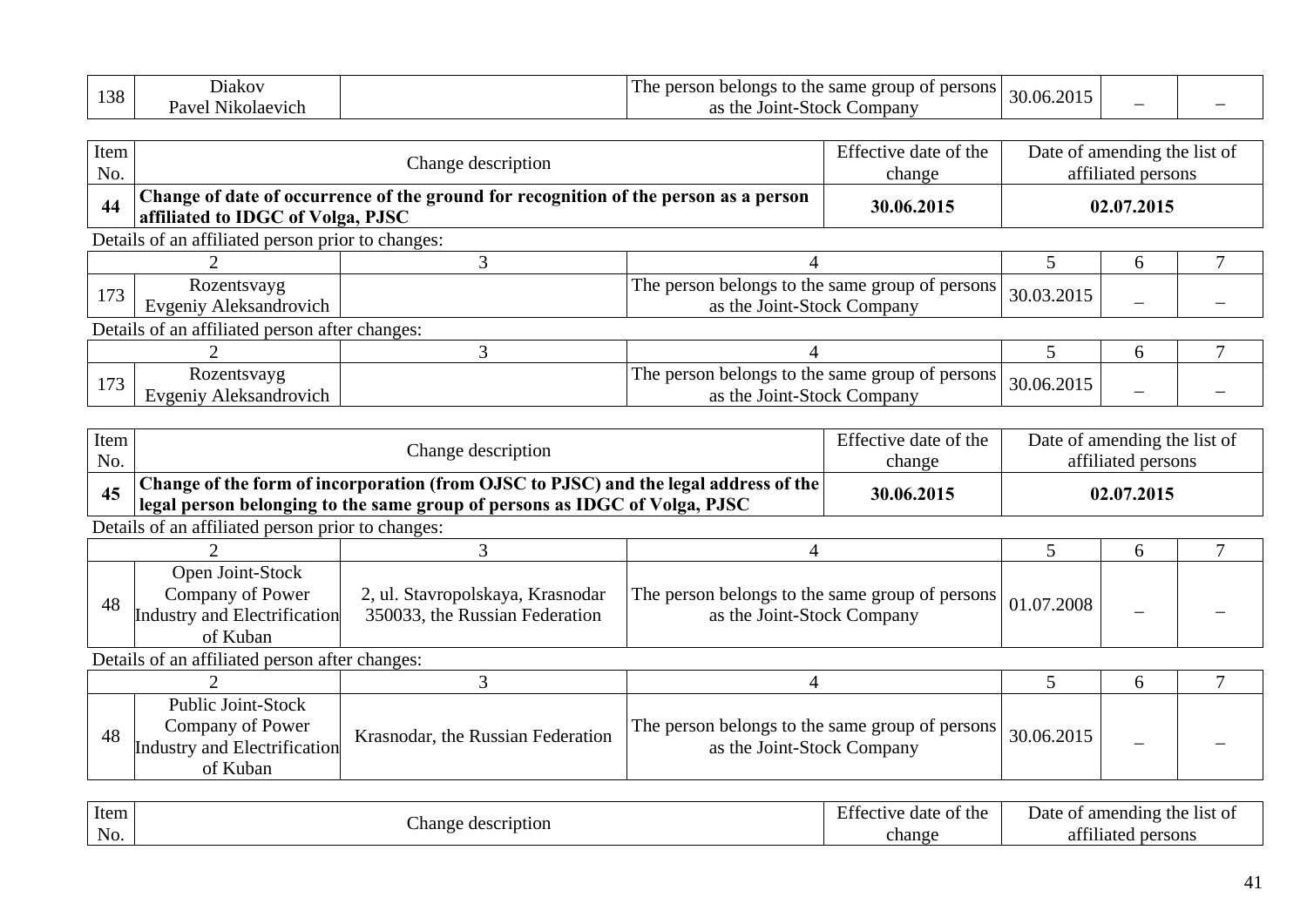| 100 | Diakov                             | 1 he<br>narrow<br>belongs<br>same<br>persons<br>$\sim$ the $\sim$<br>eroup of<br>.<br>.<br>$\cap$ |            |  |
|-----|------------------------------------|---------------------------------------------------------------------------------------------------|------------|--|
| 150 | מזפי<br>N1kolaev1ch<br>N11Z<br>avu | the<br>Joint-<br>-Stock<br>Companv<br>റ<br>$\mathbf{a}$                                           | 30.06.2015 |  |

| Item<br>No. |                                                   | Change description                                                                   |                                                                               | Effective date of the<br>change |            | Date of amending the list of<br>affiliated persons |  |
|-------------|---------------------------------------------------|--------------------------------------------------------------------------------------|-------------------------------------------------------------------------------|---------------------------------|------------|----------------------------------------------------|--|
| 44          | affiliated to IDGC of Volga, PJSC                 | Change of date of occurrence of the ground for recognition of the person as a person |                                                                               | 30.06.2015                      |            | 02.07.2015                                         |  |
|             | Details of an affiliated person prior to changes: |                                                                                      |                                                                               |                                 |            |                                                    |  |
|             |                                                   |                                                                                      |                                                                               |                                 |            | h                                                  |  |
| 173         | Rozentsvayg<br>Evgeniy Aleksandrovich             |                                                                                      | The person belongs to the same group of persons<br>as the Joint-Stock Company |                                 | 30.03.2015 |                                                    |  |
|             | Details of an affiliated person after changes:    |                                                                                      |                                                                               |                                 |            |                                                    |  |
|             |                                                   |                                                                                      |                                                                               |                                 |            | <sub>0</sub>                                       |  |
| 173         | Rozentsvayg<br>Evgeniy Aleksandrovich             |                                                                                      | The person belongs to the same group of persons<br>as the Joint-Stock Company |                                 | 30.06.2015 |                                                    |  |

| Item<br>No.       |                                                                                                  | Change description                                                                                                                                                 |                                                                               | Effective date of the<br>change | Date of amending the list of   | affiliated persons |  |
|-------------------|--------------------------------------------------------------------------------------------------|--------------------------------------------------------------------------------------------------------------------------------------------------------------------|-------------------------------------------------------------------------------|---------------------------------|--------------------------------|--------------------|--|
| 45                |                                                                                                  | Change of the form of incorporation (from OJSC to PJSC) and the legal address of the<br>legal person belonging to the same group of persons as IDGC of Volga, PJSC |                                                                               | 30.06.2015                      |                                | 02.07.2015         |  |
|                   | Details of an affiliated person prior to changes:                                                |                                                                                                                                                                    |                                                                               |                                 |                                |                    |  |
|                   |                                                                                                  |                                                                                                                                                                    |                                                                               |                                 |                                | 6                  |  |
| 48                | Open Joint-Stock<br>Company of Power<br>Industry and Electrification<br>of Kuban                 | 2, ul. Stavropolskaya, Krasnodar<br>350033, the Russian Federation                                                                                                 | The person belongs to the same group of persons<br>as the Joint-Stock Company |                                 | 01.07.2008                     |                    |  |
|                   | Details of an affiliated person after changes:                                                   |                                                                                                                                                                    |                                                                               |                                 |                                |                    |  |
|                   |                                                                                                  |                                                                                                                                                                    |                                                                               |                                 |                                | 6                  |  |
| 48                | <b>Public Joint-Stock</b><br>Company of Power<br><b>Industry and Electrification</b><br>of Kuban | Krasnodar, the Russian Federation                                                                                                                                  | The person belongs to the same group of persons<br>as the Joint-Stock Company |                                 | 30.06.2015                     |                    |  |
| $T_{\text{data}}$ |                                                                                                  |                                                                                                                                                                    |                                                                               | $\Gamma$ ffective data of the   | Data of ancoralize the list of |                    |  |

| Item             | $\sim$                  | of the<br>date<br>a fective – | of amending<br>the<br>Date<br>-list of |
|------------------|-------------------------|-------------------------------|----------------------------------------|
| N <sub>O</sub> . | Change -<br>description | change                        | 0.011<br>persons<br>111ated<br>ат      |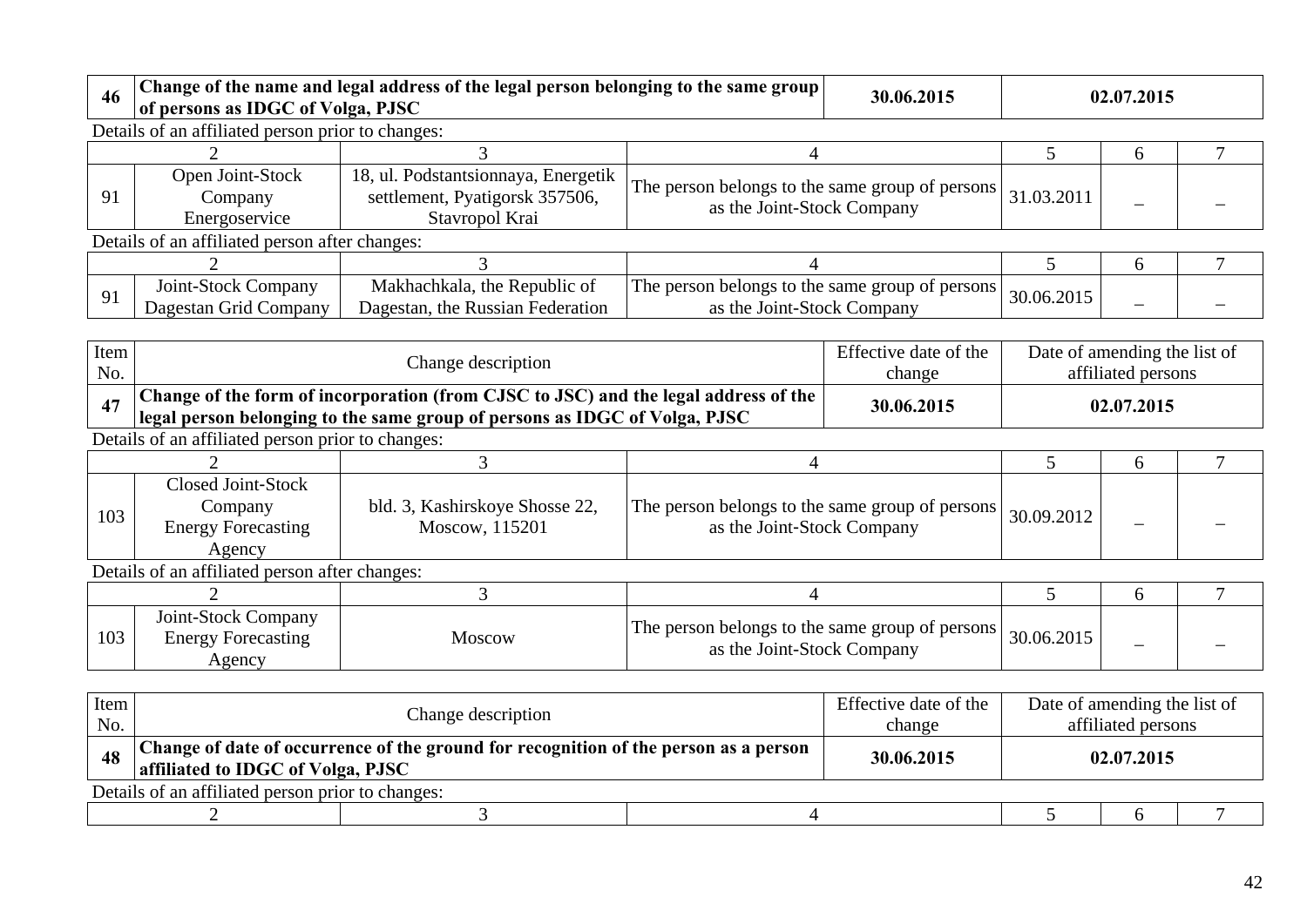| 46          | of persons as IDGC of Volga, PJSC                                           | Change of the name and legal address of the legal person belonging to the same group                      |                                                                               | 30.06.2015                      |                              | 02.07.2015         |        |
|-------------|-----------------------------------------------------------------------------|-----------------------------------------------------------------------------------------------------------|-------------------------------------------------------------------------------|---------------------------------|------------------------------|--------------------|--------|
|             | Details of an affiliated person prior to changes:                           |                                                                                                           |                                                                               |                                 |                              |                    |        |
|             |                                                                             |                                                                                                           | 4                                                                             |                                 | 5                            | 6                  |        |
| 91          | Open Joint-Stock<br>Company<br>Energoservice                                | 18, ul. Podstantsionnaya, Energetik<br>settlement, Pyatigorsk 357506,<br>Stavropol Krai                   | The person belongs to the same group of persons<br>as the Joint-Stock Company |                                 | 31.03.2011                   |                    |        |
|             | Details of an affiliated person after changes:                              |                                                                                                           |                                                                               |                                 |                              |                    |        |
|             | $\overline{2}$                                                              | 3                                                                                                         | 4                                                                             |                                 | 5                            | 6                  | $\tau$ |
| 91          | Joint-Stock Company<br>Dagestan Grid Company                                | Makhachkala, the Republic of<br>Dagestan, the Russian Federation                                          | The person belongs to the same group of persons<br>as the Joint-Stock Company |                                 | 30.06.2015                   |                    |        |
| Item<br>No. |                                                                             | Change description<br>Change of the form of incorporation (from CJSC to JSC) and the legal address of the |                                                                               | Effective date of the<br>change | Date of amending the list of | affiliated persons |        |
| 47          |                                                                             | legal person belonging to the same group of persons as IDGC of Volga, PJSC                                |                                                                               | 30.06.2015                      |                              | 02.07.2015         |        |
|             | Details of an affiliated person prior to changes:                           |                                                                                                           |                                                                               |                                 |                              |                    |        |
|             |                                                                             | 3                                                                                                         |                                                                               |                                 |                              |                    |        |
|             |                                                                             |                                                                                                           | 4                                                                             |                                 | 5                            | 6                  |        |
| 103         | <b>Closed Joint-Stock</b><br>Company<br><b>Energy Forecasting</b><br>Agency | bld. 3, Kashirskoye Shosse 22,<br>Moscow, 115201                                                          | The person belongs to the same group of persons<br>as the Joint-Stock Company |                                 | 30.09.2012                   |                    |        |
|             | Details of an affiliated person after changes:                              |                                                                                                           |                                                                               |                                 |                              |                    |        |
|             |                                                                             | 3                                                                                                         | 4                                                                             |                                 | 5                            | 6                  | $\tau$ |
| 103         | Joint-Stock Company<br><b>Energy Forecasting</b><br>Agency                  | Moscow                                                                                                    | The person belongs to the same group of persons<br>as the Joint-Stock Company |                                 | 30.06.2015                   |                    |        |

| Item                                              | Change description                                                                                                        |  | Effective date of the | Date of amending the list of |  |  |  |  |
|---------------------------------------------------|---------------------------------------------------------------------------------------------------------------------------|--|-----------------------|------------------------------|--|--|--|--|
| No.                                               |                                                                                                                           |  | change                | affiliated persons           |  |  |  |  |
| 48                                                | Change of date of occurrence of the ground for recognition of the person as a person<br>affiliated to IDGC of Volga, PJSC |  | 30.06.2015            | 02.07.2015                   |  |  |  |  |
| Details of an affiliated person prior to changes: |                                                                                                                           |  |                       |                              |  |  |  |  |
|                                                   |                                                                                                                           |  |                       |                              |  |  |  |  |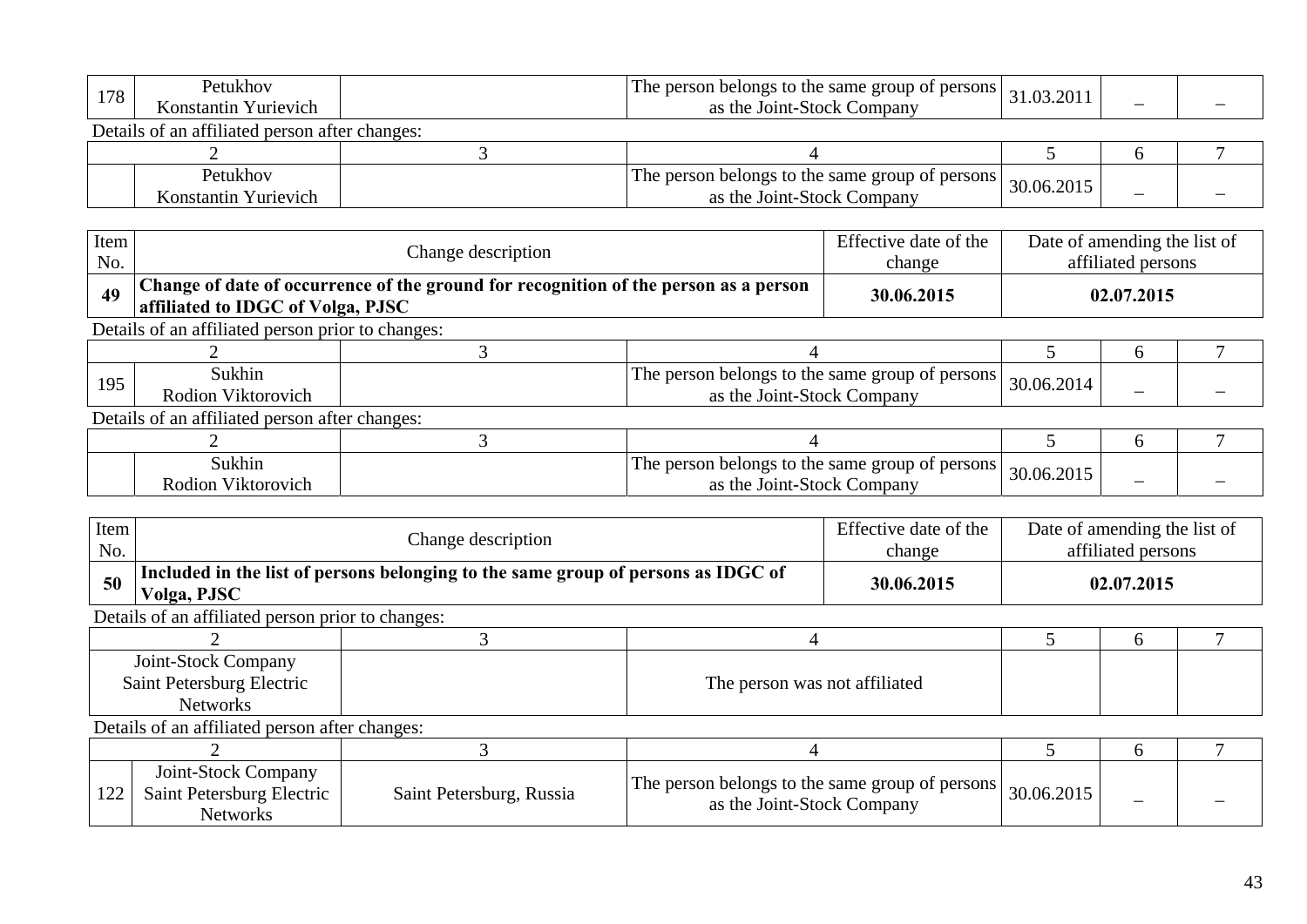| 178                                            | Petukhov<br>The person belongs to the same group of persons<br>as the Joint-Stock Company<br>Konstantin Yurievich |  | 31.03.2011                                                                    |            |   |  |
|------------------------------------------------|-------------------------------------------------------------------------------------------------------------------|--|-------------------------------------------------------------------------------|------------|---|--|
| Details of an affiliated person after changes: |                                                                                                                   |  |                                                                               |            |   |  |
|                                                |                                                                                                                   |  |                                                                               |            |   |  |
|                                                | Petukhov<br>Konstantin Yurievich                                                                                  |  | The person belongs to the same group of persons<br>as the Joint-Stock Company | 30.06.2015 | - |  |

| Item<br>No.                                    |                                                                                                                           | Effective date of the<br>change | Date of amending the list of<br>affiliated persons                            |            |            |   |  |  |  |
|------------------------------------------------|---------------------------------------------------------------------------------------------------------------------------|---------------------------------|-------------------------------------------------------------------------------|------------|------------|---|--|--|--|
| 49                                             | Change of date of occurrence of the ground for recognition of the person as a person<br>affiliated to IDGC of Volga, PJSC |                                 |                                                                               | 30.06.2015 | 02.07.2015 |   |  |  |  |
|                                                | Details of an affiliated person prior to changes:                                                                         |                                 |                                                                               |            |            |   |  |  |  |
|                                                |                                                                                                                           |                                 |                                                                               |            |            | h |  |  |  |
| 195                                            | Sukhin<br>Rodion Viktorovich                                                                                              |                                 | The person belongs to the same group of persons<br>as the Joint-Stock Company |            | 30.06.2014 |   |  |  |  |
| Details of an affiliated person after changes: |                                                                                                                           |                                 |                                                                               |            |            |   |  |  |  |
|                                                |                                                                                                                           |                                 |                                                                               |            | h          |   |  |  |  |
|                                                | Sukhin<br>Rodion Viktorovich                                                                                              |                                 | The person belongs to the same group of persons<br>as the Joint-Stock Company |            | 30.06.2015 |   |  |  |  |

| Item<br>No.                                                         | Change description                                                  |                                                                                   |                                                                               | Effective date of the<br>change | Date of amending the list of<br>affiliated persons |   |  |  |  |
|---------------------------------------------------------------------|---------------------------------------------------------------------|-----------------------------------------------------------------------------------|-------------------------------------------------------------------------------|---------------------------------|----------------------------------------------------|---|--|--|--|
| 50                                                                  | Volga, PJSC                                                         | Included in the list of persons belonging to the same group of persons as IDGC of |                                                                               |                                 | 02.07.2015                                         |   |  |  |  |
|                                                                     | Details of an affiliated person prior to changes:                   |                                                                                   |                                                                               |                                 |                                                    |   |  |  |  |
|                                                                     |                                                                     |                                                                                   |                                                                               |                                 |                                                    | 6 |  |  |  |
| Joint-Stock Company<br>Saint Petersburg Electric<br><b>Networks</b> |                                                                     |                                                                                   | The person was not affiliated                                                 |                                 |                                                    |   |  |  |  |
|                                                                     | Details of an affiliated person after changes:                      |                                                                                   |                                                                               |                                 |                                                    |   |  |  |  |
|                                                                     |                                                                     |                                                                                   |                                                                               |                                 | 6                                                  |   |  |  |  |
| 122                                                                 | Joint-Stock Company<br>Saint Petersburg Electric<br><b>Networks</b> | Saint Petersburg, Russia                                                          | The person belongs to the same group of persons<br>as the Joint-Stock Company |                                 | 30.06.2015                                         |   |  |  |  |